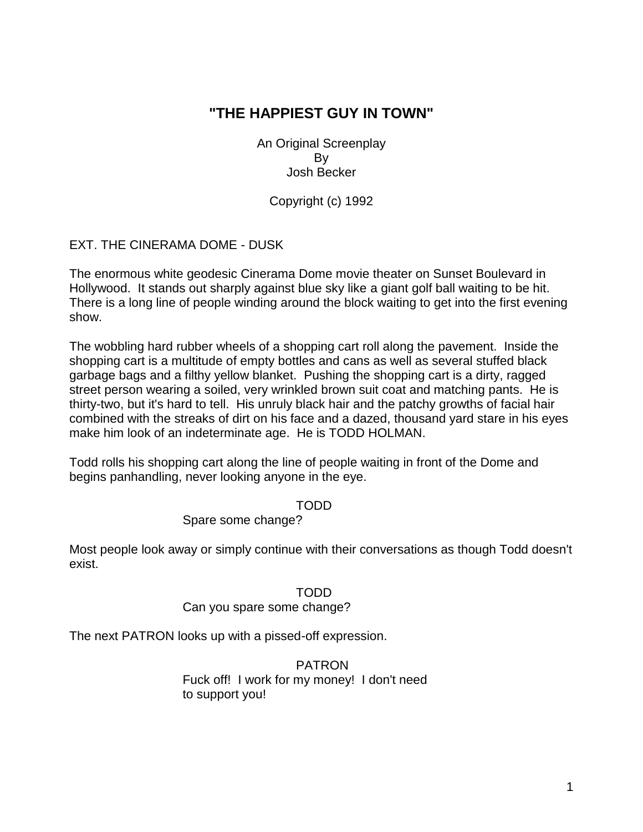# **"THE HAPPIEST GUY IN TOWN"**

An Original Screenplay By Josh Becker

Copyright (c) 1992

EXT. THE CINERAMA DOME - DUSK

The enormous white geodesic Cinerama Dome movie theater on Sunset Boulevard in Hollywood. It stands out sharply against blue sky like a giant golf ball waiting to be hit. There is a long line of people winding around the block waiting to get into the first evening show.

The wobbling hard rubber wheels of a shopping cart roll along the pavement. Inside the shopping cart is a multitude of empty bottles and cans as well as several stuffed black garbage bags and a filthy yellow blanket. Pushing the shopping cart is a dirty, ragged street person wearing a soiled, very wrinkled brown suit coat and matching pants. He is thirty-two, but it's hard to tell. His unruly black hair and the patchy growths of facial hair combined with the streaks of dirt on his face and a dazed, thousand yard stare in his eyes make him look of an indeterminate age. He is TODD HOLMAN.

Todd rolls his shopping cart along the line of people waiting in front of the Dome and begins panhandling, never looking anyone in the eye.

TODD

Spare some change?

Most people look away or simply continue with their conversations as though Todd doesn't exist.

> TODD Can you spare some change?

The next PATRON looks up with a pissed-off expression.

PATRON Fuck off! I work for my money! I don't need to support you!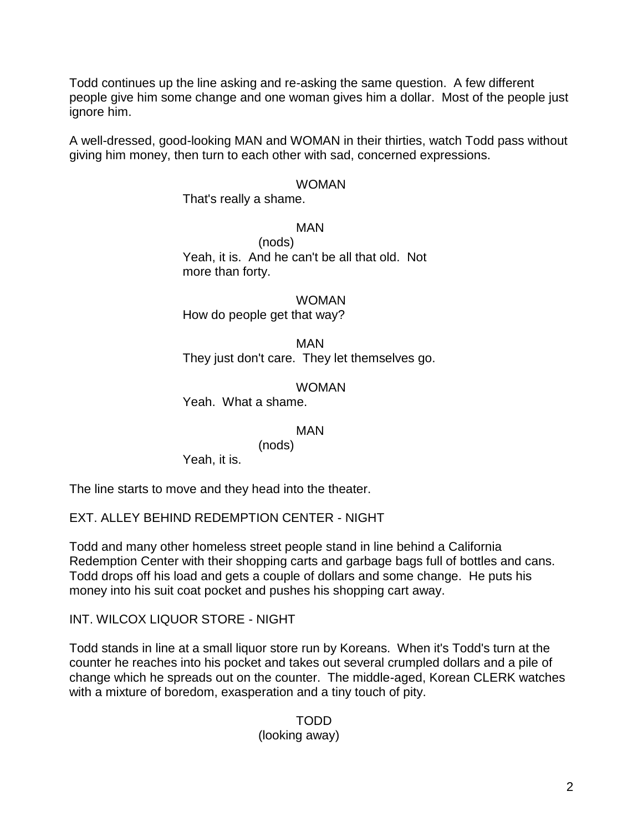Todd continues up the line asking and re-asking the same question. A few different people give him some change and one woman gives him a dollar. Most of the people just ignore him.

A well-dressed, good-looking MAN and WOMAN in their thirties, watch Todd pass without giving him money, then turn to each other with sad, concerned expressions.

## WOMAN

That's really a shame.

# MAN

(nods) Yeah, it is. And he can't be all that old. Not more than forty.

WOMAN How do people get that way?

MAN They just don't care. They let themselves go.

# WOMAN

Yeah. What a shame.

# MAN

(nods)

Yeah, it is.

The line starts to move and they head into the theater.

EXT. ALLEY BEHIND REDEMPTION CENTER - NIGHT

Todd and many other homeless street people stand in line behind a California Redemption Center with their shopping carts and garbage bags full of bottles and cans. Todd drops off his load and gets a couple of dollars and some change. He puts his money into his suit coat pocket and pushes his shopping cart away.

INT. WILCOX LIQUOR STORE - NIGHT

Todd stands in line at a small liquor store run by Koreans. When it's Todd's turn at the counter he reaches into his pocket and takes out several crumpled dollars and a pile of change which he spreads out on the counter. The middle-aged, Korean CLERK watches with a mixture of boredom, exasperation and a tiny touch of pity.

> TODD (looking away)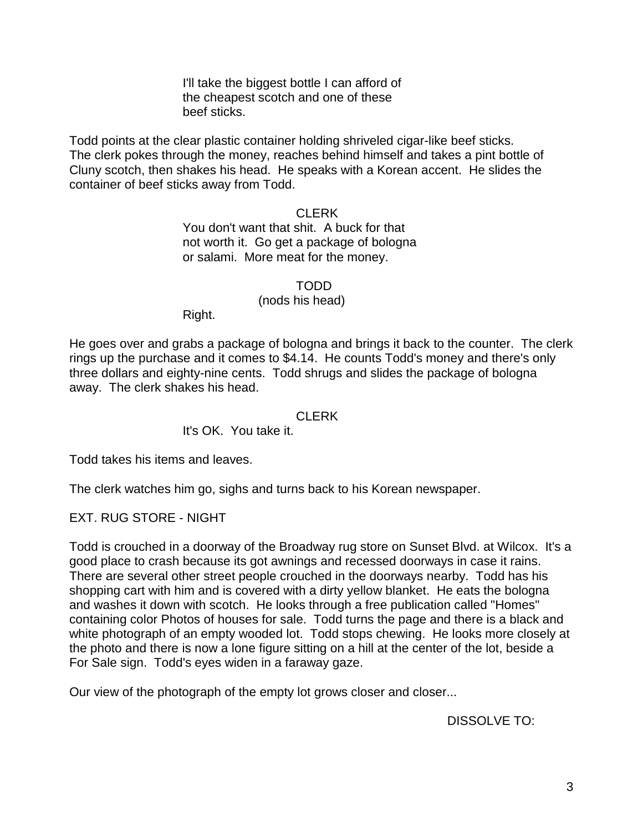I'll take the biggest bottle I can afford of the cheapest scotch and one of these beef sticks.

Todd points at the clear plastic container holding shriveled cigar-like beef sticks. The clerk pokes through the money, reaches behind himself and takes a pint bottle of Cluny scotch, then shakes his head. He speaks with a Korean accent. He slides the container of beef sticks away from Todd.

## CLERK

You don't want that shit. A buck for that not worth it. Go get a package of bologna or salami. More meat for the money.

#### TODD

(nods his head)

Right.

He goes over and grabs a package of bologna and brings it back to the counter. The clerk rings up the purchase and it comes to \$4.14. He counts Todd's money and there's only three dollars and eighty-nine cents. Todd shrugs and slides the package of bologna away. The clerk shakes his head.

#### CLERK

It's OK. You take it.

Todd takes his items and leaves.

The clerk watches him go, sighs and turns back to his Korean newspaper.

## EXT. RUG STORE - NIGHT

Todd is crouched in a doorway of the Broadway rug store on Sunset Blvd. at Wilcox. It's a good place to crash because its got awnings and recessed doorways in case it rains. There are several other street people crouched in the doorways nearby. Todd has his shopping cart with him and is covered with a dirty yellow blanket. He eats the bologna and washes it down with scotch. He looks through a free publication called "Homes" containing color Photos of houses for sale. Todd turns the page and there is a black and white photograph of an empty wooded lot. Todd stops chewing. He looks more closely at the photo and there is now a lone figure sitting on a hill at the center of the lot, beside a For Sale sign. Todd's eyes widen in a faraway gaze.

Our view of the photograph of the empty lot grows closer and closer...

DISSOLVE TO: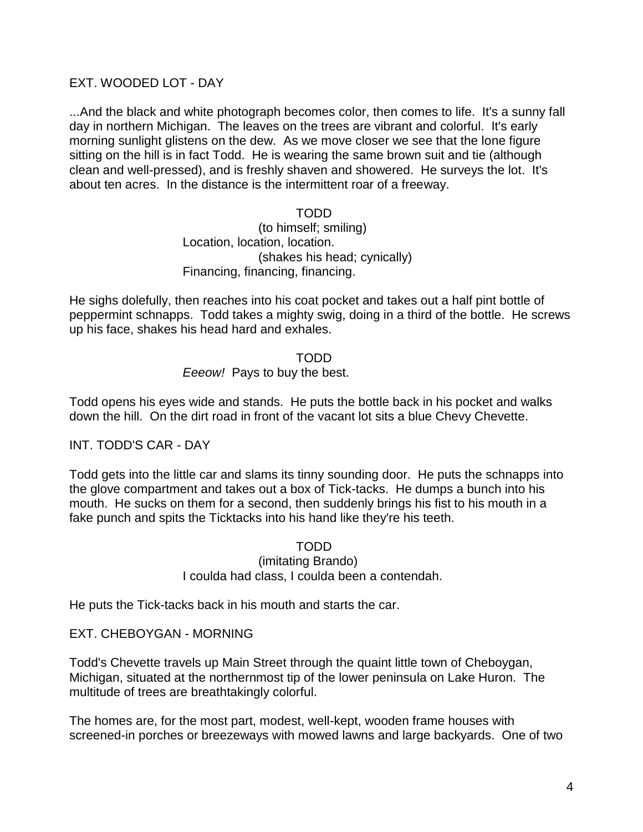EXT. WOODED LOT - DAY

...And the black and white photograph becomes color, then comes to life. It's a sunny fall day in northern Michigan. The leaves on the trees are vibrant and colorful. It's early morning sunlight glistens on the dew. As we move closer we see that the lone figure sitting on the hill is in fact Todd. He is wearing the same brown suit and tie (although clean and well-pressed), and is freshly shaven and showered. He surveys the lot. It's about ten acres. In the distance is the intermittent roar of a freeway.

> TODD (to himself; smiling) Location, location, location. (shakes his head; cynically) Financing, financing, financing.

He sighs dolefully, then reaches into his coat pocket and takes out a half pint bottle of peppermint schnapps. Todd takes a mighty swig, doing in a third of the bottle. He screws up his face, shakes his head hard and exhales.

# TODD

*Eeeow!* Pays to buy the best.

Todd opens his eyes wide and stands. He puts the bottle back in his pocket and walks down the hill. On the dirt road in front of the vacant lot sits a blue Chevy Chevette.

INT. TODD'S CAR - DAY

Todd gets into the little car and slams its tinny sounding door. He puts the schnapps into the glove compartment and takes out a box of Tick-tacks. He dumps a bunch into his mouth. He sucks on them for a second, then suddenly brings his fist to his mouth in a fake punch and spits the Ticktacks into his hand like they're his teeth.

TODD

(imitating Brando) I coulda had class, I coulda been a contendah.

He puts the Tick-tacks back in his mouth and starts the car.

EXT. CHEBOYGAN - MORNING

Todd's Chevette travels up Main Street through the quaint little town of Cheboygan, Michigan, situated at the northernmost tip of the lower peninsula on Lake Huron. The multitude of trees are breathtakingly colorful.

The homes are, for the most part, modest, well-kept, wooden frame houses with screened-in porches or breezeways with mowed lawns and large backyards. One of two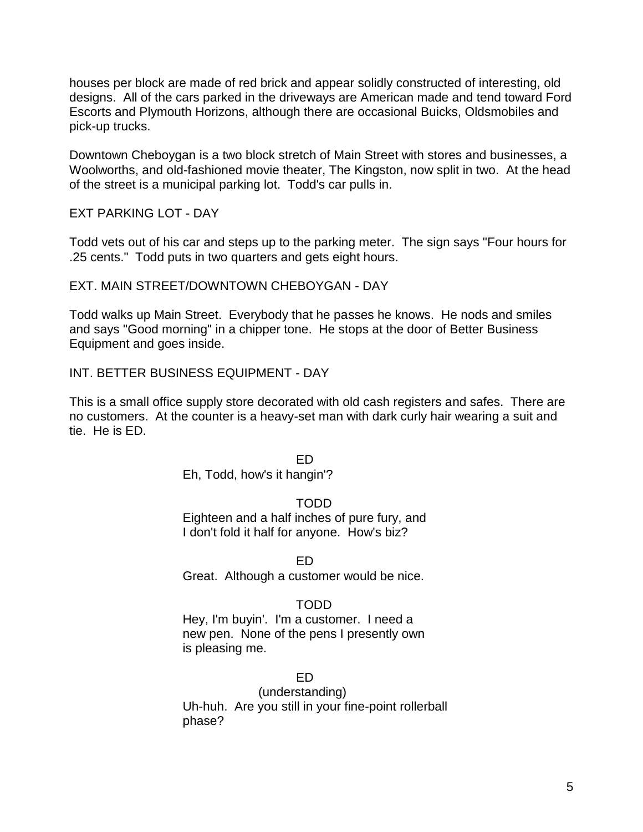houses per block are made of red brick and appear solidly constructed of interesting, old designs. All of the cars parked in the driveways are American made and tend toward Ford Escorts and Plymouth Horizons, although there are occasional Buicks, Oldsmobiles and pick-up trucks.

Downtown Cheboygan is a two block stretch of Main Street with stores and businesses, a Woolworths, and old-fashioned movie theater, The Kingston, now split in two. At the head of the street is a municipal parking lot. Todd's car pulls in.

EXT PARKING LOT - DAY

Todd vets out of his car and steps up to the parking meter. The sign says "Four hours for .25 cents." Todd puts in two quarters and gets eight hours.

EXT. MAIN STREET/DOWNTOWN CHEBOYGAN - DAY

Todd walks up Main Street. Everybody that he passes he knows. He nods and smiles and says "Good morning" in a chipper tone. He stops at the door of Better Business Equipment and goes inside.

INT. BETTER BUSINESS EQUIPMENT - DAY

This is a small office supply store decorated with old cash registers and safes. There are no customers. At the counter is a heavy-set man with dark curly hair wearing a suit and tie. He is ED.

ED

Eh, Todd, how's it hangin'?

TODD

Eighteen and a half inches of pure fury, and I don't fold it half for anyone. How's biz?

ED

Great. Although a customer would be nice.

# TODD

Hey, I'm buyin'. I'm a customer. I need a new pen. None of the pens I presently own is pleasing me.

# ED

(understanding)

Uh-huh. Are you still in your fine-point rollerball phase?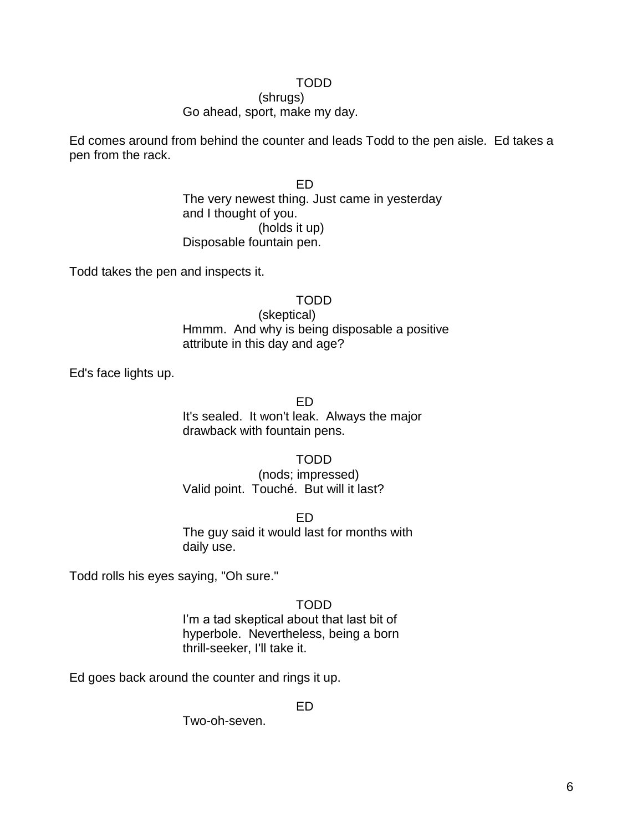# TODD

#### (shrugs) Go ahead, sport, make my day.

Ed comes around from behind the counter and leads Todd to the pen aisle. Ed takes a pen from the rack.

> ED The very newest thing. Just came in yesterday and I thought of you. (holds it up) Disposable fountain pen.

Todd takes the pen and inspects it.

# TODD

(skeptical) Hmmm. And why is being disposable a positive attribute in this day and age?

Ed's face lights up.

ED

It's sealed. It won't leak. Always the major drawback with fountain pens.

# TODD

(nods; impressed) Valid point. Touché. But will it last?

ED

The guy said it would last for months with daily use.

Todd rolls his eyes saying, "Oh sure."

# TODD

I'm a tad skeptical about that last bit of hyperbole. Nevertheless, being a born thrill-seeker, I'll take it.

Ed goes back around the counter and rings it up.

ED

Two-oh-seven.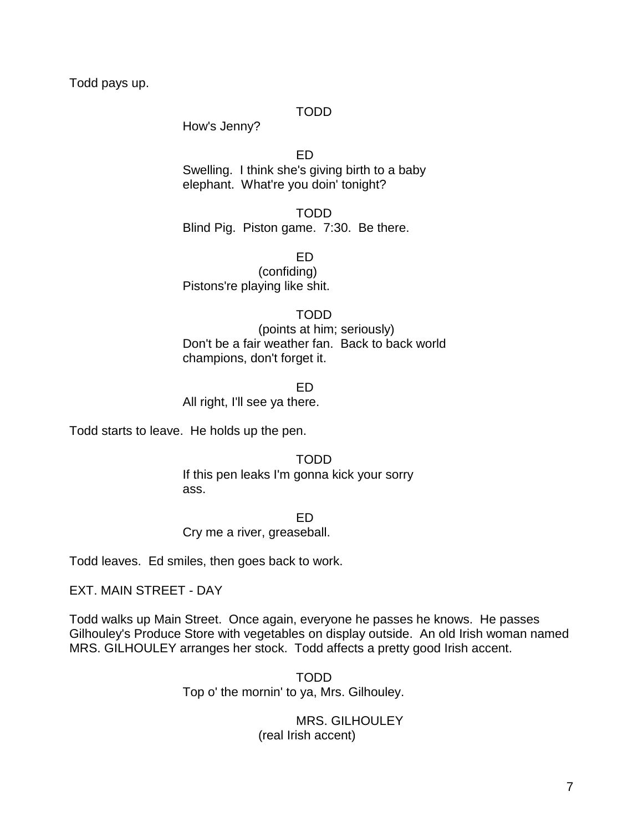Todd pays up.

## TODD

How's Jenny?

ED Swelling. I think she's giving birth to a baby elephant. What're you doin' tonight?

TODD Blind Pig. Piston game. 7:30. Be there.

ED (confiding) Pistons're playing like shit.

# TODD

(points at him; seriously) Don't be a fair weather fan. Back to back world champions, don't forget it.

ED All right, I'll see ya there.

Todd starts to leave. He holds up the pen.

TODD If this pen leaks I'm gonna kick your sorry ass.

ED

Cry me a river, greaseball.

Todd leaves. Ed smiles, then goes back to work.

EXT. MAIN STREET - DAY

Todd walks up Main Street. Once again, everyone he passes he knows. He passes Gilhouley's Produce Store with vegetables on display outside. An old Irish woman named MRS. GILHOULEY arranges her stock. Todd affects a pretty good Irish accent.

> TODD Top o' the mornin' to ya, Mrs. Gilhouley.

> > MRS. GILHOULEY (real Irish accent)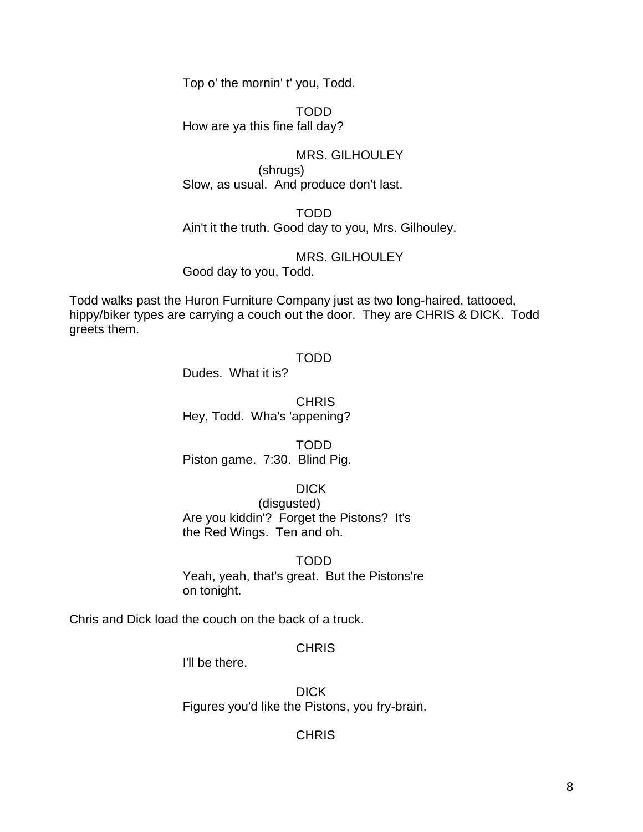Top o' the mornin' t' you, Todd.

TODD How are ya this fine fall day?

MRS. GILHOULEY (shrugs) Slow, as usual. And produce don't last.

TODD Ain't it the truth. Good day to you, Mrs. Gilhouley.

MRS. GILHOULEY Good day to you, Todd.

Todd walks past the Huron Furniture Company just as two long-haired, tattooed, hippy/biker types are carrying a couch out the door. They are CHRIS & DICK. Todd greets them.

#### TODD

Dudes. What it is?

**CHRIS** Hey, Todd. Wha's 'appening?

TODD Piston game. 7:30. Blind Pig.

DICK

(disgusted) Are you kiddin'? Forget the Pistons? It's the Red Wings. Ten and oh.

TODD

Yeah, yeah, that's great. But the Pistons're on tonight.

Chris and Dick load the couch on the back of a truck.

**CHRIS** 

I'll be there.

DICK Figures you'd like the Pistons, you fry-brain.

# **CHRIS**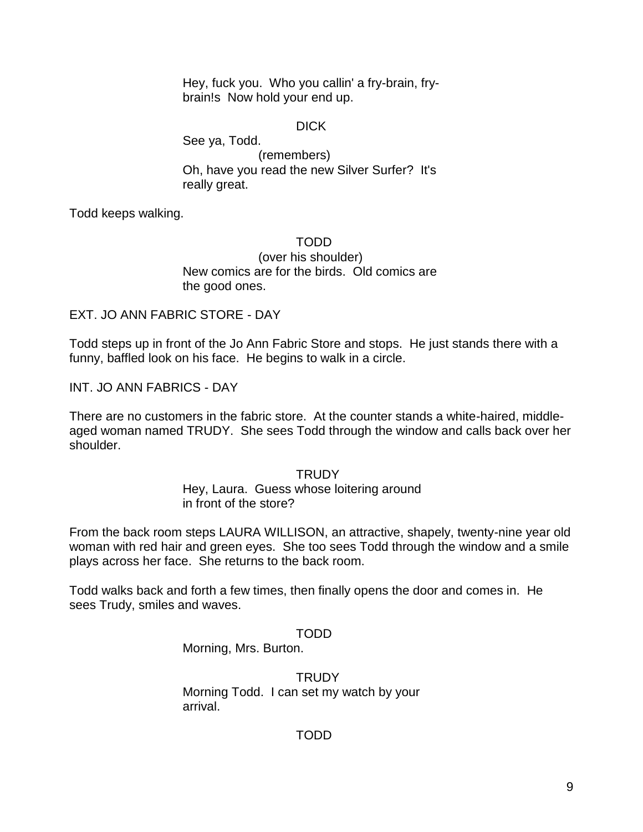Hey, fuck you. Who you callin' a fry-brain, frybrain!s Now hold your end up.

DICK

See ya, Todd.

(remembers) Oh, have you read the new Silver Surfer? It's really great.

Todd keeps walking.

TODD

(over his shoulder) New comics are for the birds. Old comics are the good ones.

EXT. JO ANN FABRIC STORE - DAY

Todd steps up in front of the Jo Ann Fabric Store and stops. He just stands there with a funny, baffled look on his face. He begins to walk in a circle.

INT. JO ANN FABRICS - DAY

There are no customers in the fabric store. At the counter stands a white-haired, middleaged woman named TRUDY. She sees Todd through the window and calls back over her shoulder.

# **TRUDY**

Hey, Laura. Guess whose loitering around in front of the store?

From the back room steps LAURA WILLISON, an attractive, shapely, twenty-nine year old woman with red hair and green eyes. She too sees Todd through the window and a smile plays across her face. She returns to the back room.

Todd walks back and forth a few times, then finally opens the door and comes in. He sees Trudy, smiles and waves.

TODD

Morning, Mrs. Burton.

**TRUDY** Morning Todd. I can set my watch by your arrival.

# TODD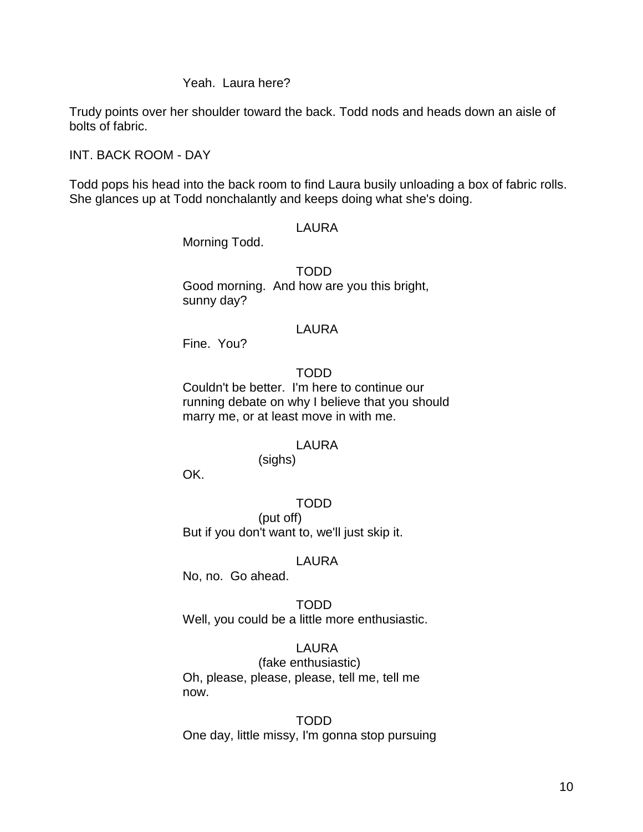Yeah. Laura here?

Trudy points over her shoulder toward the back. Todd nods and heads down an aisle of bolts of fabric.

INT. BACK ROOM - DAY

Todd pops his head into the back room to find Laura busily unloading a box of fabric rolls. She glances up at Todd nonchalantly and keeps doing what she's doing.

### LAURA

Morning Todd.

TODD Good morning. And how are you this bright, sunny day?

# LAURA

Fine. You?

## TODD

Couldn't be better. I'm here to continue our running debate on why I believe that you should marry me, or at least move in with me.

#### LAURA

(sighs)

OK.

# TODD

(put off) But if you don't want to, we'll just skip it.

## LAURA

No, no. Go ahead.

TODD Well, you could be a little more enthusiastic.

# LAURA

(fake enthusiastic) Oh, please, please, please, tell me, tell me now.

## TODD

One day, little missy, I'm gonna stop pursuing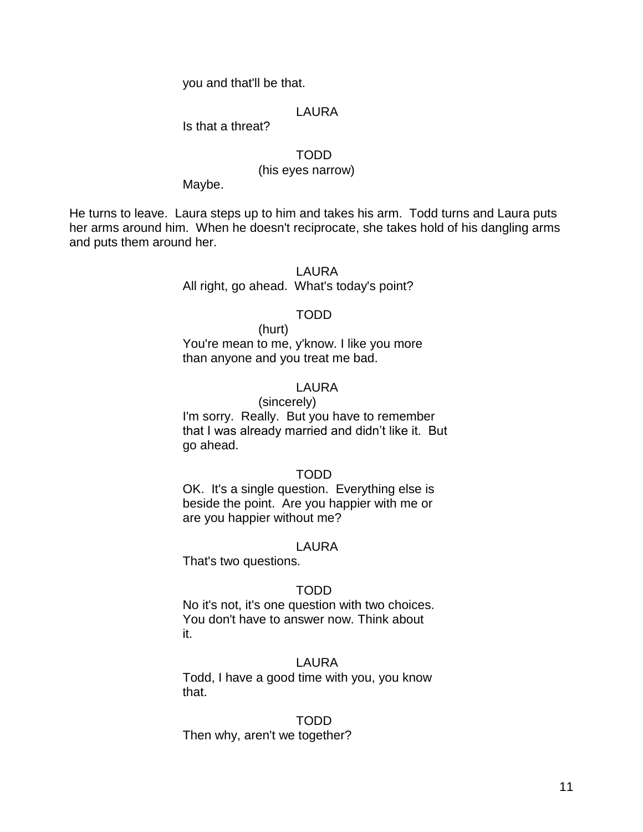you and that'll be that.

# LAURA

Is that a threat?

# TODD

# (his eyes narrow)

Maybe.

He turns to leave. Laura steps up to him and takes his arm. Todd turns and Laura puts her arms around him. When he doesn't reciprocate, she takes hold of his dangling arms and puts them around her.

> LAURA All right, go ahead. What's today's point?

#### TODD

(hurt) You're mean to me, y'know. I like you more than anyone and you treat me bad.

# LAURA

(sincerely) I'm sorry. Really. But you have to remember that I was already married and didn't like it. But go ahead.

#### TODD

OK. It's a single question. Everything else is beside the point. Are you happier with me or are you happier without me?

## LAURA

That's two questions.

## TODD

No it's not, it's one question with two choices. You don't have to answer now. Think about it.

## LAURA

Todd, I have a good time with you, you know that.

#### TODD

Then why, aren't we together?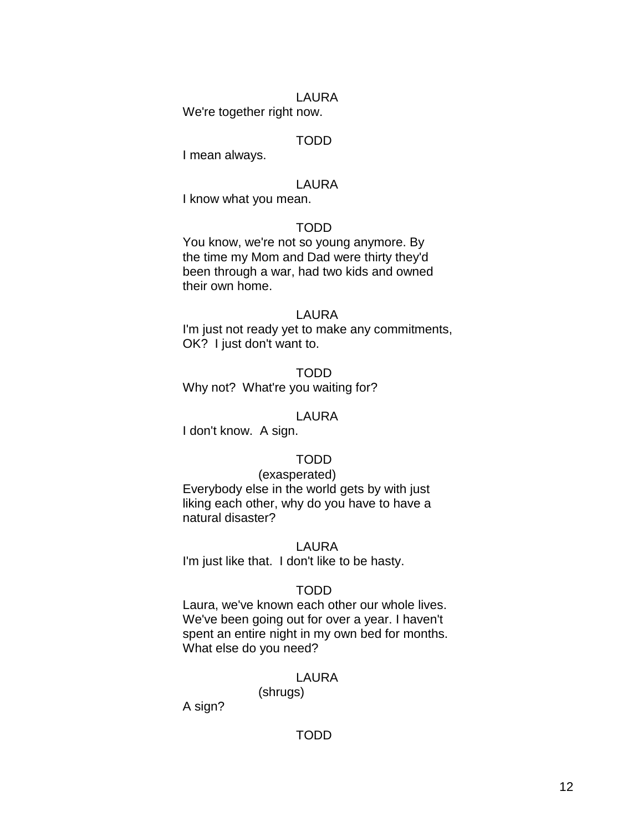#### LAURA

We're together right now.

#### TODD

I mean always.

### LAURA

I know what you mean.

#### TODD

You know, we're not so young anymore. By the time my Mom and Dad were thirty they'd been through a war, had two kids and owned their own home.

#### LAURA

I'm just not ready yet to make any commitments, OK? I just don't want to.

TODD Why not? What're you waiting for?

#### LAURA

I don't know. A sign.

# TODD

(exasperated) Everybody else in the world gets by with just liking each other, why do you have to have a natural disaster?

#### LAURA

I'm just like that. I don't like to be hasty.

## TODD

Laura, we've known each other our whole lives. We've been going out for over a year. I haven't spent an entire night in my own bed for months. What else do you need?

### LAURA

(shrugs)

A sign?

#### TODD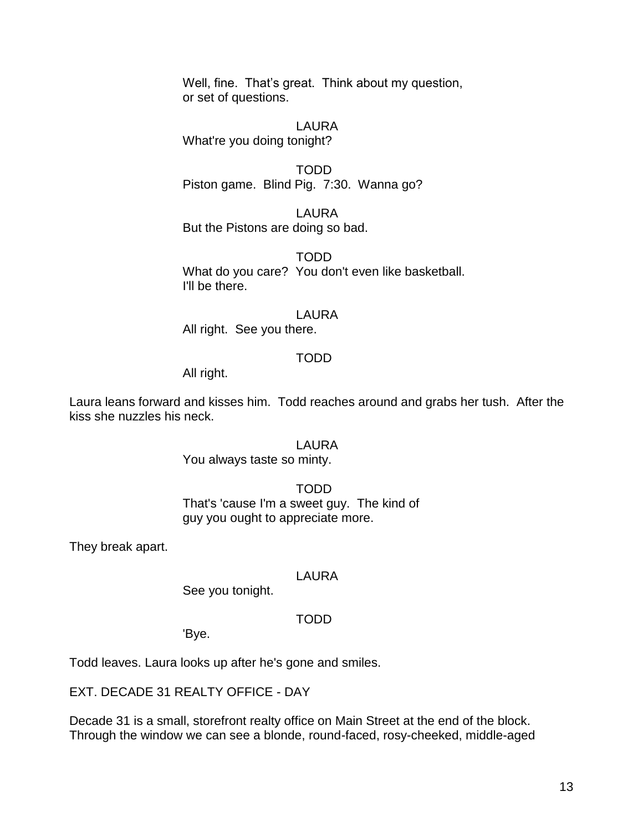Well, fine. That's great. Think about my question, or set of questions.

LAURA What're you doing tonight?

TODD Piston game. Blind Pig. 7:30. Wanna go?

LAURA But the Pistons are doing so bad.

TODD What do you care? You don't even like basketball. I'll be there.

# LAURA

All right. See you there.

# TODD

All right.

Laura leans forward and kisses him. Todd reaches around and grabs her tush. After the kiss she nuzzles his neck.

## LAURA

You always taste so minty.

TODD That's 'cause I'm a sweet guy. The kind of guy you ought to appreciate more.

They break apart.

# LAURA

See you tonight.

# TODD

'Bye.

Todd leaves. Laura looks up after he's gone and smiles.

EXT. DECADE 31 REALTY OFFICE - DAY

Decade 31 is a small, storefront realty office on Main Street at the end of the block. Through the window we can see a blonde, round-faced, rosy-cheeked, middle-aged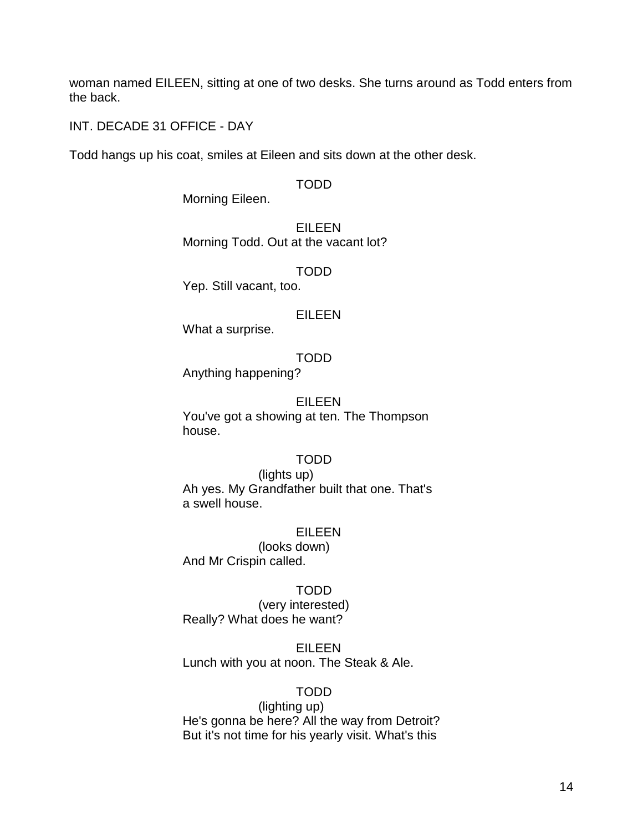woman named EILEEN, sitting at one of two desks. She turns around as Todd enters from the back.

INT. DECADE 31 OFFICE - DAY

Todd hangs up his coat, smiles at Eileen and sits down at the other desk.

# TODD

Morning Eileen.

EILEEN Morning Todd. Out at the vacant lot?

TODD

Yep. Still vacant, too.

## EILEEN

What a surprise.

# TODD

Anything happening?

# EILEEN

You've got a showing at ten. The Thompson house.

# TODD

(lights up) Ah yes. My Grandfather built that one. That's a swell house.

## EILEEN

(looks down) And Mr Crispin called.

## TODD

(very interested) Really? What does he want?

EILEEN Lunch with you at noon. The Steak & Ale.

# TODD

(lighting up) He's gonna be here? All the way from Detroit? But it's not time for his yearly visit. What's this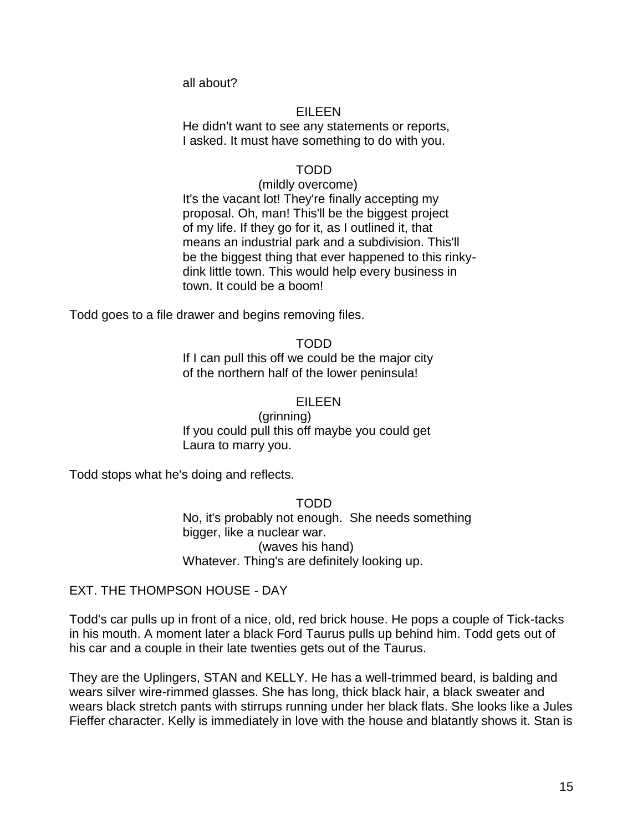all about?

# EILEEN

He didn't want to see any statements or reports, I asked. It must have something to do with you.

## TODD

(mildly overcome) It's the vacant lot! They're finally accepting my proposal. Oh, man! This'll be the biggest project of my life. If they go for it, as I outlined it, that means an industrial park and a subdivision. This'll be the biggest thing that ever happened to this rinkydink little town. This would help every business in town. It could be a boom!

Todd goes to a file drawer and begins removing files.

TODD

If I can pull this off we could be the major city of the northern half of the lower peninsula!

# EILEEN

(grinning) If you could pull this off maybe you could get Laura to marry you.

Todd stops what he's doing and reflects.

TODD

No, it's probably not enough. She needs something bigger, like a nuclear war. (waves his hand) Whatever. Thing's are definitely looking up.

EXT. THE THOMPSON HOUSE - DAY

Todd's car pulls up in front of a nice, old, red brick house. He pops a couple of Tick-tacks in his mouth. A moment later a black Ford Taurus pulls up behind him. Todd gets out of his car and a couple in their late twenties gets out of the Taurus.

They are the Uplingers, STAN and KELLY. He has a well-trimmed beard, is balding and wears silver wire-rimmed glasses. She has long, thick black hair, a black sweater and wears black stretch pants with stirrups running under her black flats. She looks like a Jules Fieffer character. Kelly is immediately in love with the house and blatantly shows it. Stan is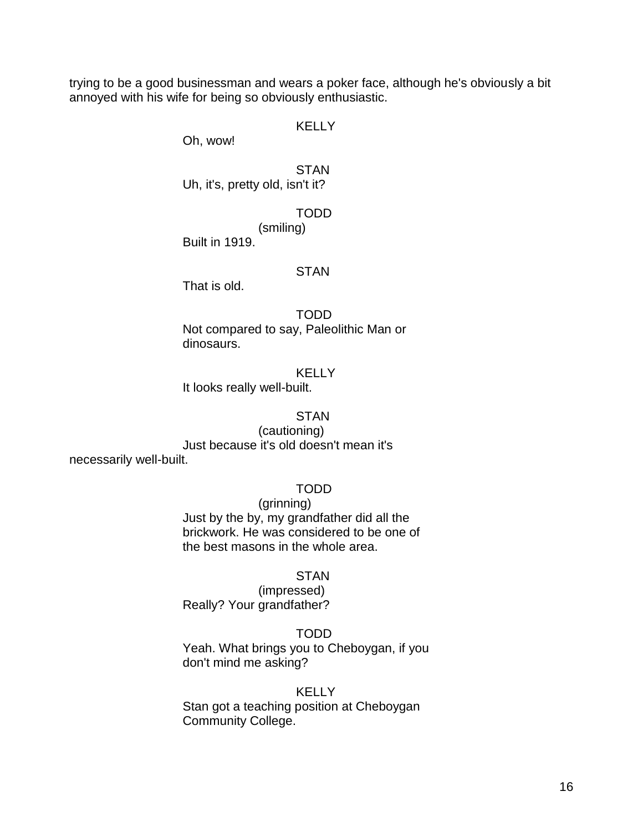trying to be a good businessman and wears a poker face, although he's obviously a bit annoyed with his wife for being so obviously enthusiastic.

## **KELLY**

Oh, wow!

# **STAN**

Uh, it's, pretty old, isn't it?

# TODD

(smiling) Built in 1919.

#### **STAN**

That is old.

TODD

Not compared to say, Paleolithic Man or dinosaurs.

#### **KELLY**

It looks really well-built.

## **STAN**

(cautioning) Just because it's old doesn't mean it's

necessarily well-built.

## TODD

(grinning) Just by the by, my grandfather did all the brickwork. He was considered to be one of the best masons in the whole area.

# **STAN**

(impressed) Really? Your grandfather?

### TODD

Yeah. What brings you to Cheboygan, if you don't mind me asking?

#### KELLY

Stan got a teaching position at Cheboygan Community College.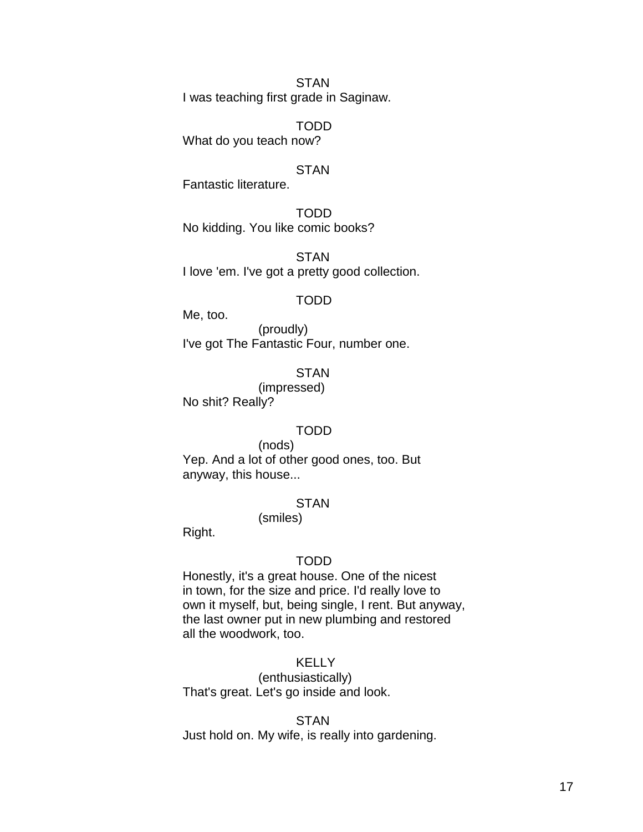# **STAN**

I was teaching first grade in Saginaw.

TODD What do you teach now?

#### **STAN**

Fantastic literature.

TODD No kidding. You like comic books?

**STAN** I love 'em. I've got a pretty good collection.

## TODD

Me, too.

(proudly) I've got The Fantastic Four, number one.

**STAN** 

(impressed)

No shit? Really?

#### TODD

(nods) Yep. And a lot of other good ones, too. But anyway, this house...

## **STAN**

(smiles)

Right.

#### TODD

Honestly, it's a great house. One of the nicest in town, for the size and price. I'd really love to own it myself, but, being single, I rent. But anyway, the last owner put in new plumbing and restored all the woodwork, too.

## **KELLY**

(enthusiastically) That's great. Let's go inside and look.

#### **STAN**

Just hold on. My wife, is really into gardening.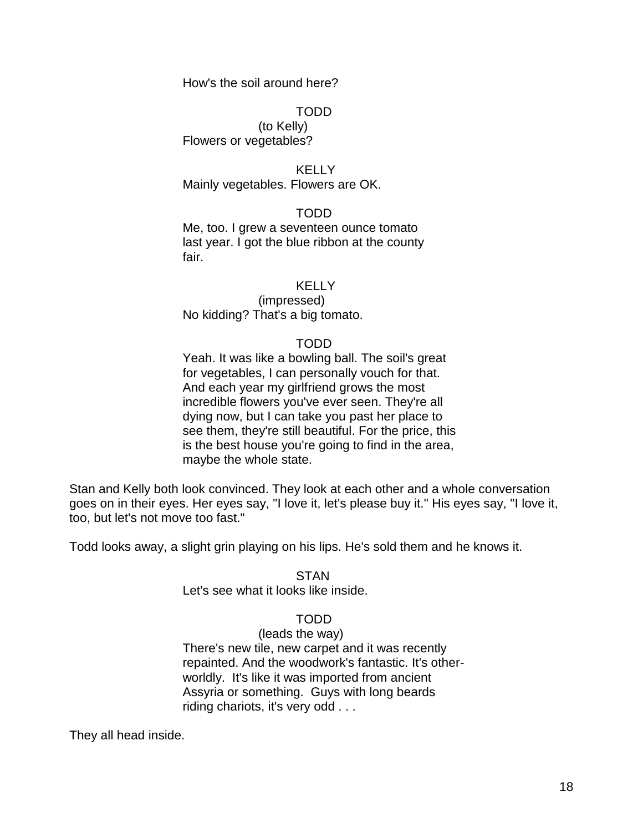How's the soil around here?

# TODD

(to Kelly) Flowers or vegetables?

### **KELLY**

Mainly vegetables. Flowers are OK.

## TODD

Me, too. I grew a seventeen ounce tomato last year. I got the blue ribbon at the county fair.

## **KELLY**

(impressed) No kidding? That's a big tomato.

## TODD

Yeah. It was like a bowling ball. The soil's great for vegetables, I can personally vouch for that. And each year my girlfriend grows the most incredible flowers you've ever seen. They're all dying now, but I can take you past her place to see them, they're still beautiful. For the price, this is the best house you're going to find in the area, maybe the whole state.

Stan and Kelly both look convinced. They look at each other and a whole conversation goes on in their eyes. Her eyes say, "I love it, let's please buy it." His eyes say, "I love it, too, but let's not move too fast."

Todd looks away, a slight grin playing on his lips. He's sold them and he knows it.

## **STAN**

#### Let's see what it looks like inside.

## TODD

(leads the way) There's new tile, new carpet and it was recently repainted. And the woodwork's fantastic. It's otherworldly. It's like it was imported from ancient Assyria or something. Guys with long beards riding chariots, it's very odd . . .

They all head inside.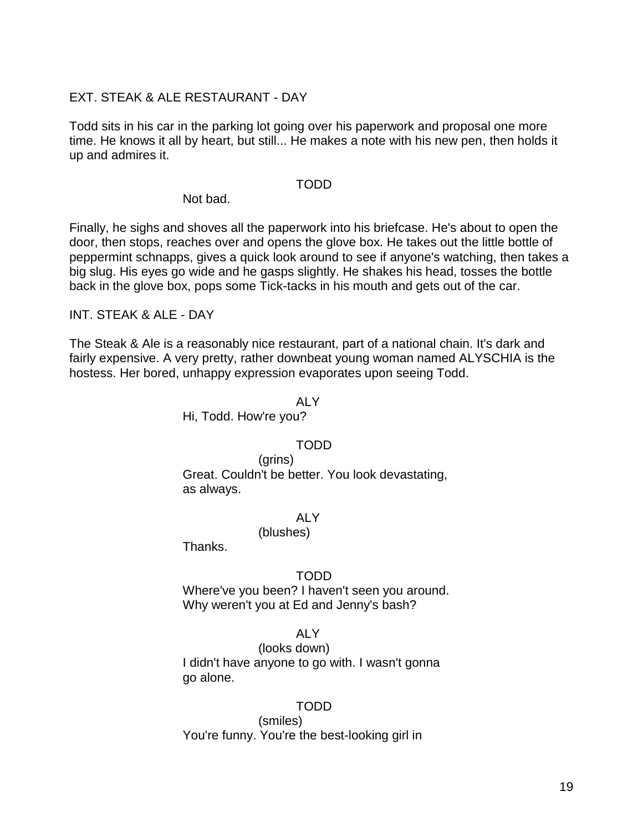# EXT. STEAK & ALE RESTAURANT - DAY

Todd sits in his car in the parking lot going over his paperwork and proposal one more time. He knows it all by heart, but still... He makes a note with his new pen, then holds it up and admires it.

### TODD

## Not bad.

Finally, he sighs and shoves all the paperwork into his briefcase. He's about to open the door, then stops, reaches over and opens the glove box. He takes out the little bottle of peppermint schnapps, gives a quick look around to see if anyone's watching, then takes a big slug. His eyes go wide and he gasps slightly. He shakes his head, tosses the bottle back in the glove box, pops some Tick-tacks in his mouth and gets out of the car.

INT. STEAK & ALE - DAY

The Steak & Ale is a reasonably nice restaurant, part of a national chain. It's dark and fairly expensive. A very pretty, rather downbeat young woman named ALYSCHIA is the hostess. Her bored, unhappy expression evaporates upon seeing Todd.

#### ALY

Hi, Todd. How're you?

## TODD

#### (grins)

Great. Couldn't be better. You look devastating, as always.

ALY

#### (blushes)

Thanks.

## TODD

Where've you been? I haven't seen you around. Why weren't you at Ed and Jenny's bash?

### ALY

(looks down) I didn't have anyone to go with. I wasn't gonna go alone.

## TODD

(smiles) You're funny. You're the best-looking girl in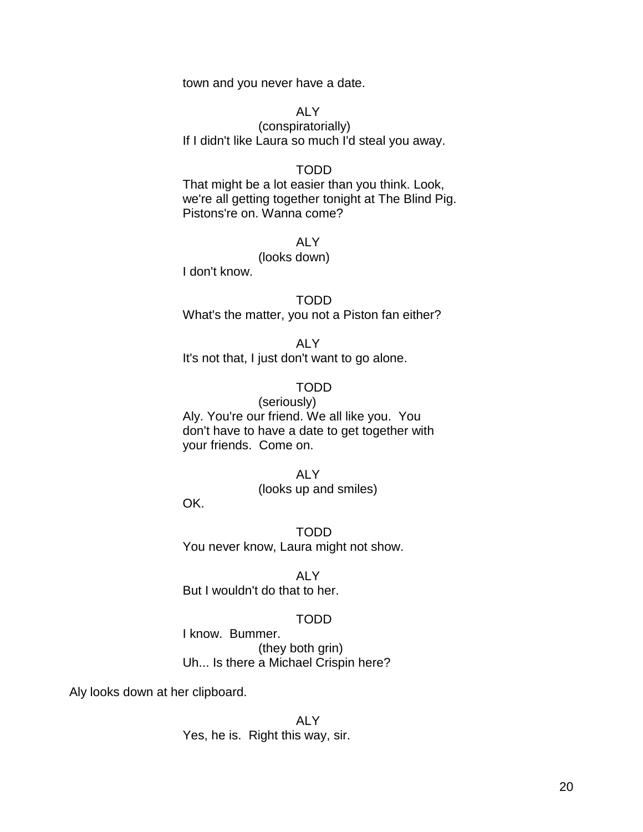town and you never have a date.

# ALY

(conspiratorially) If I didn't like Laura so much I'd steal you away.

#### TODD

That might be a lot easier than you think. Look, we're all getting together tonight at The Blind Pig. Pistons're on. Wanna come?

#### ALY

# (looks down)

I don't know.

## TODD

What's the matter, you not a Piston fan either?

#### ALY

It's not that, I just don't want to go alone.

## TODD

(seriously) Aly. You're our friend. We all like you. You don't have to have a date to get together with your friends. Come on.

#### ALY

(looks up and smiles)

OK.

TODD You never know, Laura might not show.

ALY But I wouldn't do that to her.

#### TODD

I know. Bummer. (they both grin) Uh... Is there a Michael Crispin here?

Aly looks down at her clipboard.

ALY Yes, he is. Right this way, sir.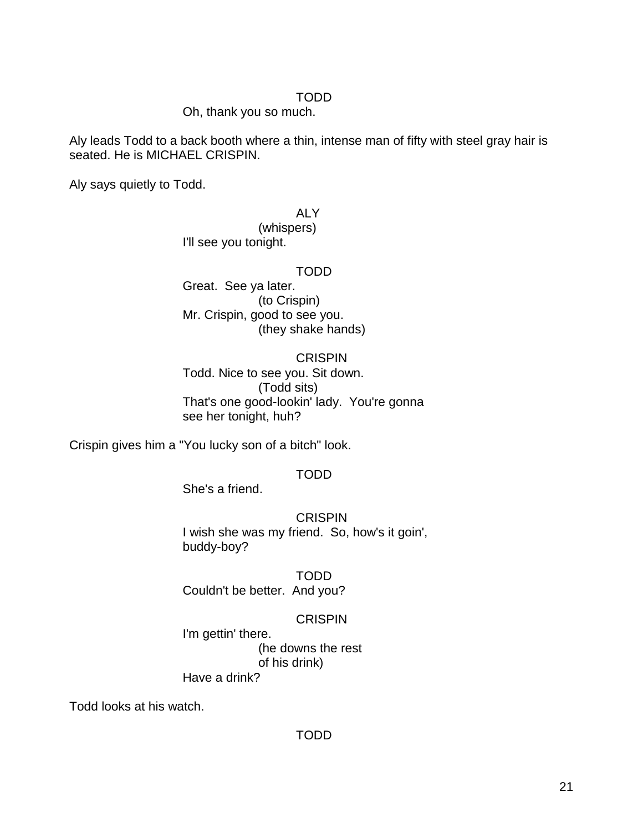### TODD

Oh, thank you so much.

Aly leads Todd to a back booth where a thin, intense man of fifty with steel gray hair is seated. He is MICHAEL CRISPIN.

Aly says quietly to Todd.

### ALY

(whispers) I'll see you tonight.

#### TODD

Great. See ya later. (to Crispin) Mr. Crispin, good to see you. (they shake hands)

# **CRISPIN**

Todd. Nice to see you. Sit down. (Todd sits) That's one good-lookin' lady. You're gonna see her tonight, huh?

Crispin gives him a "You lucky son of a bitch" look.

## TODD

She's a friend.

**CRISPIN** I wish she was my friend. So, how's it goin', buddy-boy?

TODD Couldn't be better. And you?

## **CRISPIN**

I'm gettin' there. (he downs the rest of his drink) Have a drink?

Todd looks at his watch.

TODD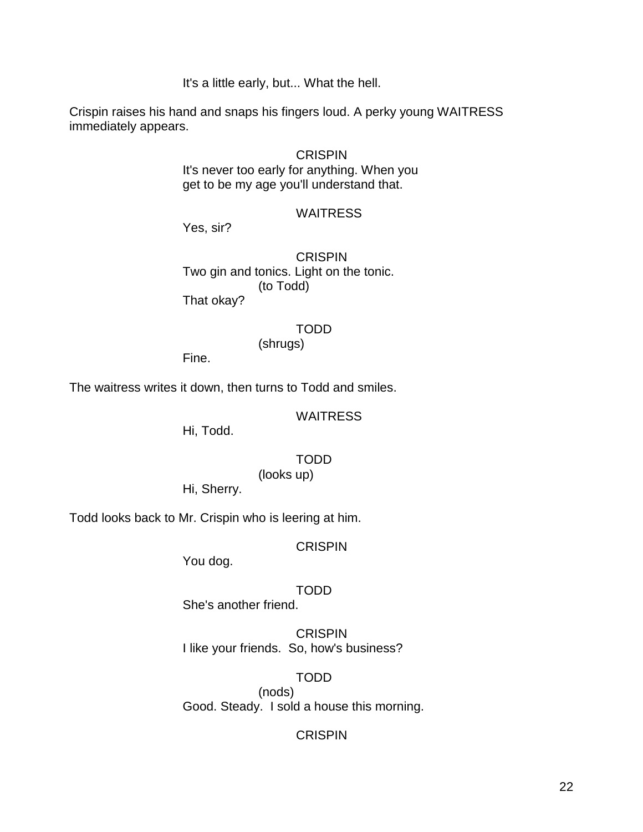It's a little early, but... What the hell.

Crispin raises his hand and snaps his fingers loud. A perky young WAITRESS immediately appears.

# **CRISPIN**

It's never too early for anything. When you get to be my age you'll understand that.

#### **WAITRESS**

Yes, sir?

**CRISPIN** Two gin and tonics. Light on the tonic. (to Todd) That okay?

# TODD

(shrugs)

Fine.

The waitress writes it down, then turns to Todd and smiles.

#### **WAITRESS**

Hi, Todd.

# TODD

(looks up)

Hi, Sherry.

Todd looks back to Mr. Crispin who is leering at him.

#### **CRISPIN**

You dog.

# TODD

She's another friend.

**CRISPIN** I like your friends. So, how's business?

# TODD

(nods) Good. Steady. I sold a house this morning.

## **CRISPIN**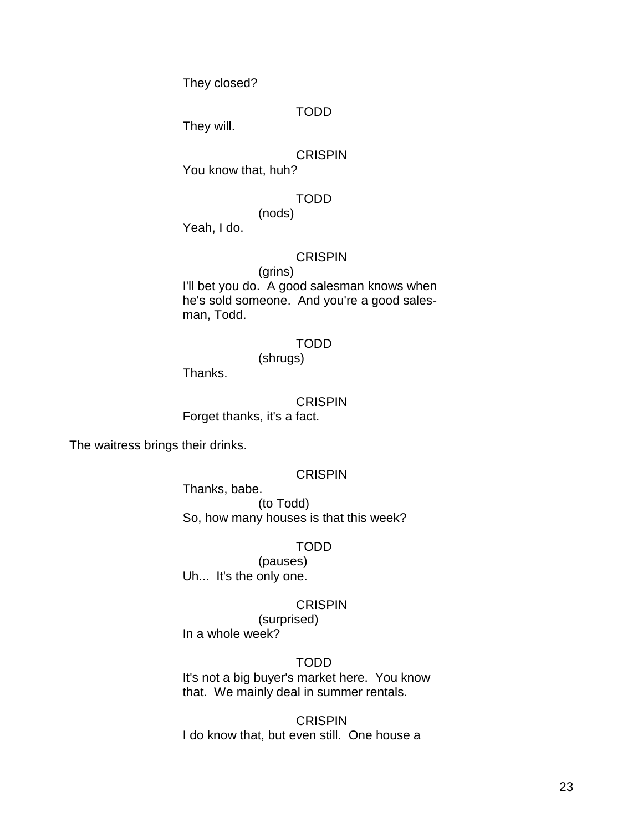They closed?

### TODD

They will.

### **CRISPIN**

You know that, huh?

## TODD

(nods)

Yeah, I do.

### **CRISPIN**

(grins)

I'll bet you do. A good salesman knows when he's sold someone. And you're a good salesman, Todd.

## TODD

(shrugs)

Thanks.

**CRISPIN** Forget thanks, it's a fact.

The waitress brings their drinks.

# **CRISPIN**

Thanks, babe. (to Todd) So, how many houses is that this week?

#### TODD

(pauses) Uh... It's the only one.

# **CRISPIN**

(surprised) In a whole week?

### TODD

It's not a big buyer's market here. You know that. We mainly deal in summer rentals.

**CRISPIN** I do know that, but even still. One house a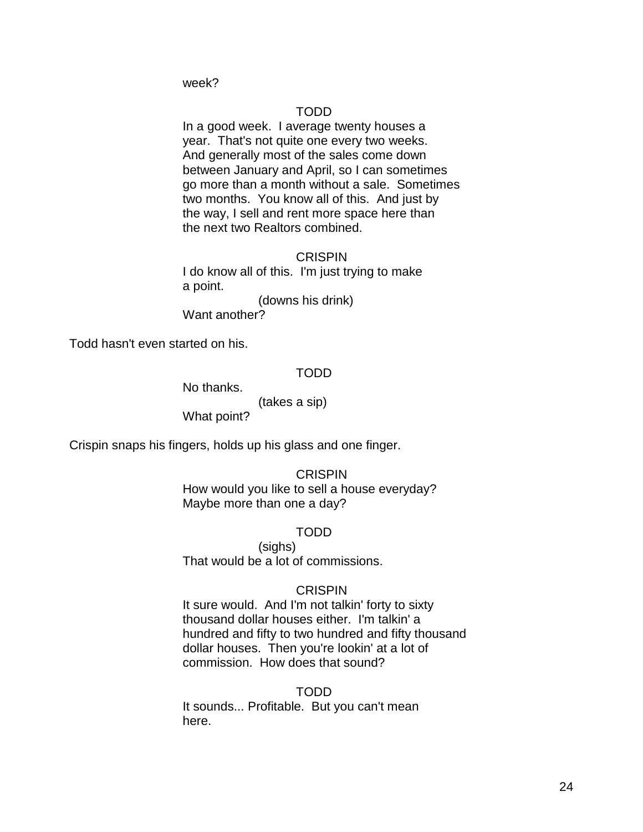week?

### TODD

In a good week. I average twenty houses a year. That's not quite one every two weeks. And generally most of the sales come down between January and April, so I can sometimes go more than a month without a sale. Sometimes two months. You know all of this. And just by the way, I sell and rent more space here than the next two Realtors combined.

**CRISPIN** 

I do know all of this. I'm just trying to make a point.

(downs his drink)

Want another?

Todd hasn't even started on his.

#### TODD

No thanks. (takes a sip) What point?

Crispin snaps his fingers, holds up his glass and one finger.

**CRISPIN** How would you like to sell a house everyday? Maybe more than one a day?

## TODD

(sighs) That would be a lot of commissions.

## **CRISPIN**

It sure would. And I'm not talkin' forty to sixty thousand dollar houses either. I'm talkin' a hundred and fifty to two hundred and fifty thousand dollar houses. Then you're lookin' at a lot of commission. How does that sound?

#### TODD

It sounds... Profitable. But you can't mean here.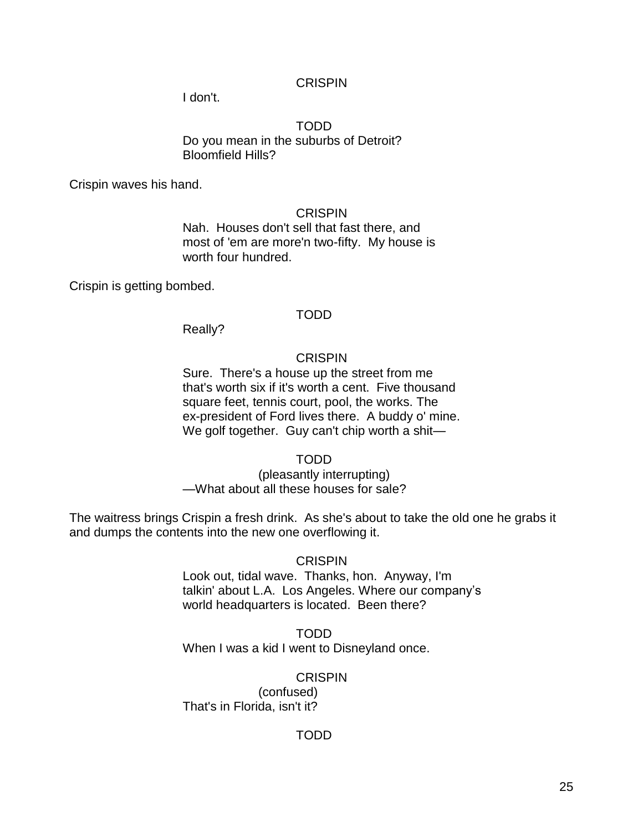## **CRISPIN**

I don't.

TODD Do you mean in the suburbs of Detroit? Bloomfield Hills?

Crispin waves his hand.

### **CRISPIN**

Nah. Houses don't sell that fast there, and most of 'em are more'n two-fifty. My house is worth four hundred.

Crispin is getting bombed.

#### TODD

Really?

#### **CRISPIN**

Sure. There's a house up the street from me that's worth six if it's worth a cent. Five thousand square feet, tennis court, pool, the works. The ex-president of Ford lives there. A buddy o' mine. We golf together. Guy can't chip worth a shit-

TODD

(pleasantly interrupting) —What about all these houses for sale?

The waitress brings Crispin a fresh drink. As she's about to take the old one he grabs it and dumps the contents into the new one overflowing it.

#### **CRISPIN**

Look out, tidal wave. Thanks, hon. Anyway, I'm talkin' about L.A. Los Angeles. Where our company's world headquarters is located. Been there?

TODD When I was a kid I went to Disneyland once.

## **CRISPIN**

(confused) That's in Florida, isn't it?

#### TODD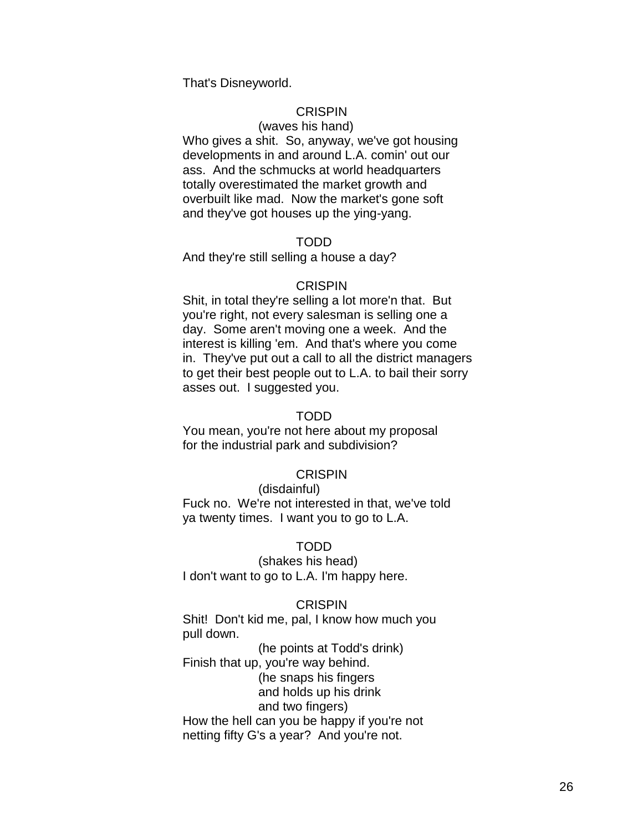That's Disneyworld.

# **CRISPIN**

### (waves his hand)

Who gives a shit. So, anyway, we've got housing developments in and around L.A. comin' out our ass. And the schmucks at world headquarters totally overestimated the market growth and overbuilt like mad. Now the market's gone soft and they've got houses up the ying-yang.

#### TODD

And they're still selling a house a day?

#### **CRISPIN**

Shit, in total they're selling a lot more'n that. But you're right, not every salesman is selling one a day. Some aren't moving one a week. And the interest is killing 'em. And that's where you come in. They've put out a call to all the district managers to get their best people out to L.A. to bail their sorry asses out. I suggested you.

#### TODD

You mean, you're not here about my proposal for the industrial park and subdivision?

#### **CRISPIN**

## (disdainful)

Fuck no. We're not interested in that, we've told ya twenty times. I want you to go to L.A.

#### TODD

(shakes his head) I don't want to go to L.A. I'm happy here.

#### **CRISPIN**

Shit! Don't kid me, pal, I know how much you pull down.

(he points at Todd's drink) Finish that up, you're way behind. (he snaps his fingers and holds up his drink and two fingers) How the hell can you be happy if you're not netting fifty G's a year? And you're not.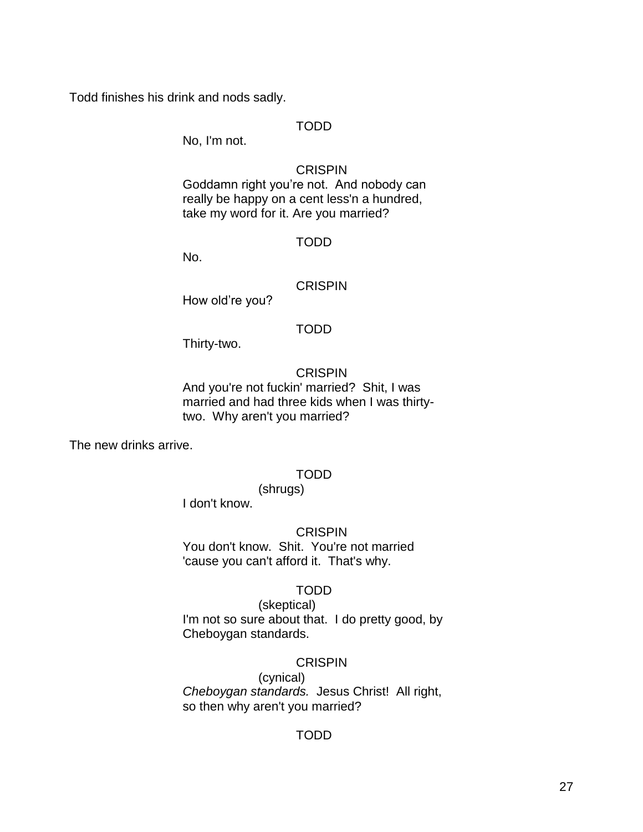Todd finishes his drink and nods sadly.

#### TODD

No, I'm not.

#### **CRISPIN**

Goddamn right you're not. And nobody can really be happy on a cent less'n a hundred, take my word for it. Are you married?

#### TODD

No.

#### **CRISPIN**

How old're you?

### TODD

Thirty-two.

## **CRISPIN**

And you're not fuckin' married? Shit, I was married and had three kids when I was thirtytwo. Why aren't you married?

The new drinks arrive.

# TODD

(shrugs)

I don't know.

# **CRISPIN**

You don't know. Shit. You're not married 'cause you can't afford it. That's why.

## TODD

(skeptical) I'm not so sure about that. I do pretty good, by Cheboygan standards.

### **CRISPIN**

(cynical) *Cheboygan standards.* Jesus Christ! All right, so then why aren't you married?

#### TODD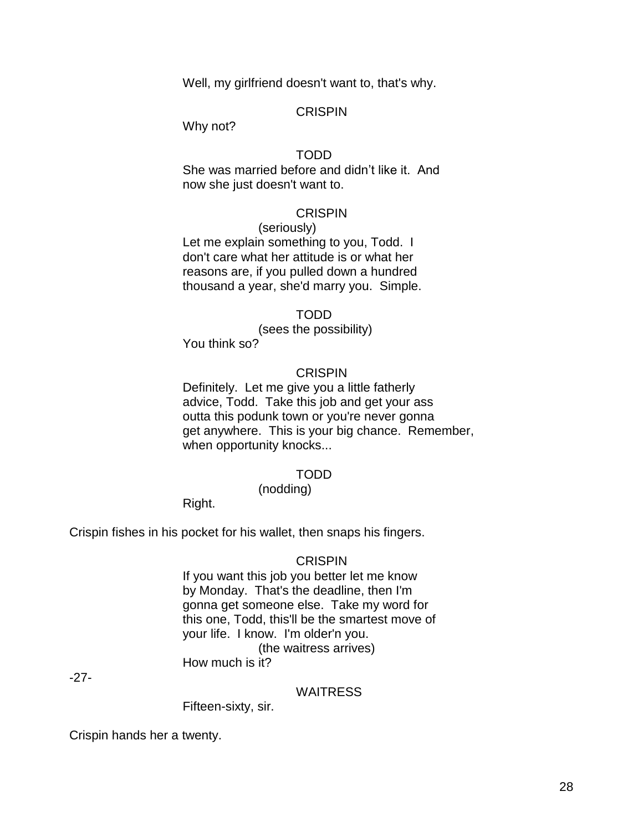Well, my girlfriend doesn't want to, that's why.

## **CRISPIN**

Why not?

## TODD

She was married before and didn't like it. And now she just doesn't want to.

## **CRISPIN**

(seriously) Let me explain something to you, Todd. I don't care what her attitude is or what her reasons are, if you pulled down a hundred thousand a year, she'd marry you. Simple.

## TODD

(sees the possibility)

You think so?

# **CRISPIN**

Definitely. Let me give you a little fatherly advice, Todd. Take this job and get your ass outta this podunk town or you're never gonna get anywhere. This is your big chance. Remember, when opportunity knocks...

## TODD

# (nodding)

Right.

Crispin fishes in his pocket for his wallet, then snaps his fingers.

## **CRISPIN**

If you want this job you better let me know by Monday. That's the deadline, then I'm gonna get someone else. Take my word for this one, Todd, this'll be the smartest move of your life. I know. I'm older'n you. (the waitress arrives)

How much is it?

-27-

## **WAITRESS**

Fifteen-sixty, sir.

Crispin hands her a twenty.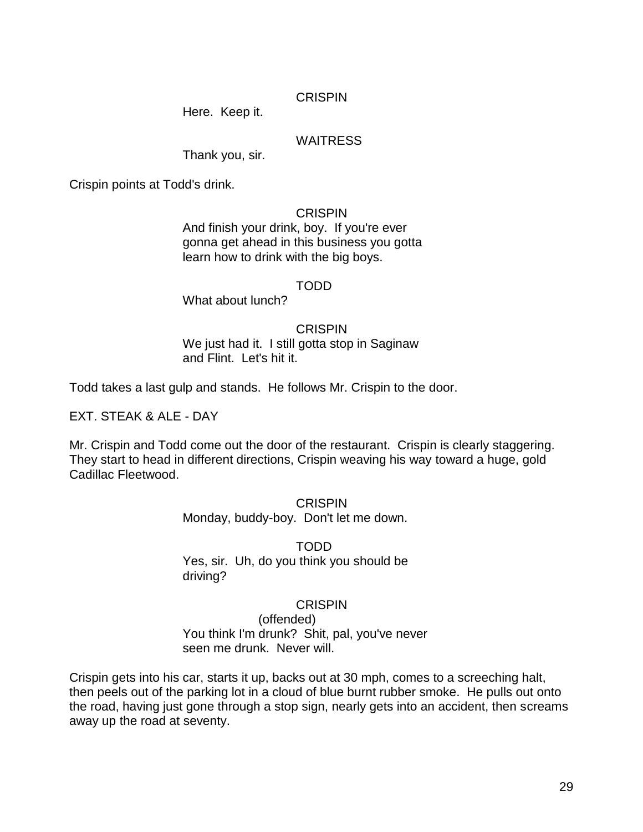# **CRISPIN**

Here. Keep it.

# **WAITRESS**

Thank you, sir.

Crispin points at Todd's drink.

## **CRISPIN**

And finish your drink, boy. If you're ever gonna get ahead in this business you gotta learn how to drink with the big boys.

# TODD

What about lunch?

## **CRISPIN**

We just had it. I still gotta stop in Saginaw and Flint. Let's hit it.

Todd takes a last gulp and stands. He follows Mr. Crispin to the door.

EXT. STEAK & ALE - DAY

Mr. Crispin and Todd come out the door of the restaurant. Crispin is clearly staggering. They start to head in different directions, Crispin weaving his way toward a huge, gold Cadillac Fleetwood.

> **CRISPIN** Monday, buddy-boy. Don't let me down.

> TODD Yes, sir. Uh, do you think you should be driving?

## **CRISPIN**

(offended) You think I'm drunk? Shit, pal, you've never seen me drunk. Never will.

Crispin gets into his car, starts it up, backs out at 30 mph, comes to a screeching halt, then peels out of the parking lot in a cloud of blue burnt rubber smoke. He pulls out onto the road, having just gone through a stop sign, nearly gets into an accident, then screams away up the road at seventy.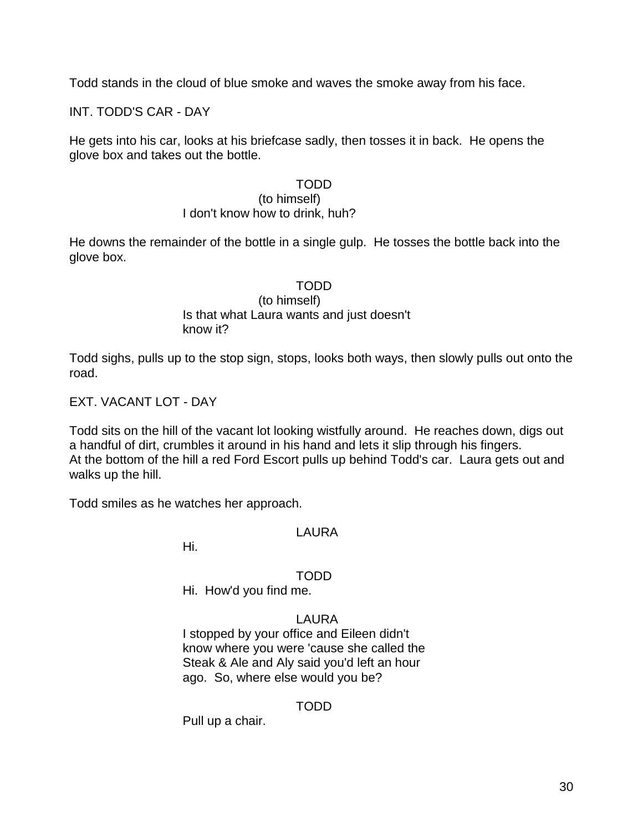Todd stands in the cloud of blue smoke and waves the smoke away from his face.

INT. TODD'S CAR - DAY

He gets into his car, looks at his briefcase sadly, then tosses it in back. He opens the glove box and takes out the bottle.

# TODD

#### (to himself) I don't know how to drink, huh?

He downs the remainder of the bottle in a single gulp. He tosses the bottle back into the glove box.

## TODD

(to himself) Is that what Laura wants and just doesn't know it?

Todd sighs, pulls up to the stop sign, stops, looks both ways, then slowly pulls out onto the road.

EXT. VACANT LOT - DAY

Todd sits on the hill of the vacant lot looking wistfully around. He reaches down, digs out a handful of dirt, crumbles it around in his hand and lets it slip through his fingers. At the bottom of the hill a red Ford Escort pulls up behind Todd's car. Laura gets out and walks up the hill.

Todd smiles as he watches her approach.

# LAURA

Hi.

# TODD

Hi. How'd you find me.

# LAURA

I stopped by your office and Eileen didn't know where you were 'cause she called the Steak & Ale and Aly said you'd left an hour ago. So, where else would you be?

# TODD

Pull up a chair.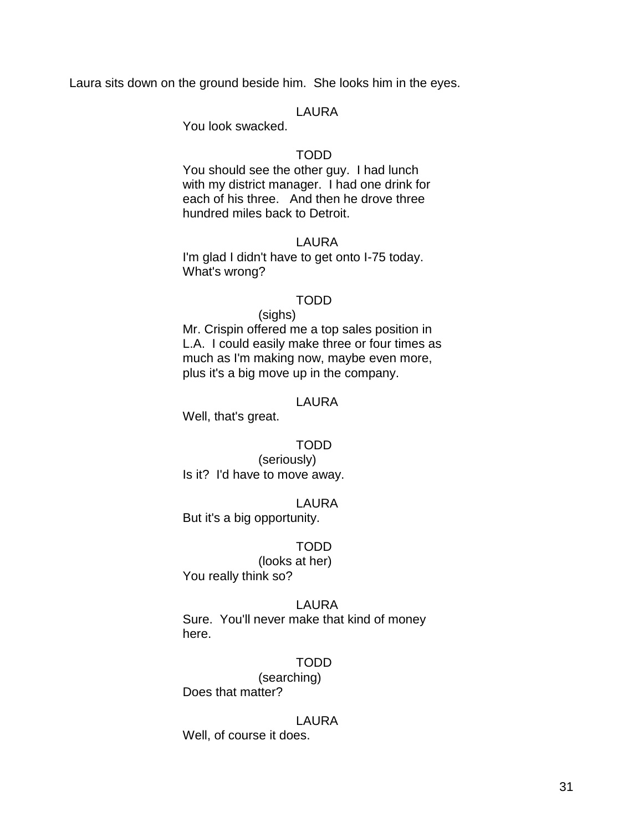Laura sits down on the ground beside him. She looks him in the eyes.

# LAURA

You look swacked.

#### TODD

You should see the other guy. I had lunch with my district manager. I had one drink for each of his three. And then he drove three hundred miles back to Detroit.

### LAURA

I'm glad I didn't have to get onto I-75 today. What's wrong?

#### TODD

# (sighs)

Mr. Crispin offered me a top sales position in L.A. I could easily make three or four times as much as I'm making now, maybe even more, plus it's a big move up in the company.

#### LAURA

Well, that's great.

## TODD

(seriously) Is it? I'd have to move away.

## LAURA

But it's a big opportunity.

#### TODD

(looks at her) You really think so?

#### LAURA

Sure. You'll never make that kind of money here.

#### TODD

(searching) Does that matter?

#### LAURA

Well, of course it does.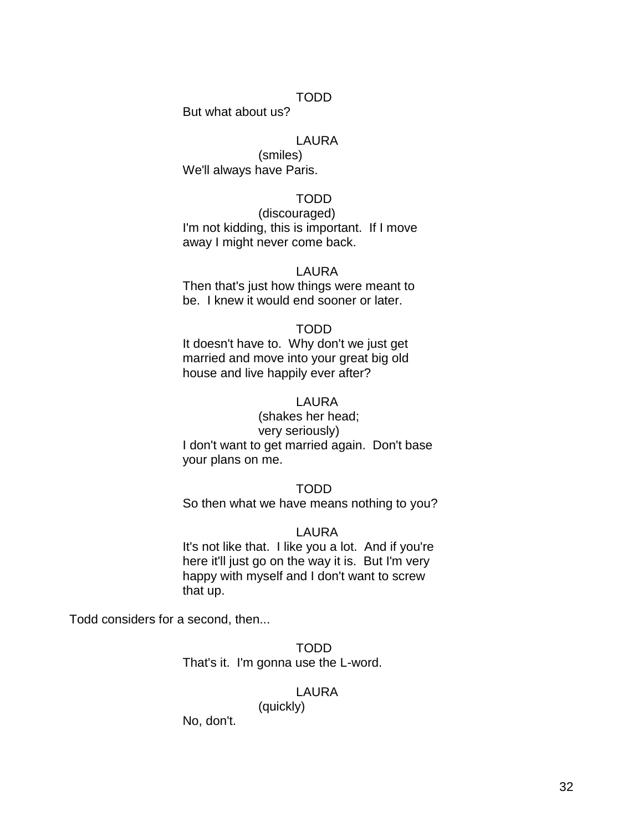### TODD

But what about us?

## LAURA

(smiles) We'll always have Paris.

## TODD

(discouraged) I'm not kidding, this is important. If I move away I might never come back.

#### LAURA

Then that's just how things were meant to be. I knew it would end sooner or later.

#### TODD

It doesn't have to. Why don't we just get married and move into your great big old house and live happily ever after?

# LAURA

# (shakes her head;

## very seriously)

I don't want to get married again. Don't base your plans on me.

#### TODD

So then what we have means nothing to you?

# LAURA

It's not like that. I like you a lot. And if you're here it'll just go on the way it is. But I'm very happy with myself and I don't want to screw that up.

Todd considers for a second, then...

TODD That's it. I'm gonna use the L-word.

## LAURA

(quickly)

No, don't.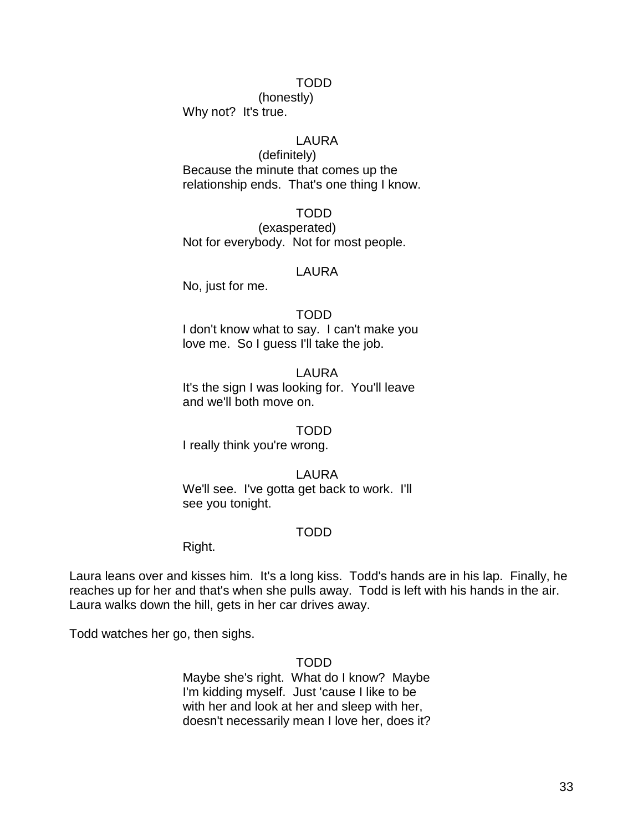# TODD

(honestly) Why not? It's true.

# LAURA

(definitely) Because the minute that comes up the relationship ends. That's one thing I know.

### TODD

(exasperated) Not for everybody. Not for most people.

## LAURA

No, just for me.

### TODD

I don't know what to say. I can't make you love me. So I guess I'll take the job.

#### LAURA

It's the sign I was looking for. You'll leave and we'll both move on.

#### TODD

I really think you're wrong.

#### LAURA

We'll see. I've gotta get back to work. I'll see you tonight.

#### TODD

Right.

Laura leans over and kisses him. It's a long kiss. Todd's hands are in his lap. Finally, he reaches up for her and that's when she pulls away. Todd is left with his hands in the air. Laura walks down the hill, gets in her car drives away.

Todd watches her go, then sighs.

TODD

Maybe she's right. What do I know? Maybe I'm kidding myself. Just 'cause I like to be with her and look at her and sleep with her, doesn't necessarily mean I love her, does it?

33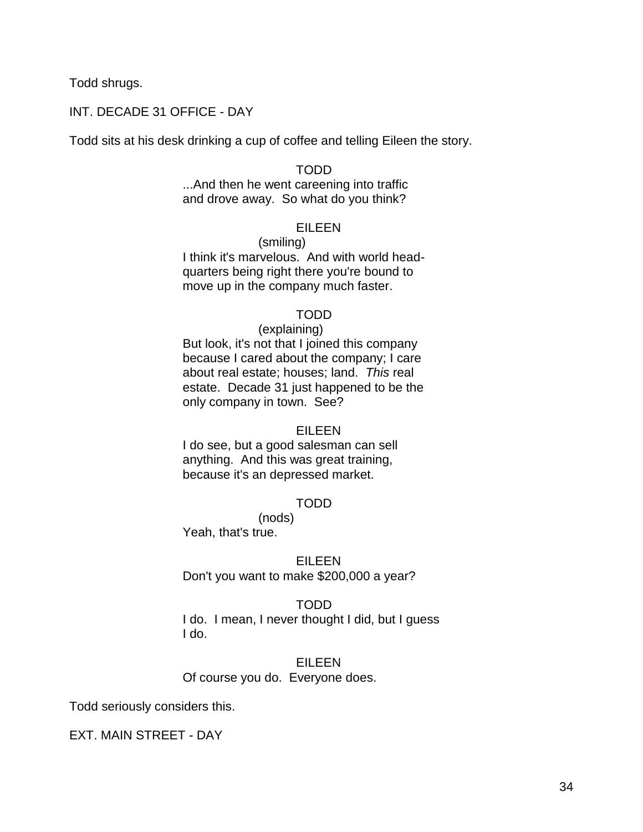Todd shrugs.

# INT. DECADE 31 OFFICE - DAY

Todd sits at his desk drinking a cup of coffee and telling Eileen the story.

#### TODD

...And then he went careening into traffic and drove away. So what do you think?

## EILEEN

(smiling) I think it's marvelous. And with world headquarters being right there you're bound to move up in the company much faster.

### TODD

(explaining) But look, it's not that I joined this company because I cared about the company; I care about real estate; houses; land. *This* real estate. Decade 31 just happened to be the only company in town. See?

### **FILEEN**

I do see, but a good salesman can sell anything. And this was great training, because it's an depressed market.

## TODD

(nods) Yeah, that's true.

#### EILEEN

Don't you want to make \$200,000 a year?

#### TODD

I do. I mean, I never thought I did, but I guess I do.

#### EILEEN

Of course you do. Everyone does.

Todd seriously considers this.

EXT. MAIN STREET - DAY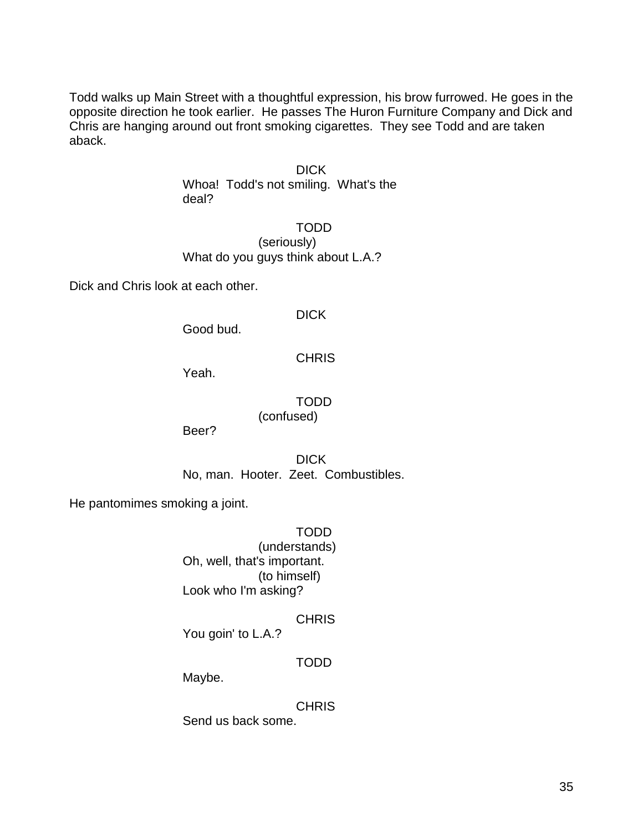Todd walks up Main Street with a thoughtful expression, his brow furrowed. He goes in the opposite direction he took earlier. He passes The Huron Furniture Company and Dick and Chris are hanging around out front smoking cigarettes. They see Todd and are taken aback.

# DICK Whoa! Todd's not smiling. What's the deal?

# TODD (seriously) What do you guys think about L.A.?

Dick and Chris look at each other.

# DICK

Good bud.

**CHRIS** 

Yeah.

# TODD

(confused)

Beer?

DICK No, man. Hooter. Zeet. Combustibles.

He pantomimes smoking a joint.

TODD (understands) Oh, well, that's important. (to himself) Look who I'm asking?

# **CHRIS**

You goin' to L.A.?

TODD

Maybe.

**CHRIS** 

Send us back some.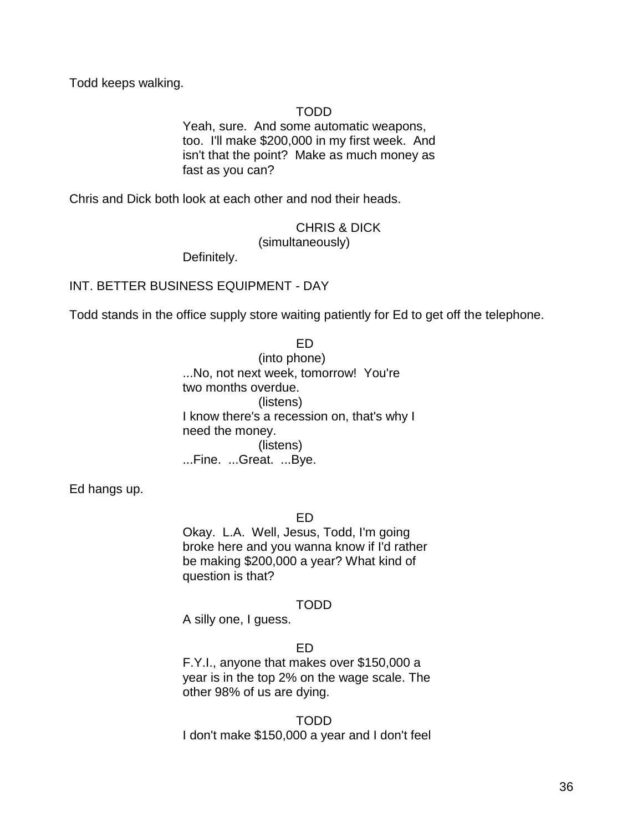Todd keeps walking.

## TODD

Yeah, sure. And some automatic weapons, too. I'll make \$200,000 in my first week. And isn't that the point? Make as much money as fast as you can?

Chris and Dick both look at each other and nod their heads.

CHRIS & DICK

(simultaneously)

Definitely.

### INT. BETTER BUSINESS EQUIPMENT - DAY

Todd stands in the office supply store waiting patiently for Ed to get off the telephone.

ED

(into phone) ...No, not next week, tomorrow! You're two months overdue. (listens) I know there's a recession on, that's why I need the money. (listens) ...Fine. ...Great. ...Bye.

Ed hangs up.

ED

Okay. L.A. Well, Jesus, Todd, I'm going broke here and you wanna know if I'd rather be making \$200,000 a year? What kind of question is that?

#### TODD

A silly one, I guess.

### ED

F.Y.I., anyone that makes over \$150,000 a year is in the top 2% on the wage scale. The other 98% of us are dying.

TODD I don't make \$150,000 a year and I don't feel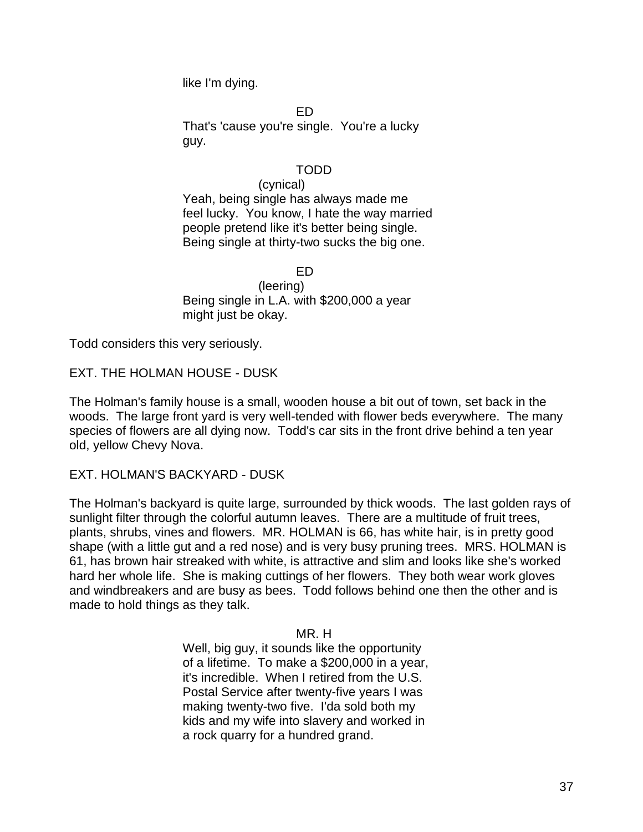like I'm dying.

ED

That's 'cause you're single. You're a lucky guy.

## TODD

## (cynical)

Yeah, being single has always made me feel lucky. You know, I hate the way married people pretend like it's better being single. Being single at thirty-two sucks the big one.

ED

(leering) Being single in L.A. with \$200,000 a year might just be okay.

Todd considers this very seriously.

EXT. THE HOLMAN HOUSE - DUSK

The Holman's family house is a small, wooden house a bit out of town, set back in the woods. The large front yard is very well-tended with flower beds everywhere. The many species of flowers are all dying now. Todd's car sits in the front drive behind a ten year old, yellow Chevy Nova.

EXT. HOLMAN'S BACKYARD - DUSK

The Holman's backyard is quite large, surrounded by thick woods. The last golden rays of sunlight filter through the colorful autumn leaves. There are a multitude of fruit trees, plants, shrubs, vines and flowers. MR. HOLMAN is 66, has white hair, is in pretty good shape (with a little gut and a red nose) and is very busy pruning trees. MRS. HOLMAN is 61, has brown hair streaked with white, is attractive and slim and looks like she's worked hard her whole life. She is making cuttings of her flowers. They both wear work gloves and windbreakers and are busy as bees. Todd follows behind one then the other and is made to hold things as they talk.

MR. H

Well, big guy, it sounds like the opportunity of a lifetime. To make a \$200,000 in a year, it's incredible. When I retired from the U.S. Postal Service after twenty-five years I was making twenty-two five. I'da sold both my kids and my wife into slavery and worked in a rock quarry for a hundred grand.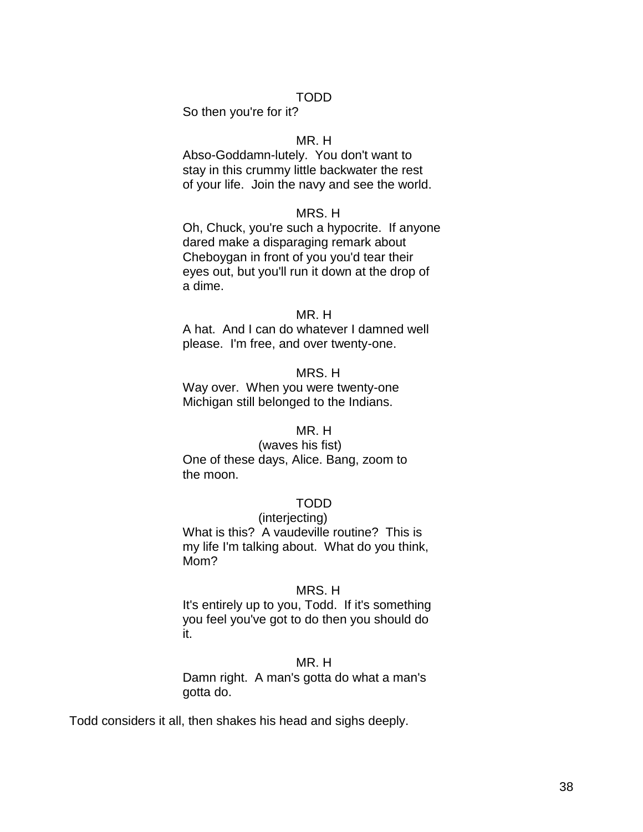So then you're for it?

#### MR. H

Abso-Goddamn-lutely. You don't want to stay in this crummy little backwater the rest of your life. Join the navy and see the world.

#### MRS. H

Oh, Chuck, you're such a hypocrite. If anyone dared make a disparaging remark about Cheboygan in front of you you'd tear their eyes out, but you'll run it down at the drop of a dime.

#### MR. H

A hat. And I can do whatever I damned well please. I'm free, and over twenty-one.

#### MRS. H

Way over. When you were twenty-one Michigan still belonged to the Indians.

#### MR. H

(waves his fist) One of these days, Alice. Bang, zoom to the moon.

#### TODD

(interjecting) What is this? A vaudeville routine? This is my life I'm talking about. What do you think, Mom?

#### MRS. H

It's entirely up to you, Todd. If it's something you feel you've got to do then you should do it.

#### MR. H

Damn right. A man's gotta do what a man's gotta do.

Todd considers it all, then shakes his head and sighs deeply.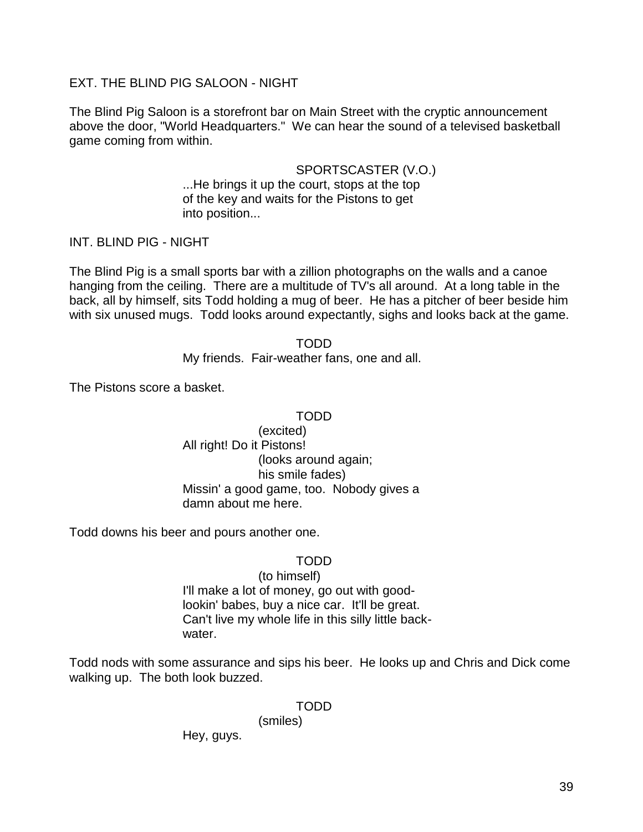## EXT. THE BLIND PIG SALOON - NIGHT

The Blind Pig Saloon is a storefront bar on Main Street with the cryptic announcement above the door, "World Headquarters." We can hear the sound of a televised basketball game coming from within.

## SPORTSCASTER (V.O.)

...He brings it up the court, stops at the top of the key and waits for the Pistons to get into position...

INT. BLIND PIG - NIGHT

The Blind Pig is a small sports bar with a zillion photographs on the walls and a canoe hanging from the ceiling. There are a multitude of TV's all around. At a long table in the back, all by himself, sits Todd holding a mug of beer. He has a pitcher of beer beside him with six unused mugs. Todd looks around expectantly, sighs and looks back at the game.

> TODD My friends. Fair-weather fans, one and all.

The Pistons score a basket.

#### TODD

(excited) All right! Do it Pistons! (looks around again; his smile fades) Missin' a good game, too. Nobody gives a damn about me here.

Todd downs his beer and pours another one.

## TODD

(to himself) I'll make a lot of money, go out with goodlookin' babes, buy a nice car. It'll be great. Can't live my whole life in this silly little backwater

Todd nods with some assurance and sips his beer. He looks up and Chris and Dick come walking up. The both look buzzed.

## TODD

(smiles)

Hey, guys.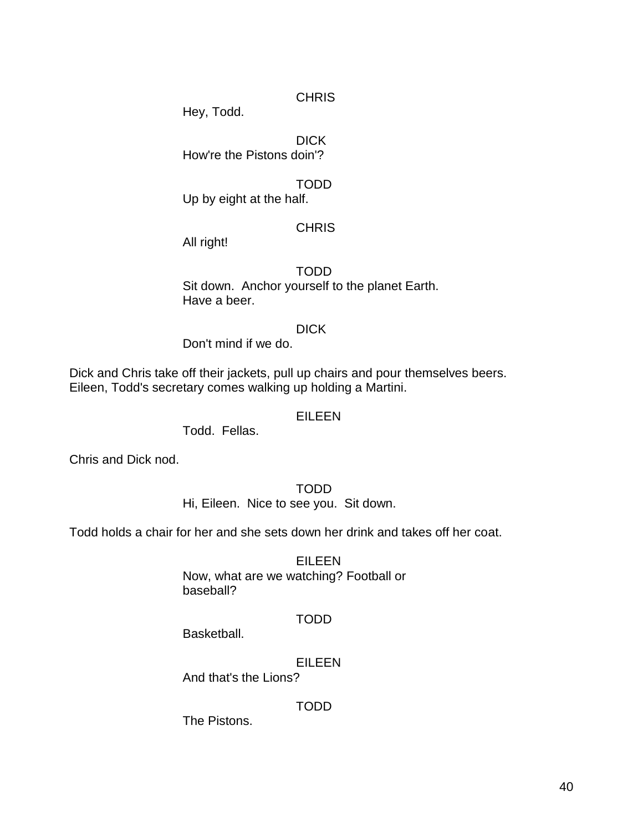# **CHRIS**

Hey, Todd.

# **DICK**

How're the Pistons doin'?

## TODD

Up by eight at the half.

## **CHRIS**

All right!

## TODD

Sit down. Anchor yourself to the planet Earth. Have a beer.

## DICK

Don't mind if we do.

Dick and Chris take off their jackets, pull up chairs and pour themselves beers. Eileen, Todd's secretary comes walking up holding a Martini.

## EILEEN

Todd. Fellas.

Chris and Dick nod.

TODD Hi, Eileen. Nice to see you. Sit down.

Todd holds a chair for her and she sets down her drink and takes off her coat.

## EILEEN

Now, what are we watching? Football or baseball?

#### TODD

Basketball.

# EILEEN

And that's the Lions?

## TODD

The Pistons.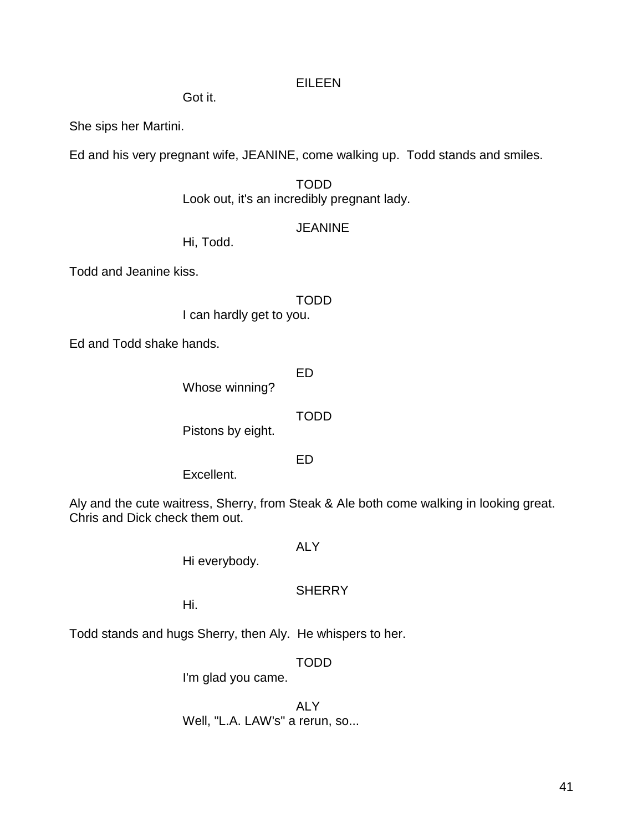## EILEEN

Got it.

She sips her Martini.

Ed and his very pregnant wife, JEANINE, come walking up. Todd stands and smiles.

TODD Look out, it's an incredibly pregnant lady.

## **JEANINE**

Hi, Todd.

Todd and Jeanine kiss.

TODD

I can hardly get to you.

Ed and Todd shake hands.

ED

Whose winning?

TODD

Pistons by eight.

ED

Excellent.

Aly and the cute waitress, Sherry, from Steak & Ale both come walking in looking great. Chris and Dick check them out.

ALY

Hi everybody.

# **SHERRY**

Hi.

Todd stands and hugs Sherry, then Aly. He whispers to her.

TODD

I'm glad you came.

ALY Well, "L.A. LAW's" a rerun, so...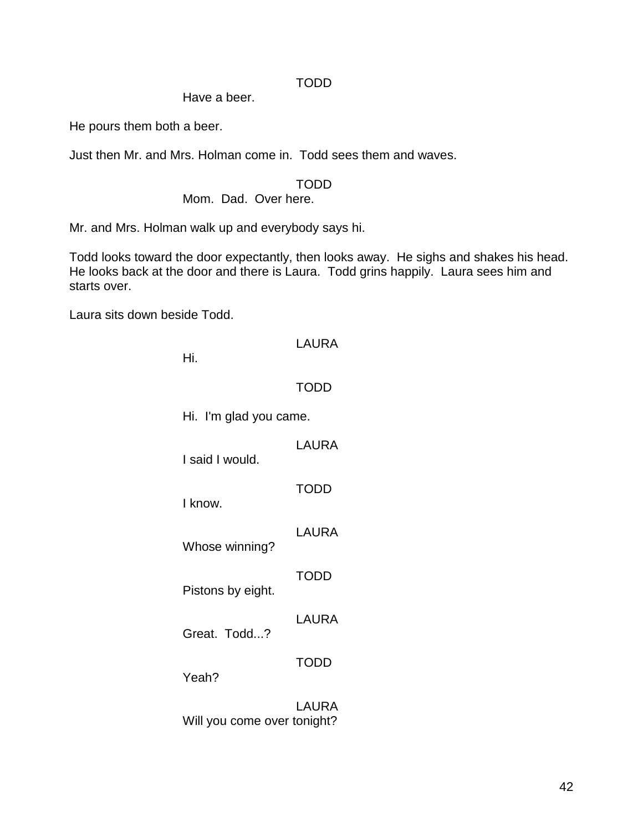Have a beer.

He pours them both a beer.

Just then Mr. and Mrs. Holman come in. Todd sees them and waves.

## TODD

# Mom. Dad. Over here.

Mr. and Mrs. Holman walk up and everybody says hi.

Todd looks toward the door expectantly, then looks away. He sighs and shakes his head. He looks back at the door and there is Laura. Todd grins happily. Laura sees him and starts over.

Laura sits down beside Todd.

# LAURA

## TODD

Hi. I'm glad you came.

I said I would.

TODD

LAURA

I know.

Hi.

LAURA

Whose winning?

TODD

Pistons by eight.

LAURA

Great. Todd...?

TODD

Yeah?

LAURA Will you come over tonight?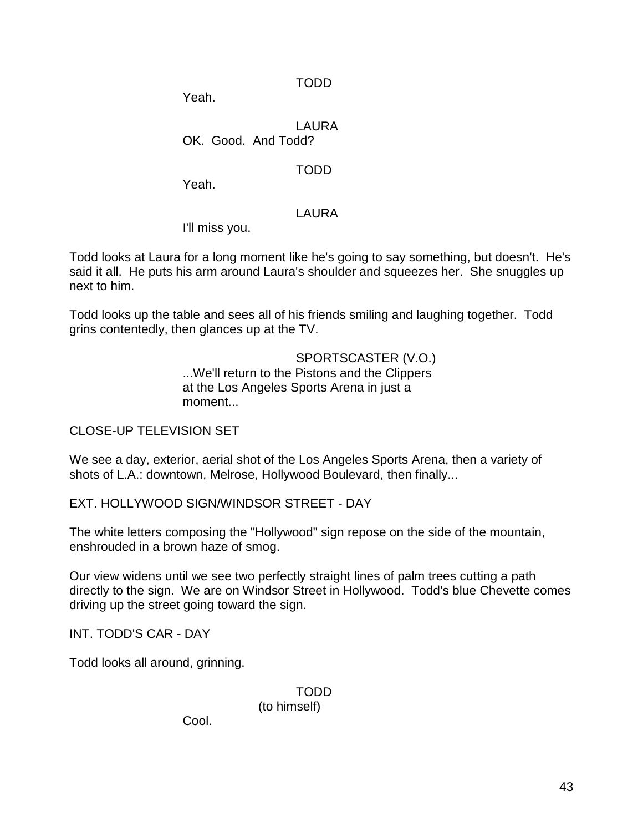Yeah.

LAURA OK. Good. And Todd?

# TODD

Yeah.

# LAURA

I'll miss you.

Todd looks at Laura for a long moment like he's going to say something, but doesn't. He's said it all. He puts his arm around Laura's shoulder and squeezes her. She snuggles up next to him.

Todd looks up the table and sees all of his friends smiling and laughing together. Todd grins contentedly, then glances up at the TV.

> SPORTSCASTER (V.O.) ...We'll return to the Pistons and the Clippers at the Los Angeles Sports Arena in just a moment...

CLOSE-UP TELEVISION SET

We see a day, exterior, aerial shot of the Los Angeles Sports Arena, then a variety of shots of L.A.: downtown, Melrose, Hollywood Boulevard, then finally...

EXT. HOLLYWOOD SIGN/WINDSOR STREET - DAY

The white letters composing the "Hollywood" sign repose on the side of the mountain, enshrouded in a brown haze of smog.

Our view widens until we see two perfectly straight lines of palm trees cutting a path directly to the sign. We are on Windsor Street in Hollywood. Todd's blue Chevette comes driving up the street going toward the sign.

INT. TODD'S CAR - DAY

Todd looks all around, grinning.

TODD (to himself)

Cool.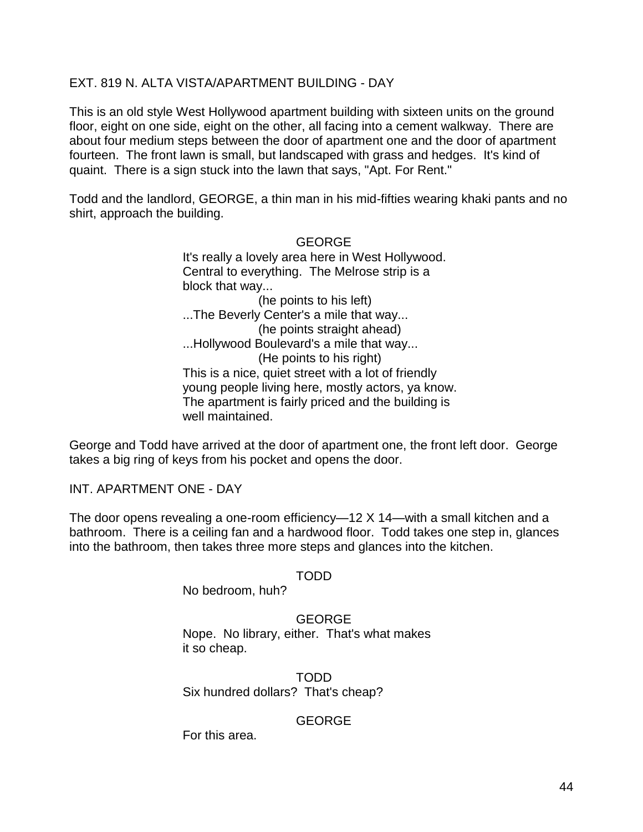## EXT. 819 N. ALTA VISTA/APARTMENT BUILDING - DAY

This is an old style West Hollywood apartment building with sixteen units on the ground floor, eight on one side, eight on the other, all facing into a cement walkway. There are about four medium steps between the door of apartment one and the door of apartment fourteen. The front lawn is small, but landscaped with grass and hedges. It's kind of quaint. There is a sign stuck into the lawn that says, "Apt. For Rent."

Todd and the landlord, GEORGE, a thin man in his mid-fifties wearing khaki pants and no shirt, approach the building.

## GEORGE It's really a lovely area here in West Hollywood. Central to everything. The Melrose strip is a block that way... (he points to his left) ...The Beverly Center's a mile that way... (he points straight ahead) ...Hollywood Boulevard's a mile that way... (He points to his right) This is a nice, quiet street with a lot of friendly young people living here, mostly actors, ya know. The apartment is fairly priced and the building is well maintained.

George and Todd have arrived at the door of apartment one, the front left door. George takes a big ring of keys from his pocket and opens the door.

INT. APARTMENT ONE - DAY

The door opens revealing a one-room efficiency—12 X 14—with a small kitchen and a bathroom. There is a ceiling fan and a hardwood floor. Todd takes one step in, glances into the bathroom, then takes three more steps and glances into the kitchen.

#### TODD

No bedroom, huh?

GEORGE Nope. No library, either. That's what makes it so cheap.

TODD Six hundred dollars? That's cheap?

# GEORGE

For this area.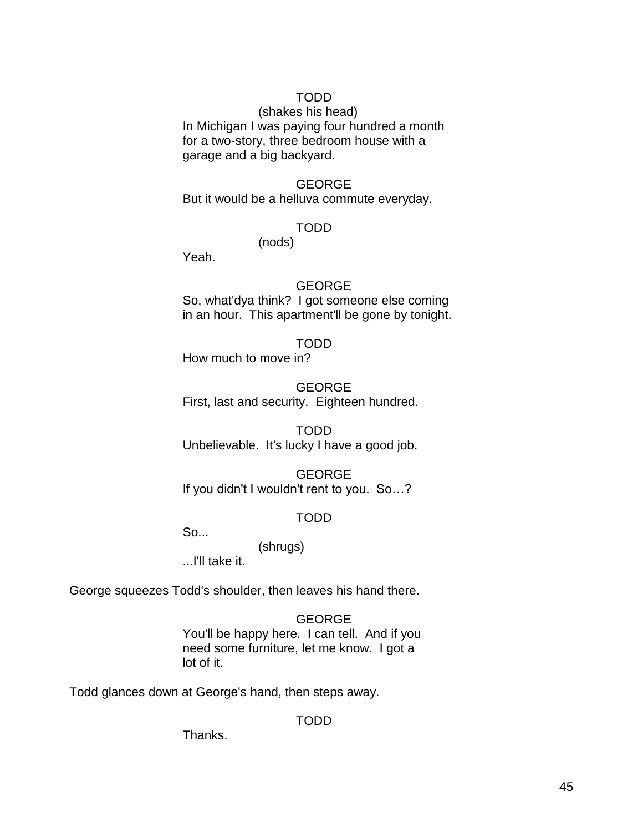(shakes his head) In Michigan I was paying four hundred a month for a two-story, three bedroom house with a garage and a big backyard.

#### GEORGE

But it would be a helluva commute everyday.

#### TODD

(nods)

Yeah.

## GEORGE

So, what'dya think? I got someone else coming in an hour. This apartment'll be gone by tonight.

#### TODD

How much to move in?

GEORGE First, last and security. Eighteen hundred.

TODD Unbelievable. It's lucky I have a good job.

## GEORGE If you didn't I wouldn't rent to you. So…?

TODD

So...

(shrugs)

...I'll take it.

George squeezes Todd's shoulder, then leaves his hand there.

#### GEORGE

You'll be happy here. I can tell. And if you need some furniture, let me know. I got a lot of it.

Todd glances down at George's hand, then steps away.

TODD

Thanks.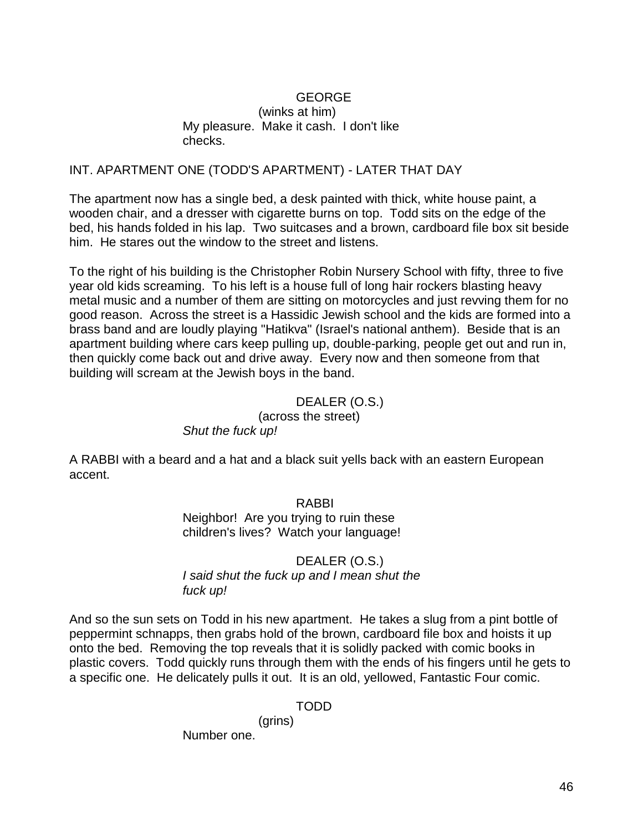## GEORGE (winks at him) My pleasure. Make it cash. I don't like

checks.

# INT. APARTMENT ONE (TODD'S APARTMENT) - LATER THAT DAY

The apartment now has a single bed, a desk painted with thick, white house paint, a wooden chair, and a dresser with cigarette burns on top. Todd sits on the edge of the bed, his hands folded in his lap. Two suitcases and a brown, cardboard file box sit beside him. He stares out the window to the street and listens.

To the right of his building is the Christopher Robin Nursery School with fifty, three to five year old kids screaming. To his left is a house full of long hair rockers blasting heavy metal music and a number of them are sitting on motorcycles and just revving them for no good reason. Across the street is a Hassidic Jewish school and the kids are formed into a brass band and are loudly playing "Hatikva" (Israel's national anthem). Beside that is an apartment building where cars keep pulling up, double-parking, people get out and run in, then quickly come back out and drive away. Every now and then someone from that building will scream at the Jewish boys in the band.

## DEALER (O.S.)

(across the street)

## *Shut the fuck up!*

A RABBI with a beard and a hat and a black suit yells back with an eastern European accent.

#### RABBI

Neighbor! Are you trying to ruin these children's lives? Watch your language!

## DEALER (O.S.) *I said shut the fuck up and I mean shut the fuck up!*

And so the sun sets on Todd in his new apartment. He takes a slug from a pint bottle of peppermint schnapps, then grabs hold of the brown, cardboard file box and hoists it up onto the bed. Removing the top reveals that it is solidly packed with comic books in plastic covers. Todd quickly runs through them with the ends of his fingers until he gets to a specific one. He delicately pulls it out. It is an old, yellowed, Fantastic Four comic.

#### TODD

(grins) Number one.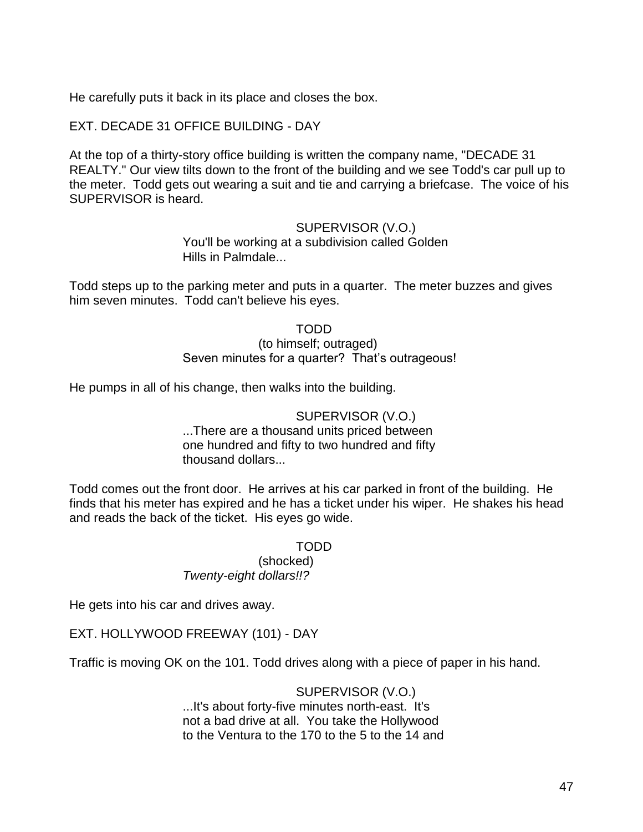He carefully puts it back in its place and closes the box.

EXT. DECADE 31 OFFICE BUILDING - DAY

At the top of a thirty-story office building is written the company name, "DECADE 31 REALTY." Our view tilts down to the front of the building and we see Todd's car pull up to the meter. Todd gets out wearing a suit and tie and carrying a briefcase. The voice of his SUPERVISOR is heard.

## SUPERVISOR (V.O.) You'll be working at a subdivision called Golden Hills in Palmdale...

Todd steps up to the parking meter and puts in a quarter. The meter buzzes and gives him seven minutes. Todd can't believe his eyes.

## TODD (to himself; outraged) Seven minutes for a quarter? That's outrageous!

He pumps in all of his change, then walks into the building.

## SUPERVISOR (V.O.) ...There are a thousand units priced between one hundred and fifty to two hundred and fifty thousand dollars...

Todd comes out the front door. He arrives at his car parked in front of the building. He finds that his meter has expired and he has a ticket under his wiper. He shakes his head and reads the back of the ticket. His eyes go wide.

#### TODD (shocked) *Twenty-eight dollars!!?*

He gets into his car and drives away.

EXT. HOLLYWOOD FREEWAY (101) - DAY

Traffic is moving OK on the 101. Todd drives along with a piece of paper in his hand.

## SUPERVISOR (V.O.) ...It's about forty-five minutes north-east. It's not a bad drive at all. You take the Hollywood to the Ventura to the 170 to the 5 to the 14 and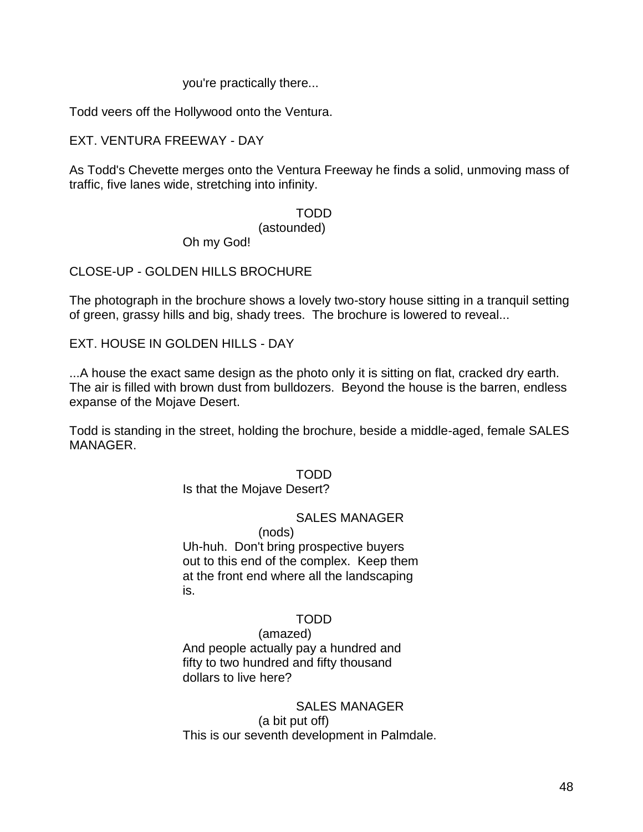you're practically there...

Todd veers off the Hollywood onto the Ventura.

## EXT. VENTURA FREEWAY - DAY

As Todd's Chevette merges onto the Ventura Freeway he finds a solid, unmoving mass of traffic, five lanes wide, stretching into infinity.

#### TODD

#### (astounded)

Oh my God!

CLOSE-UP - GOLDEN HILLS BROCHURE

The photograph in the brochure shows a lovely two-story house sitting in a tranquil setting of green, grassy hills and big, shady trees. The brochure is lowered to reveal...

EXT. HOUSE IN GOLDEN HILLS - DAY

...A house the exact same design as the photo only it is sitting on flat, cracked dry earth. The air is filled with brown dust from bulldozers. Beyond the house is the barren, endless expanse of the Mojave Desert.

Todd is standing in the street, holding the brochure, beside a middle-aged, female SALES MANAGER.

#### TODD

Is that the Mojave Desert?

## SALES MANAGER

(nods) Uh-huh. Don't bring prospective buyers out to this end of the complex. Keep them at the front end where all the landscaping is.

## TODD

(amazed)

And people actually pay a hundred and fifty to two hundred and fifty thousand dollars to live here?

SALES MANAGER (a bit put off) This is our seventh development in Palmdale.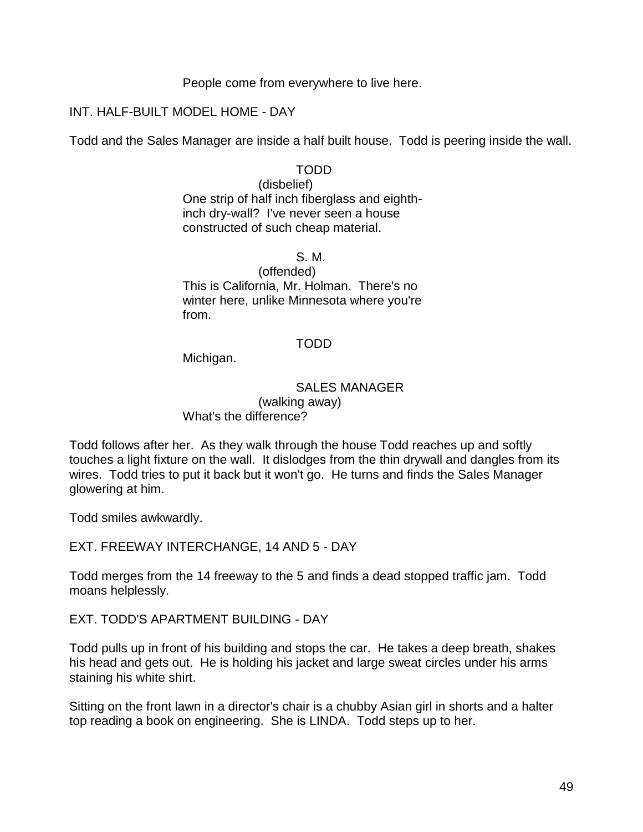People come from everywhere to live here.

## INT. HALF-BUILT MODEL HOME - DAY

Todd and the Sales Manager are inside a half built house. Todd is peering inside the wall.

## TODD

(disbelief) One strip of half inch fiberglass and eighthinch dry-wall? I've never seen a house constructed of such cheap material.

S. M.

(offended) This is California, Mr. Holman. There's no winter here, unlike Minnesota where you're from.

## TODD

Michigan.

# SALES MANAGER (walking away)

What's the difference?

Todd follows after her. As they walk through the house Todd reaches up and softly touches a light fixture on the wall. It dislodges from the thin drywall and dangles from its wires. Todd tries to put it back but it won't go. He turns and finds the Sales Manager glowering at him.

Todd smiles awkwardly.

EXT. FREEWAY INTERCHANGE, 14 AND 5 - DAY

Todd merges from the 14 freeway to the 5 and finds a dead stopped traffic jam. Todd moans helplessly.

EXT. TODD'S APARTMENT BUILDING - DAY

Todd pulls up in front of his building and stops the car. He takes a deep breath, shakes his head and gets out. He is holding his jacket and large sweat circles under his arms staining his white shirt.

Sitting on the front lawn in a director's chair is a chubby Asian girl in shorts and a halter top reading a book on engineering. She is LINDA. Todd steps up to her.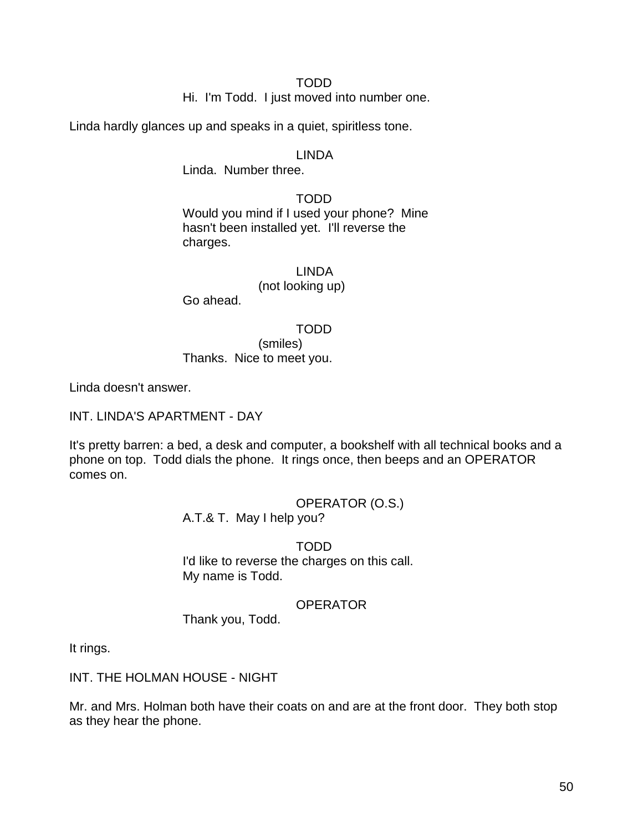Hi. I'm Todd. I just moved into number one.

Linda hardly glances up and speaks in a quiet, spiritless tone.

#### LINDA

Linda. Number three.

#### TODD

Would you mind if I used your phone? Mine hasn't been installed yet. I'll reverse the charges.

> LINDA (not looking up)

Go ahead.

## TODD

(smiles) Thanks. Nice to meet you.

Linda doesn't answer.

INT. LINDA'S APARTMENT - DAY

It's pretty barren: a bed, a desk and computer, a bookshelf with all technical books and a phone on top. Todd dials the phone. It rings once, then beeps and an OPERATOR comes on.

## OPERATOR (O.S.) A.T.& T. May I help you?

TODD I'd like to reverse the charges on this call. My name is Todd.

#### **OPERATOR**

Thank you, Todd.

It rings.

INT. THE HOLMAN HOUSE - NIGHT

Mr. and Mrs. Holman both have their coats on and are at the front door. They both stop as they hear the phone.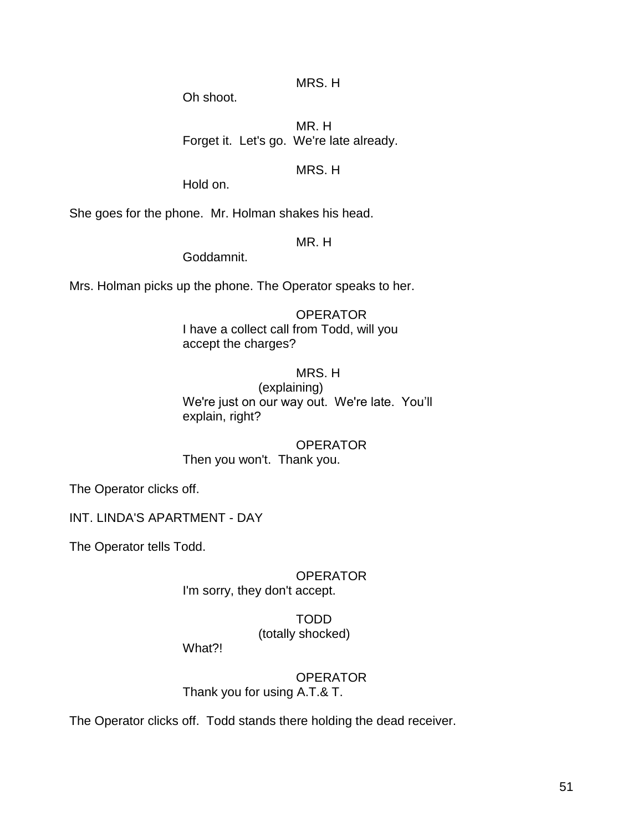MRS. H

Oh shoot.

MR. H Forget it. Let's go. We're late already.

MRS. H

Hold on.

She goes for the phone. Mr. Holman shakes his head.

MR. H

Goddamnit.

Mrs. Holman picks up the phone. The Operator speaks to her.

**OPERATOR** I have a collect call from Todd, will you accept the charges?

# MRS. H

(explaining) We're just on our way out. We're late. You'll explain, right?

**OPERATOR** Then you won't. Thank you.

The Operator clicks off.

INT. LINDA'S APARTMENT - DAY

The Operator tells Todd.

**OPERATOR** I'm sorry, they don't accept.

> TODD (totally shocked)

What?!

# **OPERATOR** Thank you for using A.T.& T.

The Operator clicks off. Todd stands there holding the dead receiver.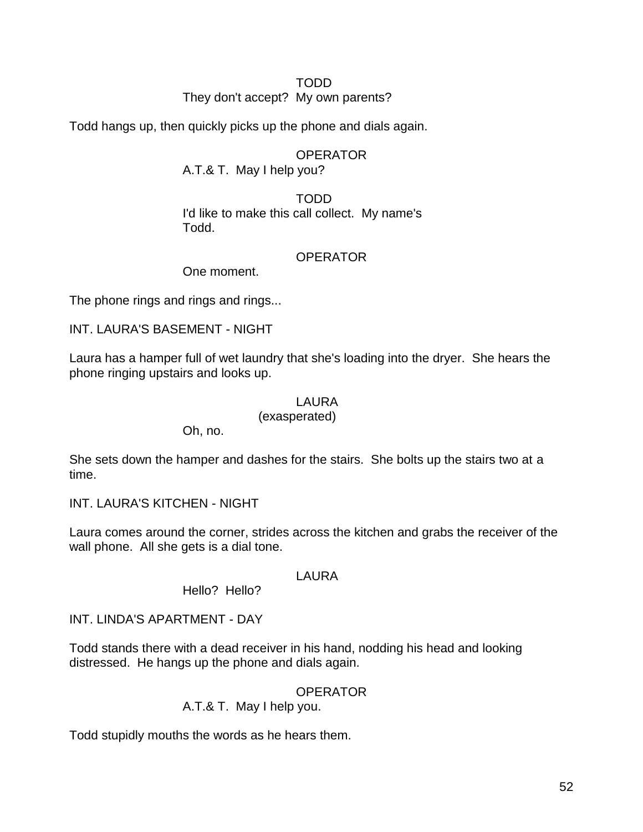# They don't accept? My own parents?

Todd hangs up, then quickly picks up the phone and dials again.

# OPERATOR A.T.& T. May I help you?

TODD I'd like to make this call collect. My name's Todd.

# **OPERATOR**

One moment.

The phone rings and rings and rings...

INT. LAURA'S BASEMENT - NIGHT

Laura has a hamper full of wet laundry that she's loading into the dryer. She hears the phone ringing upstairs and looks up.

# LAURA

(exasperated)

Oh, no.

She sets down the hamper and dashes for the stairs. She bolts up the stairs two at a time.

INT. LAURA'S KITCHEN - NIGHT

Laura comes around the corner, strides across the kitchen and grabs the receiver of the wall phone. All she gets is a dial tone.

## LAURA

Hello? Hello?

# INT. LINDA'S APARTMENT - DAY

Todd stands there with a dead receiver in his hand, nodding his head and looking distressed. He hangs up the phone and dials again.

## **OPERATOR**

A.T.& T. May I help you.

Todd stupidly mouths the words as he hears them.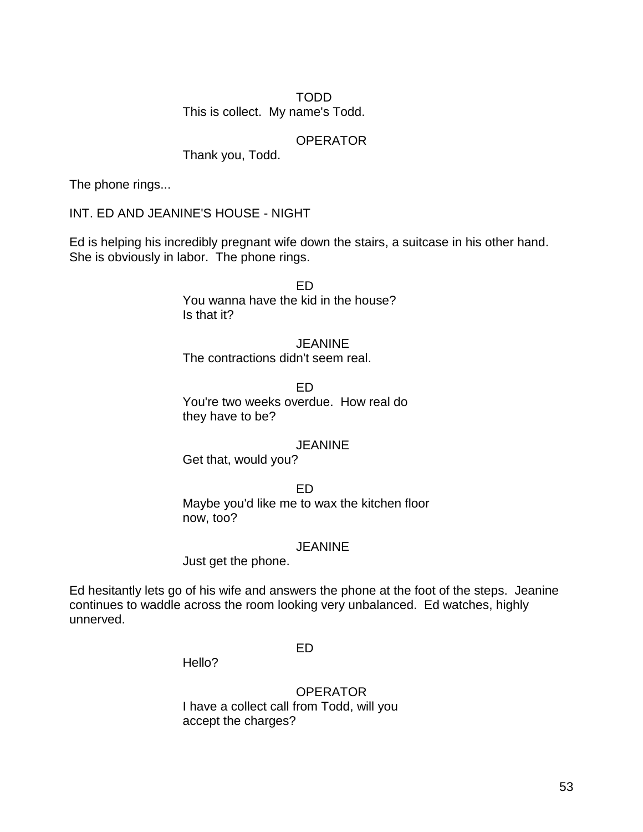This is collect. My name's Todd.

## **OPERATOR**

Thank you, Todd.

The phone rings...

INT. ED AND JEANINE'S HOUSE - NIGHT

Ed is helping his incredibly pregnant wife down the stairs, a suitcase in his other hand. She is obviously in labor. The phone rings.

> ED You wanna have the kid in the house? Is that it?

# **JEANINE**

The contractions didn't seem real.

ED You're two weeks overdue. How real do they have to be?

## **JEANINE**

Get that, would you?

ED

Maybe you'd like me to wax the kitchen floor now, too?

## **JEANINE**

Just get the phone.

Ed hesitantly lets go of his wife and answers the phone at the foot of the steps. Jeanine continues to waddle across the room looking very unbalanced. Ed watches, highly unnerved.

## ED

Hello?

**OPERATOR** I have a collect call from Todd, will you accept the charges?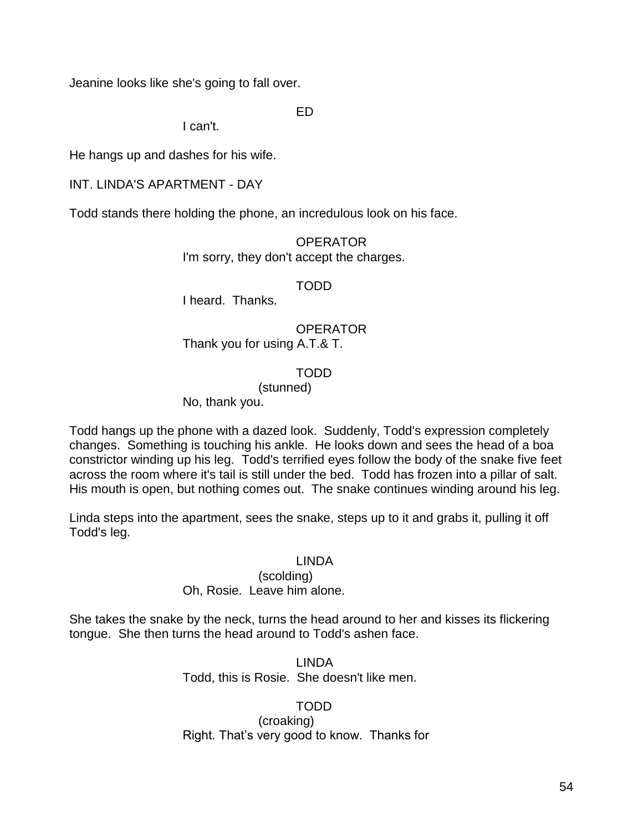Jeanine looks like she's going to fall over.

ED

I can't.

He hangs up and dashes for his wife.

INT. LINDA'S APARTMENT - DAY

Todd stands there holding the phone, an incredulous look on his face.

**OPERATOR** I'm sorry, they don't accept the charges.

TODD

I heard. Thanks.

**OPERATOR** Thank you for using A.T.& T.

TODD

(stunned)

No, thank you.

Todd hangs up the phone with a dazed look. Suddenly, Todd's expression completely changes. Something is touching his ankle. He looks down and sees the head of a boa constrictor winding up his leg. Todd's terrified eyes follow the body of the snake five feet across the room where it's tail is still under the bed. Todd has frozen into a pillar of salt. His mouth is open, but nothing comes out. The snake continues winding around his leg.

Linda steps into the apartment, sees the snake, steps up to it and grabs it, pulling it off Todd's leg.

#### LINDA

(scolding) Oh, Rosie. Leave him alone.

She takes the snake by the neck, turns the head around to her and kisses its flickering tongue. She then turns the head around to Todd's ashen face.

> LINDA Todd, this is Rosie. She doesn't like men.

#### TODD

(croaking) Right. That's very good to know. Thanks for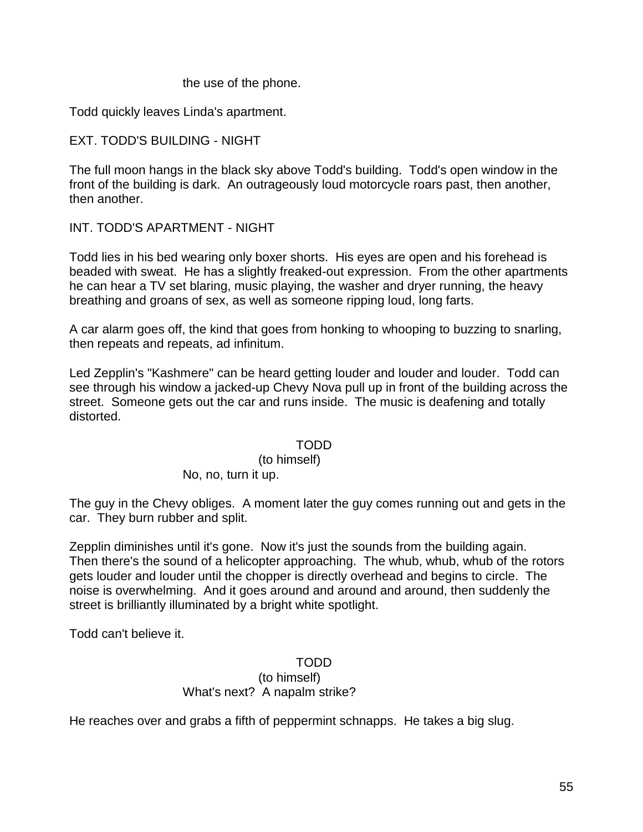the use of the phone.

Todd quickly leaves Linda's apartment.

EXT. TODD'S BUILDING - NIGHT

The full moon hangs in the black sky above Todd's building. Todd's open window in the front of the building is dark. An outrageously loud motorcycle roars past, then another, then another.

INT. TODD'S APARTMENT - NIGHT

Todd lies in his bed wearing only boxer shorts. His eyes are open and his forehead is beaded with sweat. He has a slightly freaked-out expression. From the other apartments he can hear a TV set blaring, music playing, the washer and dryer running, the heavy breathing and groans of sex, as well as someone ripping loud, long farts.

A car alarm goes off, the kind that goes from honking to whooping to buzzing to snarling, then repeats and repeats, ad infinitum.

Led Zepplin's "Kashmere" can be heard getting louder and louder and louder. Todd can see through his window a jacked-up Chevy Nova pull up in front of the building across the street. Someone gets out the car and runs inside. The music is deafening and totally distorted.

## TODD

#### (to himself)

## No, no, turn it up.

The guy in the Chevy obliges. A moment later the guy comes running out and gets in the car. They burn rubber and split.

Zepplin diminishes until it's gone. Now it's just the sounds from the building again. Then there's the sound of a helicopter approaching. The whub, whub, whub of the rotors gets louder and louder until the chopper is directly overhead and begins to circle. The noise is overwhelming. And it goes around and around and around, then suddenly the street is brilliantly illuminated by a bright white spotlight.

Todd can't believe it.

## TODD (to himself) What's next? A napalm strike?

He reaches over and grabs a fifth of peppermint schnapps. He takes a big slug.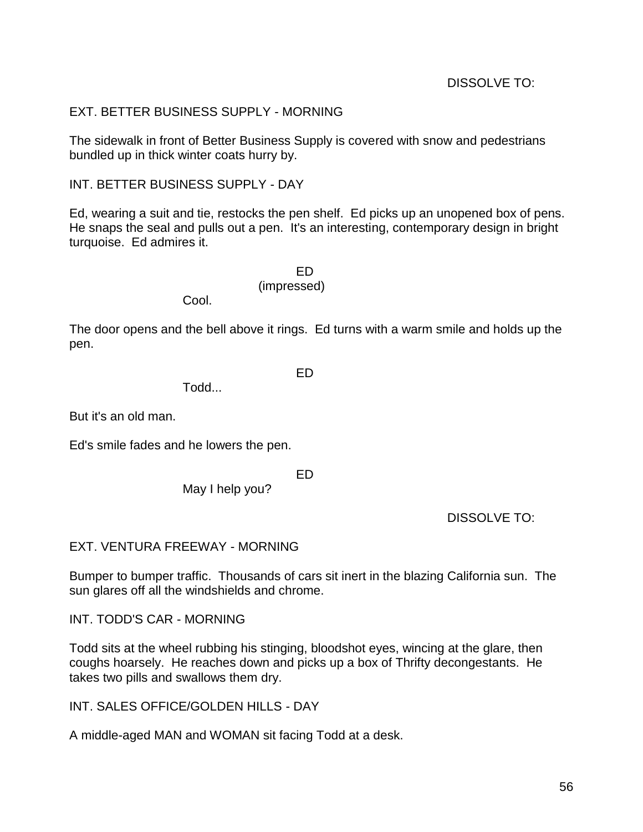# EXT. BETTER BUSINESS SUPPLY - MORNING

The sidewalk in front of Better Business Supply is covered with snow and pedestrians bundled up in thick winter coats hurry by.

INT. BETTER BUSINESS SUPPLY - DAY

Ed, wearing a suit and tie, restocks the pen shelf. Ed picks up an unopened box of pens. He snaps the seal and pulls out a pen. It's an interesting, contemporary design in bright turquoise. Ed admires it.

> ED (impressed)

Cool.

The door opens and the bell above it rings. Ed turns with a warm smile and holds up the pen.

ED

Todd...

But it's an old man.

Ed's smile fades and he lowers the pen.

ED

May I help you?

DISSOLVE TO:

EXT. VENTURA FREEWAY - MORNING

Bumper to bumper traffic. Thousands of cars sit inert in the blazing California sun. The sun glares off all the windshields and chrome.

INT. TODD'S CAR - MORNING

Todd sits at the wheel rubbing his stinging, bloodshot eyes, wincing at the glare, then coughs hoarsely. He reaches down and picks up a box of Thrifty decongestants. He takes two pills and swallows them dry.

INT. SALES OFFICE/GOLDEN HILLS - DAY

A middle-aged MAN and WOMAN sit facing Todd at a desk.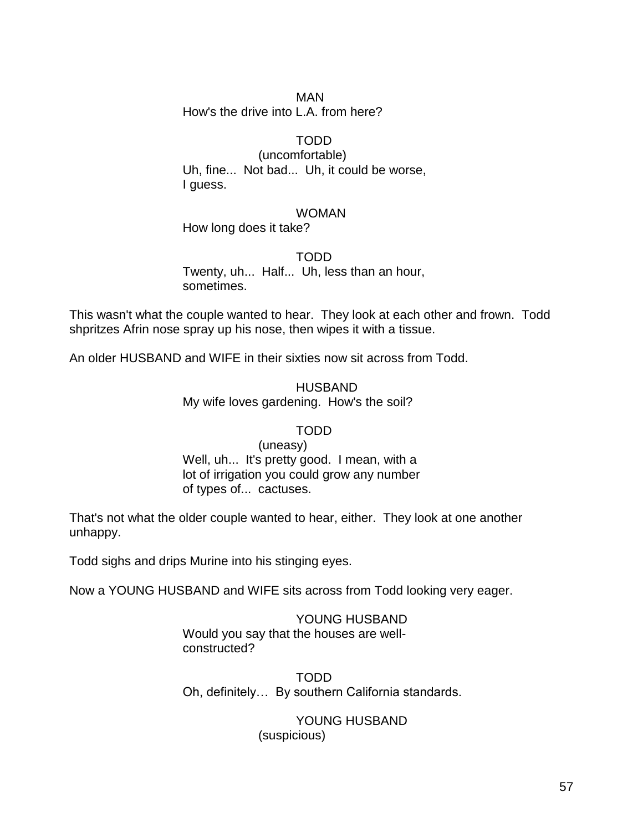# MAN How's the drive into L.A. from here?

# TODD

(uncomfortable) Uh, fine... Not bad... Uh, it could be worse, I guess.

# WOMAN

How long does it take?

## TODD

Twenty, uh... Half... Uh, less than an hour, sometimes.

This wasn't what the couple wanted to hear. They look at each other and frown. Todd shpritzes Afrin nose spray up his nose, then wipes it with a tissue.

An older HUSBAND and WIFE in their sixties now sit across from Todd.

HUSBAND My wife loves gardening. How's the soil?

# TODD

(uneasy) Well, uh... It's pretty good. I mean, with a lot of irrigation you could grow any number of types of... cactuses.

That's not what the older couple wanted to hear, either. They look at one another unhappy.

Todd sighs and drips Murine into his stinging eyes.

Now a YOUNG HUSBAND and WIFE sits across from Todd looking very eager.

# YOUNG HUSBAND

Would you say that the houses are wellconstructed?

TODD Oh, definitely… By southern California standards.

> YOUNG HUSBAND (suspicious)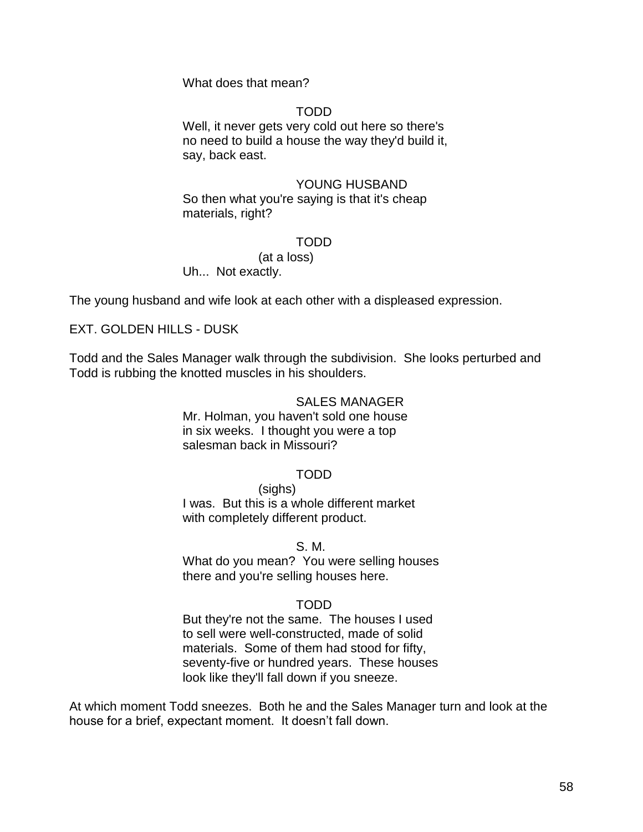What does that mean?

#### TODD

Well, it never gets very cold out here so there's no need to build a house the way they'd build it, say, back east.

#### YOUNG HUSBAND

So then what you're saying is that it's cheap materials, right?

#### TODD

(at a loss)

Uh... Not exactly.

The young husband and wife look at each other with a displeased expression.

EXT. GOLDEN HILLS - DUSK

Todd and the Sales Manager walk through the subdivision. She looks perturbed and Todd is rubbing the knotted muscles in his shoulders.

## SALES MANAGER

Mr. Holman, you haven't sold one house in six weeks. I thought you were a top salesman back in Missouri?

#### TODD

(sighs) I was. But this is a whole different market with completely different product.

S. M.

What do you mean? You were selling houses there and you're selling houses here.

#### TODD

But they're not the same. The houses I used to sell were well-constructed, made of solid materials. Some of them had stood for fifty, seventy-five or hundred years. These houses look like they'll fall down if you sneeze.

At which moment Todd sneezes. Both he and the Sales Manager turn and look at the house for a brief, expectant moment. It doesn't fall down.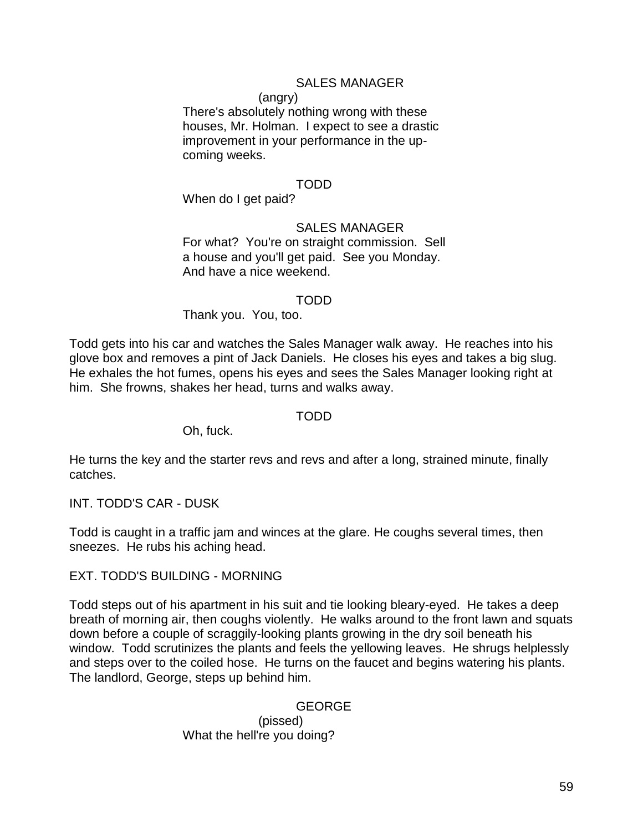# SALES MANAGER

(angry) There's absolutely nothing wrong with these houses, Mr. Holman. I expect to see a drastic improvement in your performance in the upcoming weeks.

#### TODD

When do I get paid?

## SALES MANAGER

For what? You're on straight commission. Sell a house and you'll get paid. See you Monday. And have a nice weekend.

#### TODD

Thank you. You, too.

Todd gets into his car and watches the Sales Manager walk away. He reaches into his glove box and removes a pint of Jack Daniels. He closes his eyes and takes a big slug. He exhales the hot fumes, opens his eyes and sees the Sales Manager looking right at him. She frowns, shakes her head, turns and walks away.

#### TODD

Oh, fuck.

He turns the key and the starter revs and revs and after a long, strained minute, finally catches.

INT. TODD'S CAR - DUSK

Todd is caught in a traffic jam and winces at the glare. He coughs several times, then sneezes. He rubs his aching head.

EXT. TODD'S BUILDING - MORNING

Todd steps out of his apartment in his suit and tie looking bleary-eyed. He takes a deep breath of morning air, then coughs violently. He walks around to the front lawn and squats down before a couple of scraggily-looking plants growing in the dry soil beneath his window. Todd scrutinizes the plants and feels the yellowing leaves. He shrugs helplessly and steps over to the coiled hose. He turns on the faucet and begins watering his plants. The landlord, George, steps up behind him.

#### GEORGE

#### (pissed) What the hell're you doing?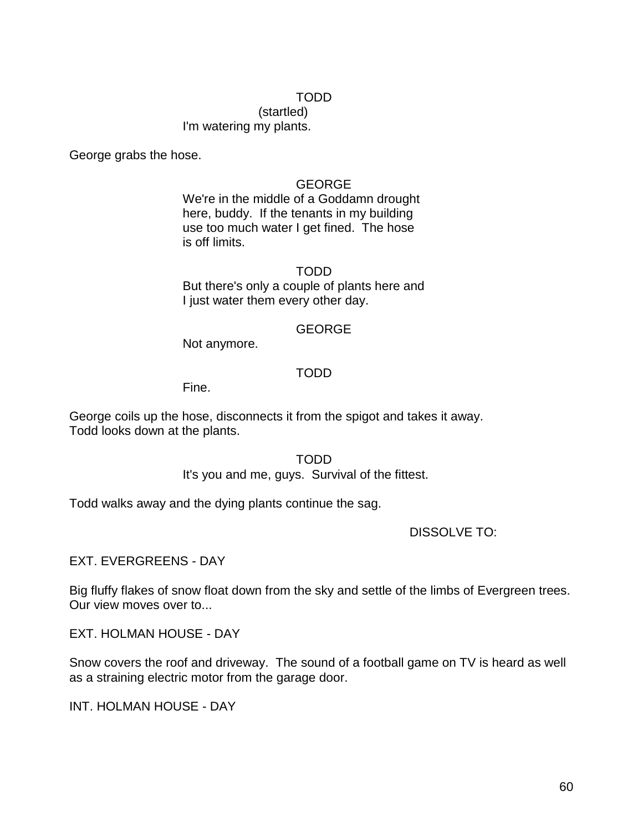(startled) I'm watering my plants.

George grabs the hose.

## GEORGE

We're in the middle of a Goddamn drought here, buddy. If the tenants in my building use too much water I get fined. The hose is off limits.

TODD

But there's only a couple of plants here and I just water them every other day.

## GEORGE

Not anymore.

## TODD

Fine.

George coils up the hose, disconnects it from the spigot and takes it away. Todd looks down at the plants.

TODD

It's you and me, guys. Survival of the fittest.

Todd walks away and the dying plants continue the sag.

DISSOLVE TO:

EXT. EVERGREENS - DAY

Big fluffy flakes of snow float down from the sky and settle of the limbs of Evergreen trees. Our view moves over to...

EXT. HOLMAN HOUSE - DAY

Snow covers the roof and driveway. The sound of a football game on TV is heard as well as a straining electric motor from the garage door.

INT. HOLMAN HOUSE - DAY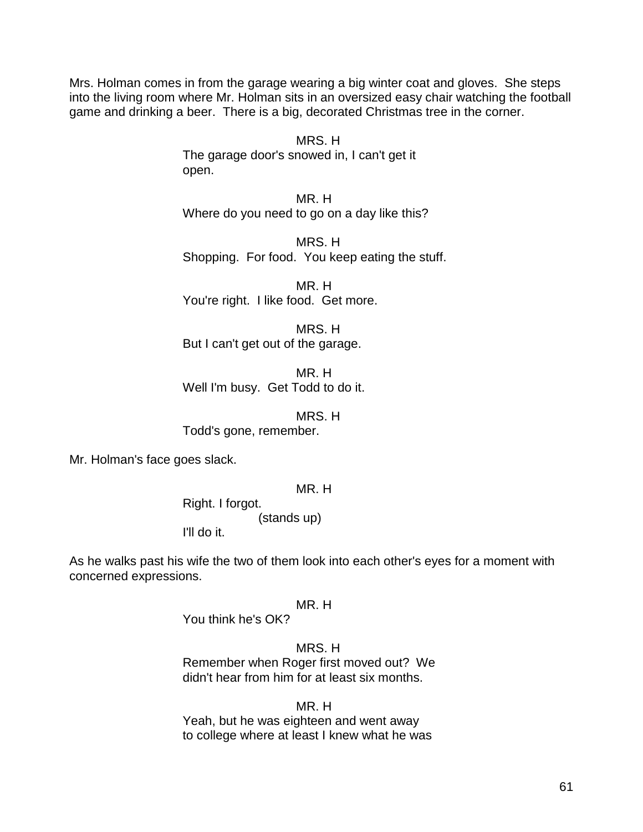Mrs. Holman comes in from the garage wearing a big winter coat and gloves. She steps into the living room where Mr. Holman sits in an oversized easy chair watching the football game and drinking a beer. There is a big, decorated Christmas tree in the corner.

> MRS. H The garage door's snowed in, I can't get it open.

MR. H Where do you need to go on a day like this?

MRS. H Shopping. For food. You keep eating the stuff.

MR. H You're right. I like food. Get more.

MRS. H But I can't get out of the garage.

MR. H Well I'm busy. Get Todd to do it.

MRS. H

Todd's gone, remember.

Mr. Holman's face goes slack.

## MR. H

Right. I forgot.

(stands up)

I'll do it.

As he walks past his wife the two of them look into each other's eyes for a moment with concerned expressions.

#### MR. H

You think he's OK?

MRS. H Remember when Roger first moved out? We didn't hear from him for at least six months.

## MR. H

Yeah, but he was eighteen and went away to college where at least I knew what he was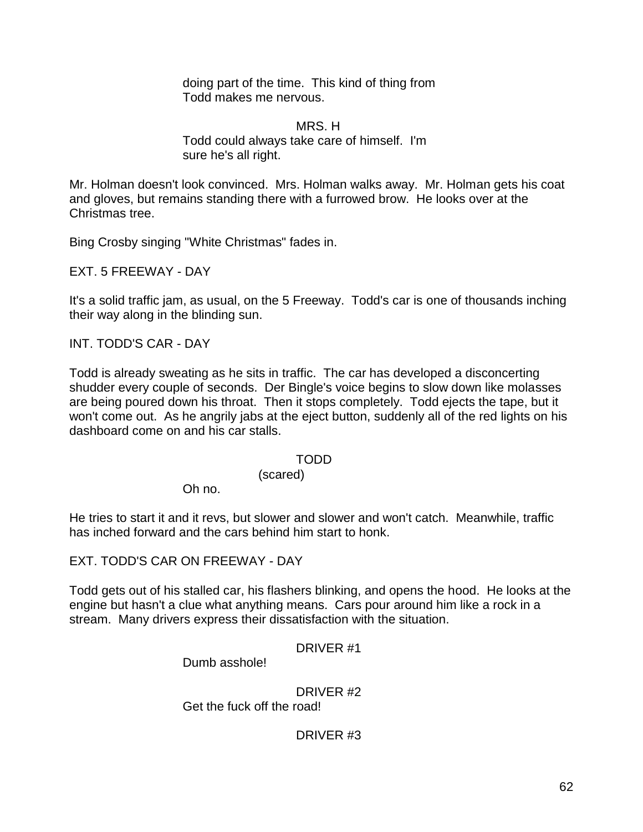doing part of the time. This kind of thing from Todd makes me nervous.

MRS. H Todd could always take care of himself. I'm sure he's all right.

Mr. Holman doesn't look convinced. Mrs. Holman walks away. Mr. Holman gets his coat and gloves, but remains standing there with a furrowed brow. He looks over at the Christmas tree.

Bing Crosby singing "White Christmas" fades in.

EXT. 5 FREEWAY - DAY

It's a solid traffic jam, as usual, on the 5 Freeway. Todd's car is one of thousands inching their way along in the blinding sun.

INT. TODD'S CAR - DAY

Todd is already sweating as he sits in traffic. The car has developed a disconcerting shudder every couple of seconds. Der Bingle's voice begins to slow down like molasses are being poured down his throat. Then it stops completely. Todd ejects the tape, but it won't come out. As he angrily jabs at the eject button, suddenly all of the red lights on his dashboard come on and his car stalls.

## TODD

(scared)

Oh no.

He tries to start it and it revs, but slower and slower and won't catch. Meanwhile, traffic has inched forward and the cars behind him start to honk.

EXT. TODD'S CAR ON FREEWAY - DAY

Todd gets out of his stalled car, his flashers blinking, and opens the hood. He looks at the engine but hasn't a clue what anything means. Cars pour around him like a rock in a stream. Many drivers express their dissatisfaction with the situation.

DRIVER #1

Dumb asshole!

DRIVER #2 Get the fuck off the road!

DRIVER #3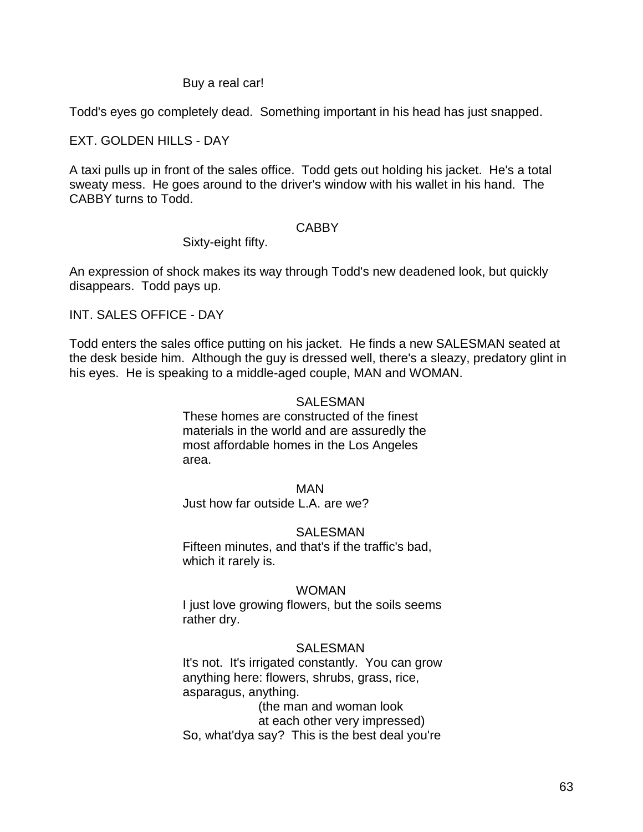#### Buy a real car!

Todd's eyes go completely dead. Something important in his head has just snapped.

## EXT. GOLDEN HILLS - DAY

A taxi pulls up in front of the sales office. Todd gets out holding his jacket. He's a total sweaty mess. He goes around to the driver's window with his wallet in his hand. The CABBY turns to Todd.

#### **CABBY**

Sixty-eight fifty.

An expression of shock makes its way through Todd's new deadened look, but quickly disappears. Todd pays up.

INT. SALES OFFICE - DAY

Todd enters the sales office putting on his jacket. He finds a new SALESMAN seated at the desk beside him. Although the guy is dressed well, there's a sleazy, predatory glint in his eyes. He is speaking to a middle-aged couple, MAN and WOMAN.

#### SALESMAN

These homes are constructed of the finest materials in the world and are assuredly the most affordable homes in the Los Angeles area.

MAN Just how far outside L.A. are we?

## SALESMAN

Fifteen minutes, and that's if the traffic's bad, which it rarely is.

#### WOMAN

I just love growing flowers, but the soils seems rather dry.

#### SALESMAN

It's not. It's irrigated constantly. You can grow anything here: flowers, shrubs, grass, rice, asparagus, anything.

(the man and woman look at each other very impressed) So, what'dya say? This is the best deal you're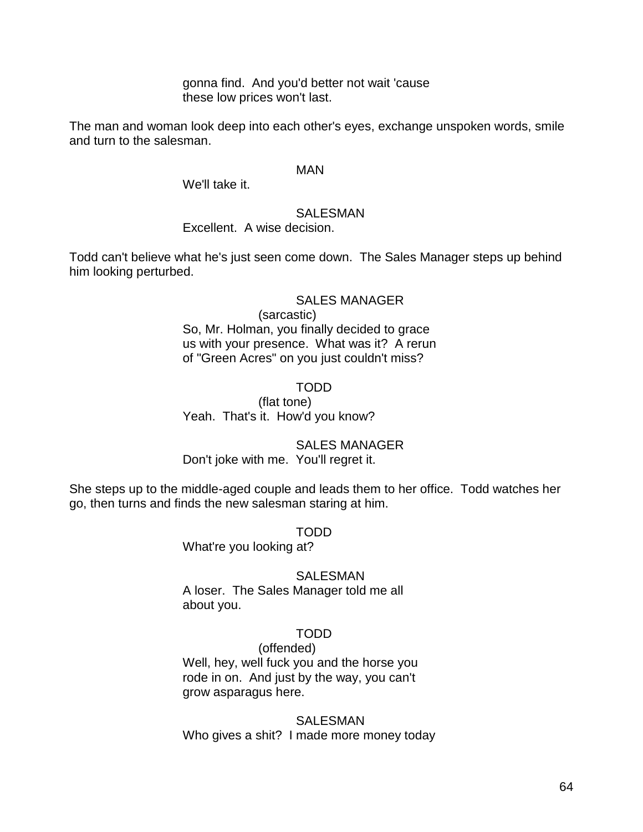gonna find. And you'd better not wait 'cause these low prices won't last.

The man and woman look deep into each other's eyes, exchange unspoken words, smile and turn to the salesman.

#### MAN

We'll take it.

#### **SALESMAN**

## Excellent. A wise decision.

Todd can't believe what he's just seen come down. The Sales Manager steps up behind him looking perturbed.

#### SALES MANAGER

(sarcastic) So, Mr. Holman, you finally decided to grace us with your presence. What was it? A rerun of "Green Acres" on you just couldn't miss?

## TODD

(flat tone) Yeah. That's it. How'd you know?

## SALES MANAGER

Don't joke with me. You'll regret it.

She steps up to the middle-aged couple and leads them to her office. Todd watches her go, then turns and finds the new salesman staring at him.

#### TODD

What're you looking at?

#### SALESMAN

A loser. The Sales Manager told me all about you.

#### TODD

(offended) Well, hey, well fuck you and the horse you rode in on. And just by the way, you can't grow asparagus here.

## SALESMAN Who gives a shit? I made more money today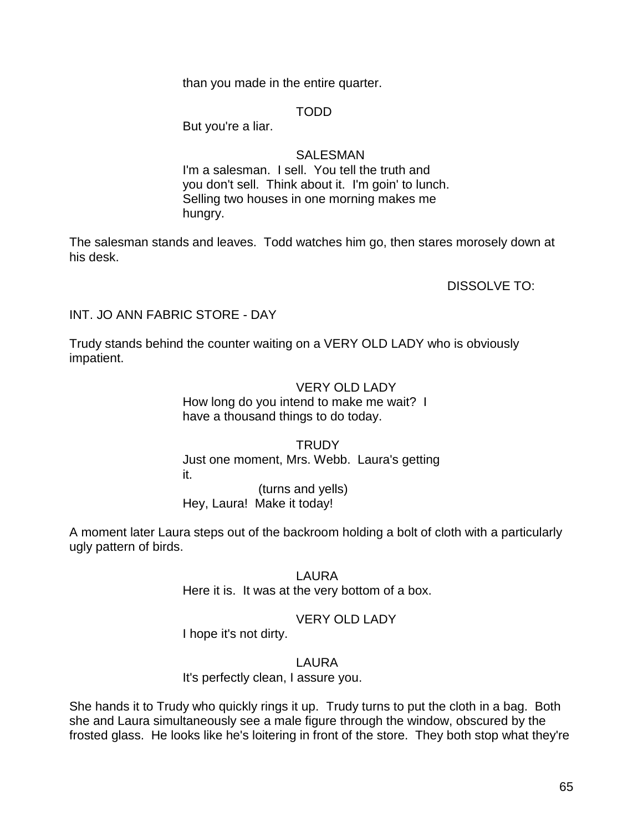than you made in the entire quarter.

## TODD

But you're a liar.

# SALESMAN

I'm a salesman. I sell. You tell the truth and you don't sell. Think about it. I'm goin' to lunch. Selling two houses in one morning makes me hungry.

The salesman stands and leaves. Todd watches him go, then stares morosely down at his desk.

# DISSOLVE TO:

# INT. JO ANN FABRIC STORE - DAY

Trudy stands behind the counter waiting on a VERY OLD LADY who is obviously impatient.

# VERY OLD LADY How long do you intend to make me wait? I have a thousand things to do today.

# **TRUDY** Just one moment, Mrs. Webb. Laura's getting it.

#### (turns and yells) Hey, Laura! Make it today!

A moment later Laura steps out of the backroom holding a bolt of cloth with a particularly ugly pattern of birds.

## LAURA

Here it is. It was at the very bottom of a box.

## VERY OLD LADY

I hope it's not dirty.

## LAURA

It's perfectly clean, I assure you.

She hands it to Trudy who quickly rings it up. Trudy turns to put the cloth in a bag. Both she and Laura simultaneously see a male figure through the window, obscured by the frosted glass. He looks like he's loitering in front of the store. They both stop what they're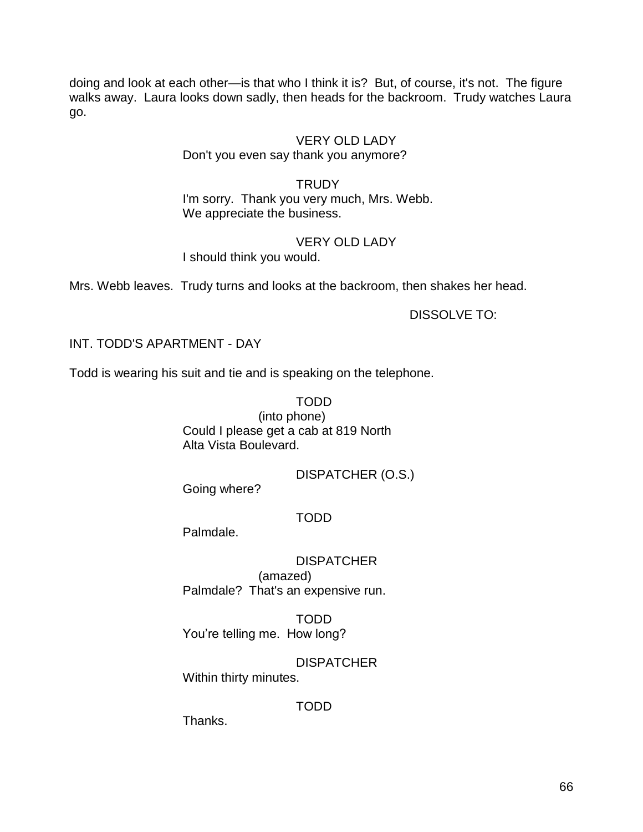doing and look at each other—is that who I think it is? But, of course, it's not. The figure walks away. Laura looks down sadly, then heads for the backroom. Trudy watches Laura go.

## VERY OLD LADY Don't you even say thank you anymore?

**TRUDY** I'm sorry. Thank you very much, Mrs. Webb. We appreciate the business.

# VERY OLD LADY

I should think you would.

Mrs. Webb leaves. Trudy turns and looks at the backroom, then shakes her head.

DISSOLVE TO:

## INT. TODD'S APARTMENT - DAY

Todd is wearing his suit and tie and is speaking on the telephone.

TODD (into phone) Could I please get a cab at 819 North Alta Vista Boulevard.

DISPATCHER (O.S.)

Going where?

# TODD

Palmdale.

**DISPATCHER** (amazed) Palmdale? That's an expensive run.

TODD You're telling me. How long?

**DISPATCHER** Within thirty minutes.

## TODD

Thanks.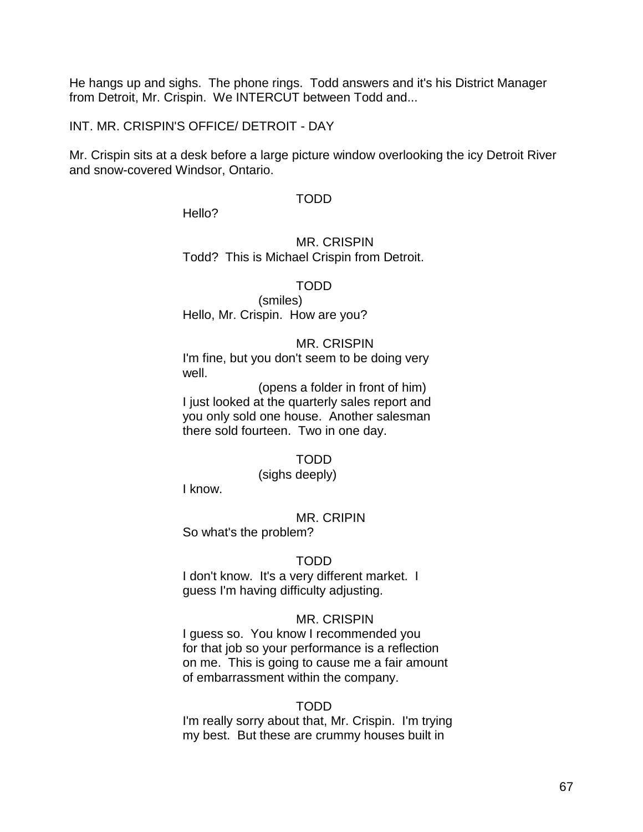He hangs up and sighs. The phone rings. Todd answers and it's his District Manager from Detroit, Mr. Crispin. We INTERCUT between Todd and...

INT. MR. CRISPIN'S OFFICE/ DETROIT - DAY

Mr. Crispin sits at a desk before a large picture window overlooking the icy Detroit River and snow-covered Windsor, Ontario.

#### TODD

Hello?

MR. CRISPIN Todd? This is Michael Crispin from Detroit.

#### TODD

(smiles) Hello, Mr. Crispin. How are you?

#### MR. CRISPIN

I'm fine, but you don't seem to be doing very well.

(opens a folder in front of him) I just looked at the quarterly sales report and you only sold one house. Another salesman there sold fourteen. Two in one day.

#### TODD

#### (sighs deeply)

I know.

MR. CRIPIN

So what's the problem?

#### TODD

I don't know. It's a very different market. I guess I'm having difficulty adjusting.

#### MR. CRISPIN

I guess so. You know I recommended you for that job so your performance is a reflection on me. This is going to cause me a fair amount of embarrassment within the company.

#### TODD

I'm really sorry about that, Mr. Crispin. I'm trying my best. But these are crummy houses built in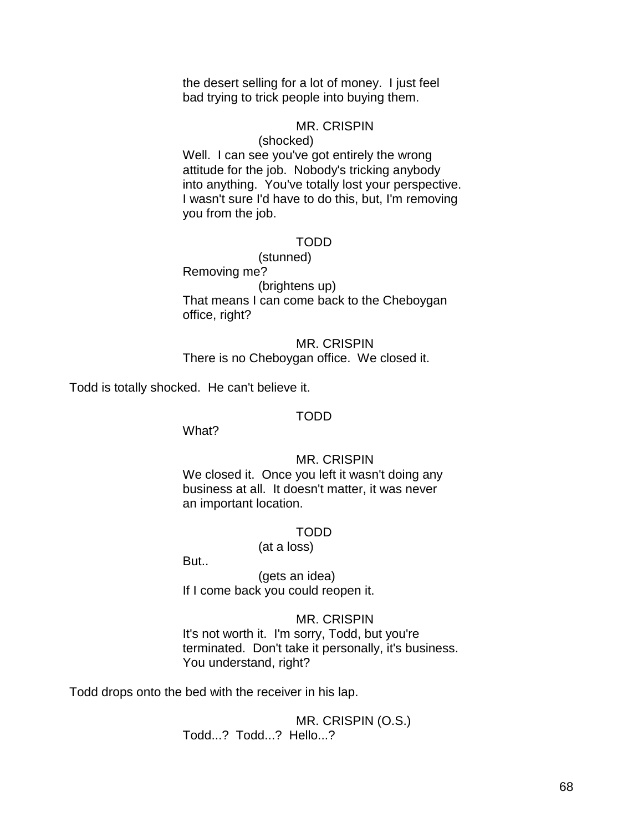the desert selling for a lot of money. I just feel bad trying to trick people into buying them.

#### MR. CRISPIN

#### (shocked)

Well. I can see you've got entirely the wrong attitude for the job. Nobody's tricking anybody into anything. You've totally lost your perspective. I wasn't sure I'd have to do this, but, I'm removing you from the job.

#### TODD

(stunned) Removing me? (brightens up) That means I can come back to the Cheboygan office, right?

MR. CRISPIN There is no Cheboygan office. We closed it.

Todd is totally shocked. He can't believe it.

#### TODD

What?

#### MR. CRISPIN

We closed it. Once you left it wasn't doing any business at all. It doesn't matter, it was never an important location.

#### TODD

(at a loss)

But..

(gets an idea) If I come back you could reopen it.

#### MR. CRISPIN

It's not worth it. I'm sorry, Todd, but you're terminated. Don't take it personally, it's business. You understand, right?

Todd drops onto the bed with the receiver in his lap.

MR. CRISPIN (O.S.) Todd...? Todd...? Hello...?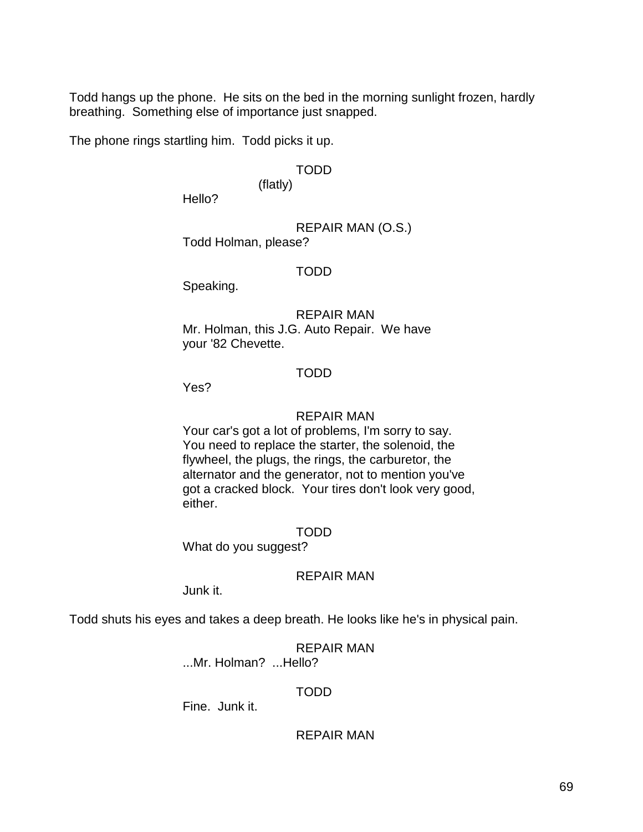Todd hangs up the phone. He sits on the bed in the morning sunlight frozen, hardly breathing. Something else of importance just snapped.

The phone rings startling him. Todd picks it up.

TODD

(flatly)

Hello?

REPAIR MAN (O.S.) Todd Holman, please?

#### TODD

Speaking.

REPAIR MAN Mr. Holman, this J.G. Auto Repair. We have your '82 Chevette.

#### TODD

Yes?

#### REPAIR MAN

Your car's got a lot of problems, I'm sorry to say. You need to replace the starter, the solenoid, the flywheel, the plugs, the rings, the carburetor, the alternator and the generator, not to mention you've got a cracked block. Your tires don't look very good, either.

## TODD

What do you suggest?

#### REPAIR MAN

Junk it.

Todd shuts his eyes and takes a deep breath. He looks like he's in physical pain.

## REPAIR MAN

...Mr. Holman? ...Hello?

#### TODD

Fine. Junk it.

#### REPAIR MAN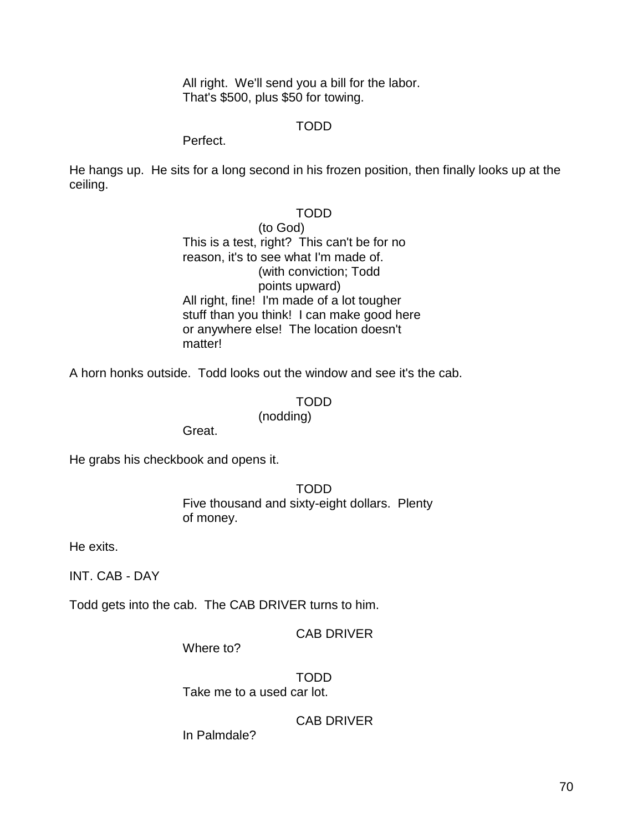All right. We'll send you a bill for the labor. That's \$500, plus \$50 for towing.

## TODD

Perfect.

He hangs up. He sits for a long second in his frozen position, then finally looks up at the ceiling.

TODD

(to God) This is a test, right? This can't be for no reason, it's to see what I'm made of. (with conviction; Todd points upward) All right, fine! I'm made of a lot tougher stuff than you think! I can make good here or anywhere else! The location doesn't matter!

A horn honks outside. Todd looks out the window and see it's the cab.

#### TODD

## (nodding)

Great.

He grabs his checkbook and opens it.

TODD Five thousand and sixty-eight dollars. Plenty of money.

He exits.

INT. CAB - DAY

Todd gets into the cab. The CAB DRIVER turns to him.

CAB DRIVER

Where to?

TODD Take me to a used car lot.

CAB DRIVER

In Palmdale?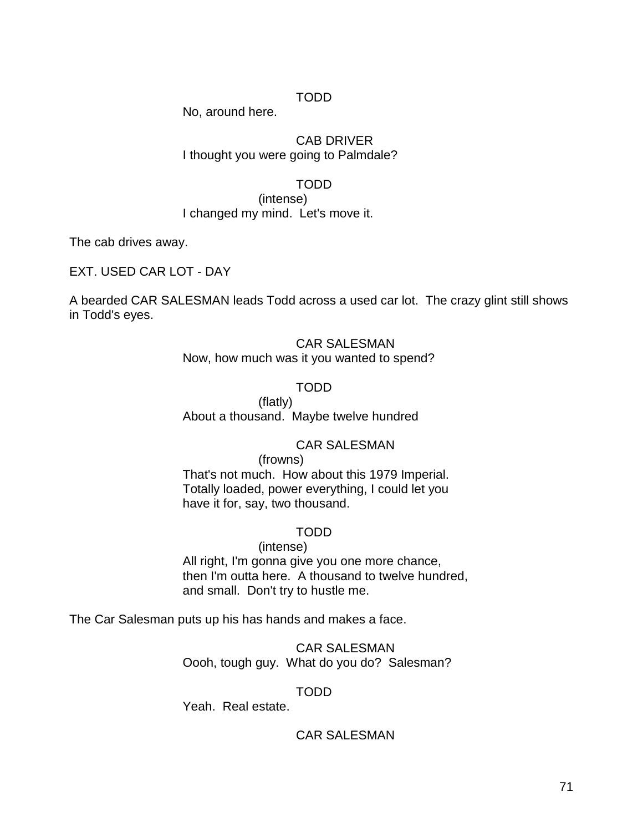No, around here.

# CAB DRIVER I thought you were going to Palmdale?

## TODD

(intense) I changed my mind. Let's move it.

The cab drives away.

EXT. USED CAR LOT - DAY

A bearded CAR SALESMAN leads Todd across a used car lot. The crazy glint still shows in Todd's eyes.

> CAR SALESMAN Now, how much was it you wanted to spend?

# TODD

(flatly) About a thousand. Maybe twelve hundred

## CAR SALESMAN

## (frowns)

That's not much. How about this 1979 Imperial. Totally loaded, power everything, I could let you have it for, say, two thousand.

# TODD

## (intense)

All right, I'm gonna give you one more chance, then I'm outta here. A thousand to twelve hundred, and small. Don't try to hustle me.

The Car Salesman puts up his has hands and makes a face.

CAR SALESMAN Oooh, tough guy. What do you do? Salesman?

## TODD

Yeah. Real estate.

CAR SALESMAN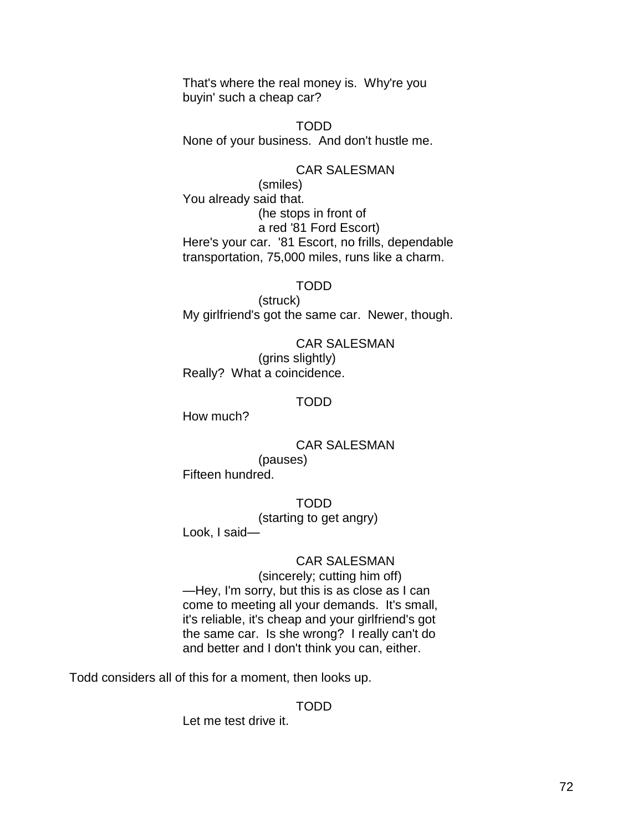That's where the real money is. Why're you buyin' such a cheap car?

TODD None of your business. And don't hustle me.

#### CAR SALESMAN

(smiles) You already said that. (he stops in front of a red '81 Ford Escort) Here's your car. '81 Escort, no frills, dependable transportation, 75,000 miles, runs like a charm.

#### TODD

(struck) My girlfriend's got the same car. Newer, though.

CAR SALESMAN (grins slightly) Really? What a coincidence.

#### TODD

How much?

CAR SALESMAN (pauses)

Fifteen hundred.

## TODD

(starting to get angry) Look, I said—

#### CAR SALESMAN

(sincerely; cutting him off) —Hey, I'm sorry, but this is as close as I can come to meeting all your demands. It's small, it's reliable, it's cheap and your girlfriend's got the same car. Is she wrong? I really can't do and better and I don't think you can, either.

Todd considers all of this for a moment, then looks up.

TODD

Let me test drive it.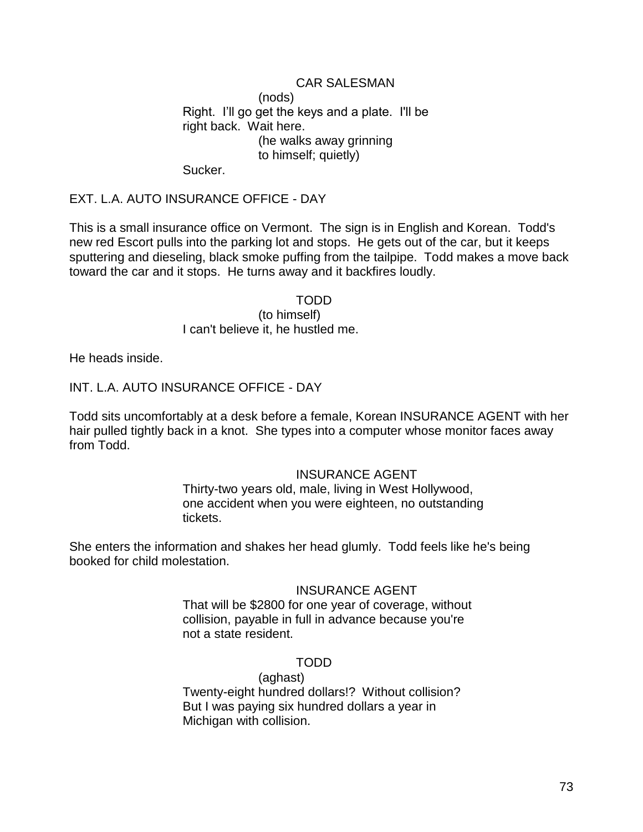# CAR SALESMAN (nods) Right. I'll go get the keys and a plate. I'll be right back. Wait here. (he walks away grinning to himself; quietly)

#### Sucker.

### EXT. L.A. AUTO INSURANCE OFFICE - DAY

This is a small insurance office on Vermont. The sign is in English and Korean. Todd's new red Escort pulls into the parking lot and stops. He gets out of the car, but it keeps sputtering and dieseling, black smoke puffing from the tailpipe. Todd makes a move back toward the car and it stops. He turns away and it backfires loudly.

#### TODD

#### (to himself) I can't believe it, he hustled me.

He heads inside.

#### INT. L.A. AUTO INSURANCE OFFICE - DAY

Todd sits uncomfortably at a desk before a female, Korean INSURANCE AGENT with her hair pulled tightly back in a knot. She types into a computer whose monitor faces away from Todd.

# INSURANCE AGENT

Thirty-two years old, male, living in West Hollywood, one accident when you were eighteen, no outstanding tickets.

She enters the information and shakes her head glumly. Todd feels like he's being booked for child molestation.

#### INSURANCE AGENT

That will be \$2800 for one year of coverage, without collision, payable in full in advance because you're not a state resident.

#### TODD

(aghast) Twenty-eight hundred dollars!? Without collision? But I was paying six hundred dollars a year in Michigan with collision.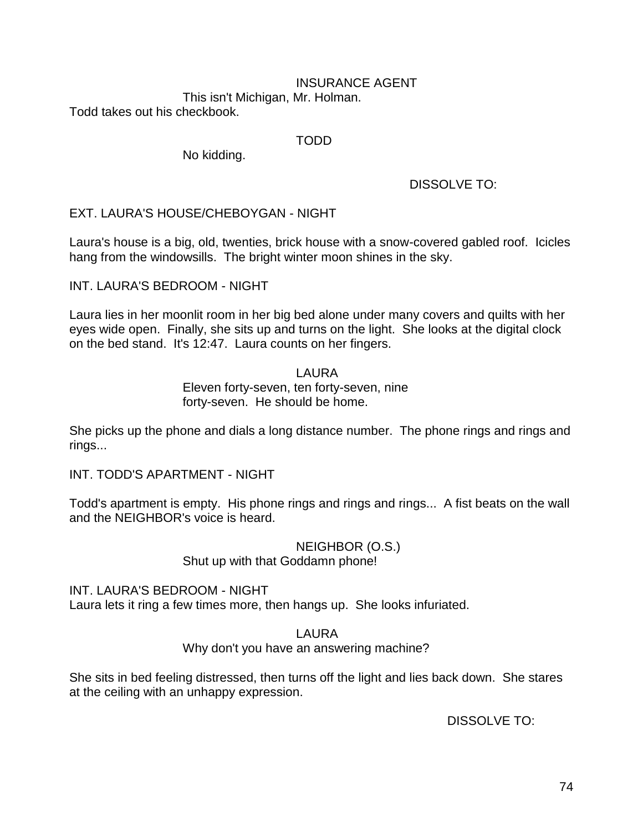# INSURANCE AGENT This isn't Michigan, Mr. Holman.

Todd takes out his checkbook.

# TODD

No kidding.

DISSOLVE TO:

EXT. LAURA'S HOUSE/CHEBOYGAN - NIGHT

Laura's house is a big, old, twenties, brick house with a snow-covered gabled roof. Icicles hang from the windowsills. The bright winter moon shines in the sky.

INT. LAURA'S BEDROOM - NIGHT

Laura lies in her moonlit room in her big bed alone under many covers and quilts with her eyes wide open. Finally, she sits up and turns on the light. She looks at the digital clock on the bed stand. It's 12:47. Laura counts on her fingers.

### LAURA Eleven forty-seven, ten forty-seven, nine forty-seven. He should be home.

She picks up the phone and dials a long distance number. The phone rings and rings and rings...

INT. TODD'S APARTMENT - NIGHT

Todd's apartment is empty. His phone rings and rings and rings... A fist beats on the wall and the NEIGHBOR's voice is heard.

> NEIGHBOR (O.S.) Shut up with that Goddamn phone!

INT. LAURA'S BEDROOM - NIGHT Laura lets it ring a few times more, then hangs up. She looks infuriated.

LAURA

Why don't you have an answering machine?

She sits in bed feeling distressed, then turns off the light and lies back down. She stares at the ceiling with an unhappy expression.

DISSOLVE TO: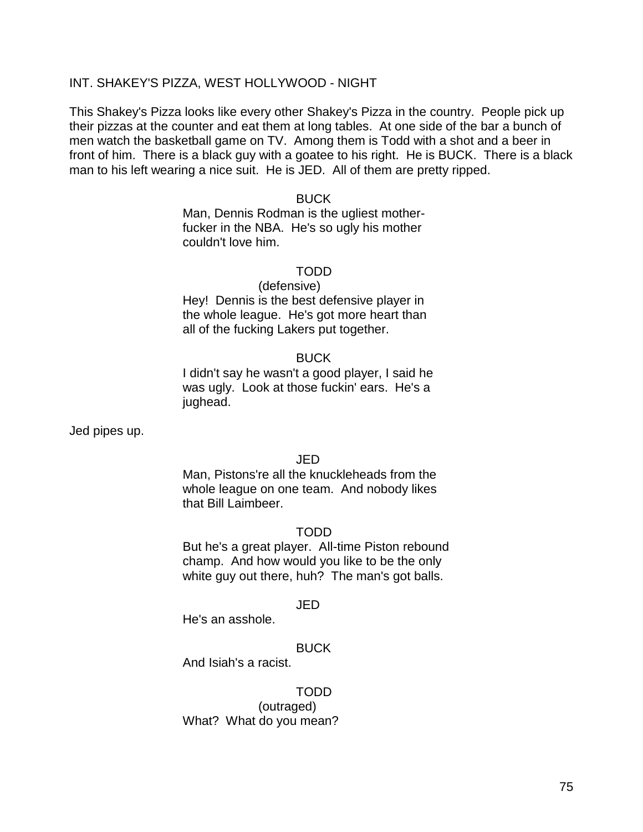#### INT. SHAKEY'S PIZZA, WEST HOLLYWOOD - NIGHT

This Shakey's Pizza looks like every other Shakey's Pizza in the country. People pick up their pizzas at the counter and eat them at long tables. At one side of the bar a bunch of men watch the basketball game on TV. Among them is Todd with a shot and a beer in front of him. There is a black guy with a goatee to his right. He is BUCK. There is a black man to his left wearing a nice suit. He is JED. All of them are pretty ripped.

#### **BUCK**

Man, Dennis Rodman is the ugliest motherfucker in the NBA. He's so ugly his mother couldn't love him.

#### TODD

#### (defensive)

Hey! Dennis is the best defensive player in the whole league. He's got more heart than all of the fucking Lakers put together.

#### **BUCK**

I didn't say he wasn't a good player, I said he was ugly. Look at those fuckin' ears. He's a jughead.

Jed pipes up.

### JED

Man, Pistons're all the knuckleheads from the whole league on one team. And nobody likes that Bill Laimbeer.

#### TODD

But he's a great player. All-time Piston rebound champ. And how would you like to be the only white guy out there, huh? The man's got balls.

#### JED

He's an asshole.

### **BUCK**

And Isiah's a racist.

#### TODD

(outraged) What? What do you mean?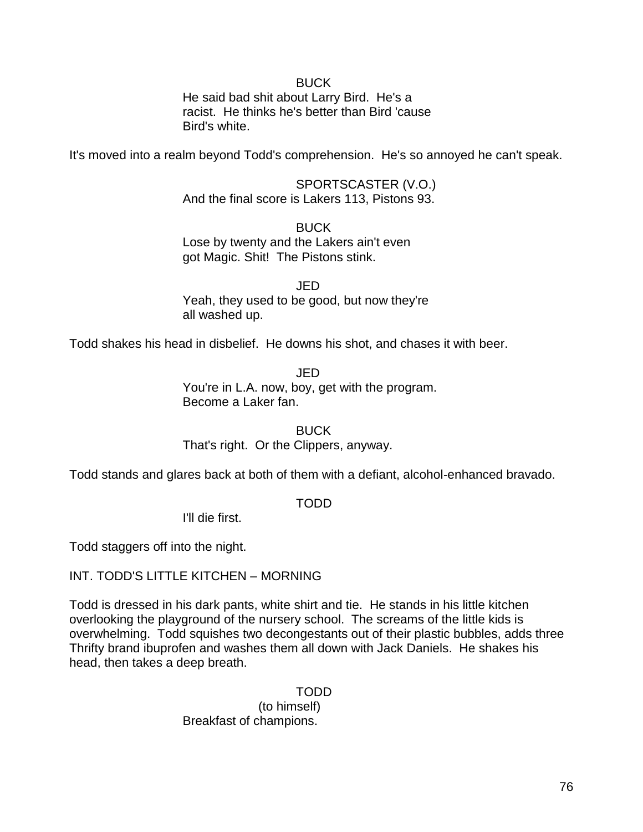### **BUCK**

He said bad shit about Larry Bird. He's a racist. He thinks he's better than Bird 'cause Bird's white.

It's moved into a realm beyond Todd's comprehension. He's so annoyed he can't speak.

SPORTSCASTER (V.O.) And the final score is Lakers 113, Pistons 93.

**BUCK** Lose by twenty and the Lakers ain't even got Magic. Shit! The Pistons stink.

JED Yeah, they used to be good, but now they're all washed up.

Todd shakes his head in disbelief. He downs his shot, and chases it with beer.

JED You're in L.A. now, boy, get with the program. Become a Laker fan.

**BUCK** 

That's right. Or the Clippers, anyway.

Todd stands and glares back at both of them with a defiant, alcohol-enhanced bravado.

### TODD

I'll die first.

Todd staggers off into the night.

INT. TODD'S LITTLE KITCHEN – MORNING

Todd is dressed in his dark pants, white shirt and tie. He stands in his little kitchen overlooking the playground of the nursery school. The screams of the little kids is overwhelming. Todd squishes two decongestants out of their plastic bubbles, adds three Thrifty brand ibuprofen and washes them all down with Jack Daniels. He shakes his head, then takes a deep breath.

TODD

(to himself) Breakfast of champions.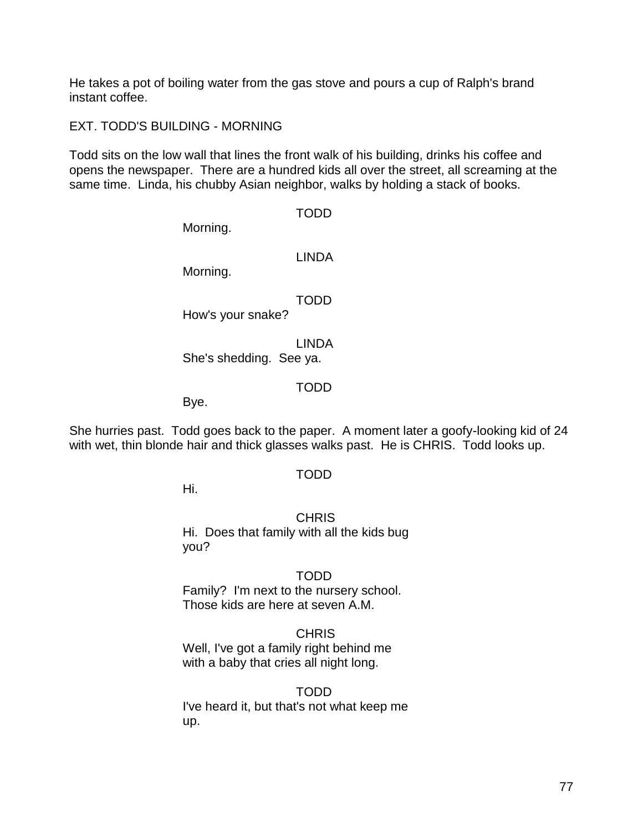He takes a pot of boiling water from the gas stove and pours a cup of Ralph's brand instant coffee.

EXT. TODD'S BUILDING - MORNING

Todd sits on the low wall that lines the front walk of his building, drinks his coffee and opens the newspaper. There are a hundred kids all over the street, all screaming at the same time. Linda, his chubby Asian neighbor, walks by holding a stack of books.

> TODD Morning. LINDA Morning.

TODD

How's your snake?

LINDA

She's shedding. See ya.

### TODD

Bye.

She hurries past. Todd goes back to the paper. A moment later a goofy-looking kid of 24 with wet, thin blonde hair and thick glasses walks past. He is CHRIS. Todd looks up.

### TODD

Hi.

**CHRIS** Hi. Does that family with all the kids bug you?

### TODD

Family? I'm next to the nursery school. Those kids are here at seven A.M.

# **CHRIS**

Well, I've got a family right behind me with a baby that cries all night long.

### TODD

I've heard it, but that's not what keep me up.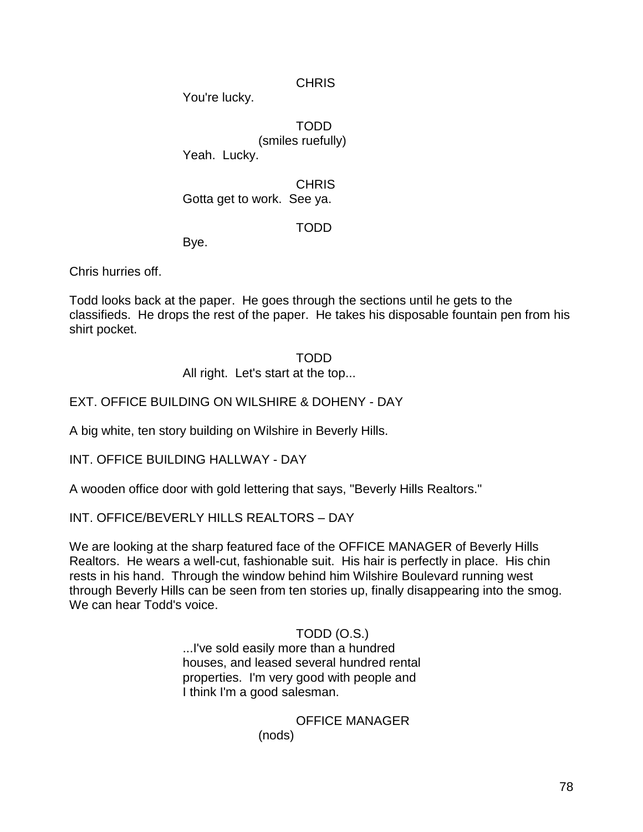**CHRIS** 

You're lucky.

TODD (smiles ruefully) Yeah. Lucky.

**CHRIS** Gotta get to work. See ya.

# TODD

Bye.

Chris hurries off.

Todd looks back at the paper. He goes through the sections until he gets to the classifieds. He drops the rest of the paper. He takes his disposable fountain pen from his shirt pocket.

# TODD

All right. Let's start at the top...

# EXT. OFFICE BUILDING ON WILSHIRE & DOHENY - DAY

A big white, ten story building on Wilshire in Beverly Hills.

INT. OFFICE BUILDING HALLWAY - DAY

A wooden office door with gold lettering that says, "Beverly Hills Realtors."

INT. OFFICE/BEVERLY HILLS REALTORS – DAY

We are looking at the sharp featured face of the OFFICE MANAGER of Beverly Hills Realtors. He wears a well-cut, fashionable suit. His hair is perfectly in place. His chin rests in his hand. Through the window behind him Wilshire Boulevard running west through Beverly Hills can be seen from ten stories up, finally disappearing into the smog. We can hear Todd's voice.

# TODD (O.S.)

...I've sold easily more than a hundred houses, and leased several hundred rental properties. I'm very good with people and I think I'm a good salesman.

OFFICE MANAGER

(nods)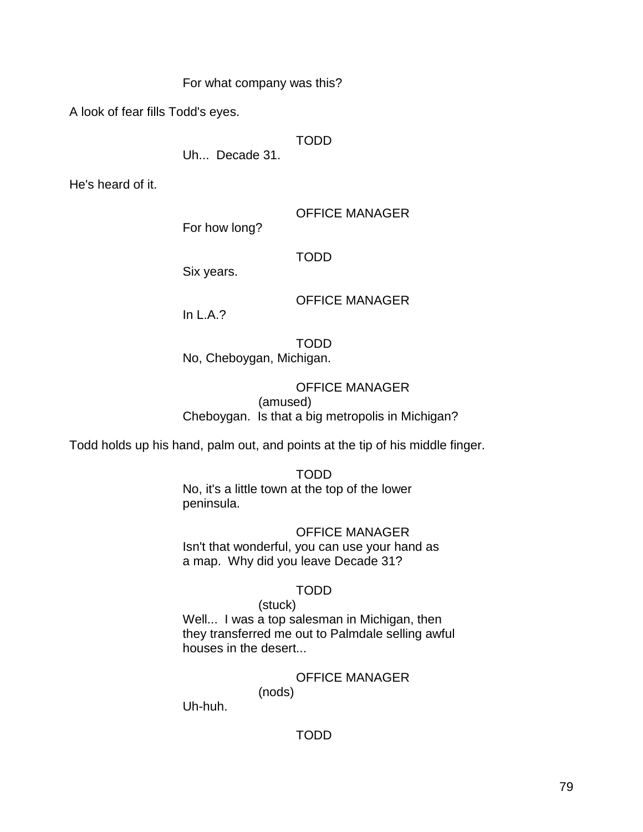For what company was this?

A look of fear fills Todd's eyes.

TODD

Uh... Decade 31.

He's heard of it.

OFFICE MANAGER

For how long?

TODD

Six years.

OFFICE MANAGER

In L.A.?

TODD

No, Cheboygan, Michigan.

OFFICE MANAGER (amused) Cheboygan. Is that a big metropolis in Michigan?

Todd holds up his hand, palm out, and points at the tip of his middle finger.

TODD No, it's a little town at the top of the lower peninsula.

OFFICE MANAGER Isn't that wonderful, you can use your hand as a map. Why did you leave Decade 31?

# TODD

(stuck) Well... I was a top salesman in Michigan, then they transferred me out to Palmdale selling awful houses in the desert...

OFFICE MANAGER

(nods)

Uh-huh.

TODD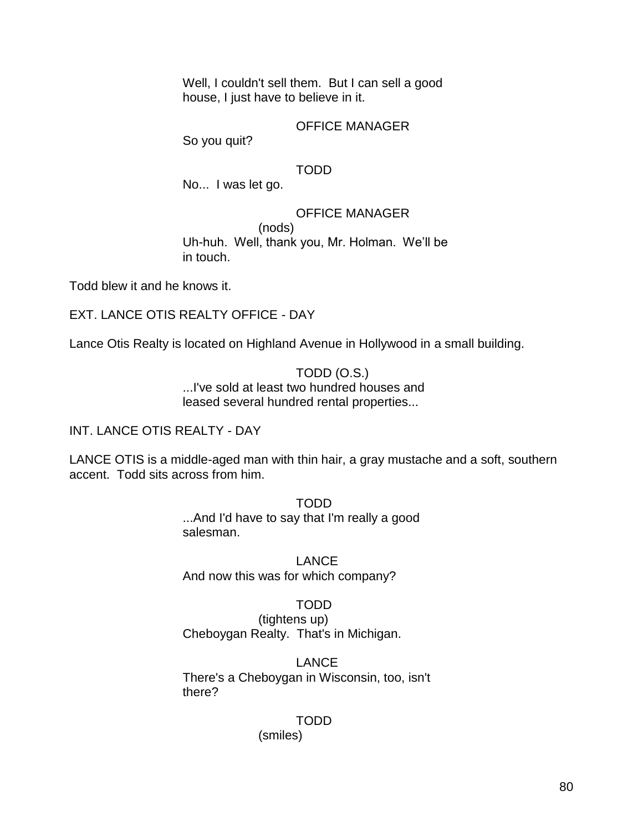Well, I couldn't sell them. But I can sell a good house, I just have to believe in it.

### OFFICE MANAGER

So you quit?

### TODD

No... I was let go.

# OFFICE MANAGER

(nods)

Uh-huh. Well, thank you, Mr. Holman. We'll be in touch.

Todd blew it and he knows it.

EXT. LANCE OTIS REALTY OFFICE - DAY

Lance Otis Realty is located on Highland Avenue in Hollywood in a small building.

TODD (O.S.) ...I've sold at least two hundred houses and leased several hundred rental properties...

# INT. LANCE OTIS REALTY - DAY

LANCE OTIS is a middle-aged man with thin hair, a gray mustache and a soft, southern accent. Todd sits across from him.

> TODD ...And I'd have to say that I'm really a good salesman.

LANCE And now this was for which company?

# TODD

(tightens up) Cheboygan Realty. That's in Michigan.

LANCE There's a Cheboygan in Wisconsin, too, isn't there?

### TODD

(smiles)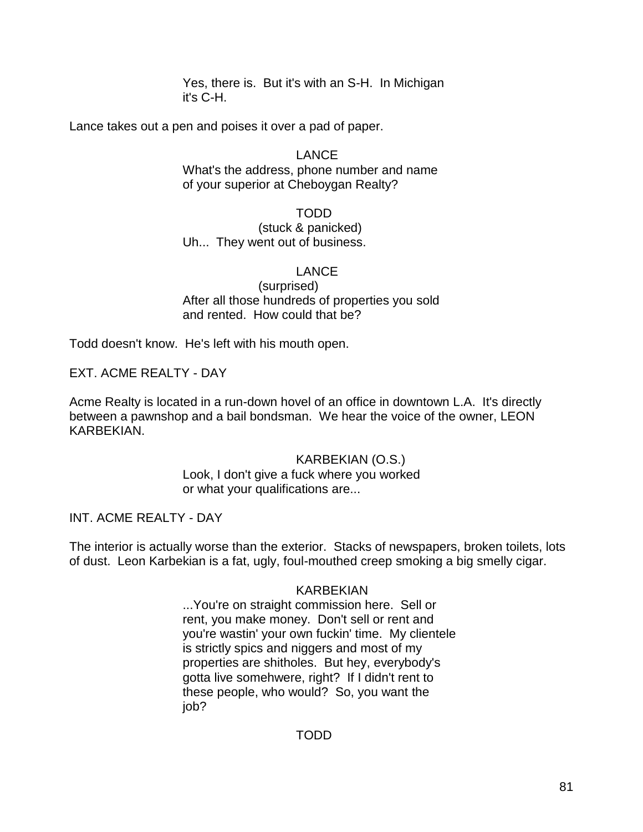Yes, there is. But it's with an S-H. In Michigan it's C-H.

Lance takes out a pen and poises it over a pad of paper.

LANCE What's the address, phone number and name of your superior at Cheboygan Realty?

TODD (stuck & panicked) Uh... They went out of business.

#### LANCE

(surprised) After all those hundreds of properties you sold and rented. How could that be?

Todd doesn't know. He's left with his mouth open.

EXT. ACME REALTY - DAY

Acme Realty is located in a run-down hovel of an office in downtown L.A. It's directly between a pawnshop and a bail bondsman. We hear the voice of the owner, LEON **KARREKIAN** 

### KARBEKIAN (O.S.) Look, I don't give a fuck where you worked or what your qualifications are...

INT. ACME REALTY - DAY

The interior is actually worse than the exterior. Stacks of newspapers, broken toilets, lots of dust. Leon Karbekian is a fat, ugly, foul-mouthed creep smoking a big smelly cigar.

### **KARBEKIAN**

...You're on straight commission here. Sell or rent, you make money. Don't sell or rent and you're wastin' your own fuckin' time. My clientele is strictly spics and niggers and most of my properties are shitholes. But hey, everybody's gotta live somehwere, right? If I didn't rent to these people, who would? So, you want the job?

TODD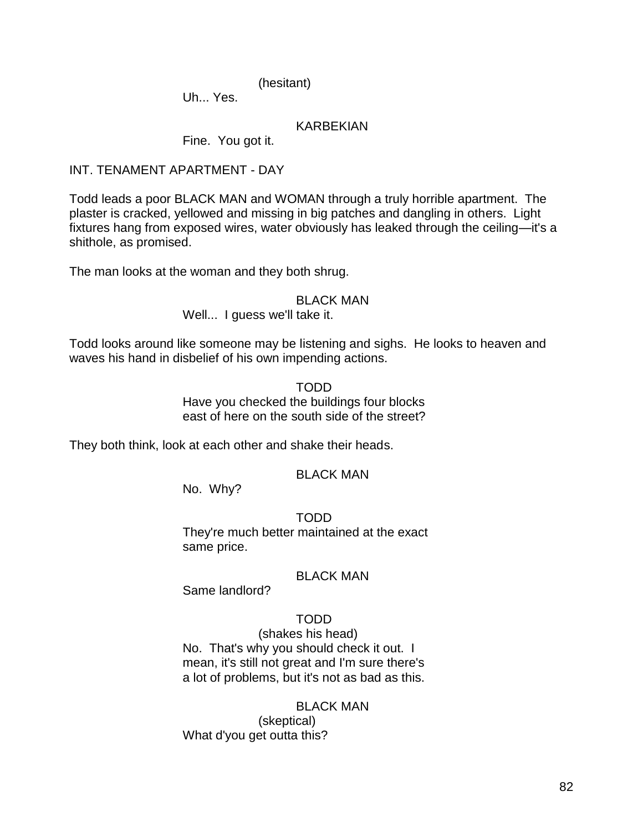(hesitant)

Uh... Yes.

KARBEKIAN

Fine. You got it.

# INT. TENAMENT APARTMENT - DAY

Todd leads a poor BLACK MAN and WOMAN through a truly horrible apartment. The plaster is cracked, yellowed and missing in big patches and dangling in others. Light fixtures hang from exposed wires, water obviously has leaked through the ceiling—it's a shithole, as promised.

The man looks at the woman and they both shrug.

# BLACK MAN

Well... I guess we'll take it.

Todd looks around like someone may be listening and sighs. He looks to heaven and waves his hand in disbelief of his own impending actions.

# TODD Have you checked the buildings four blocks east of here on the south side of the street?

They both think, look at each other and shake their heads.

# BLACK MAN

No. Why?

TODD They're much better maintained at the exact same price.

# BLACK MAN

Same landlord?

# TODD

(shakes his head) No. That's why you should check it out. I mean, it's still not great and I'm sure there's a lot of problems, but it's not as bad as this.

BLACK MAN (skeptical) What d'you get outta this?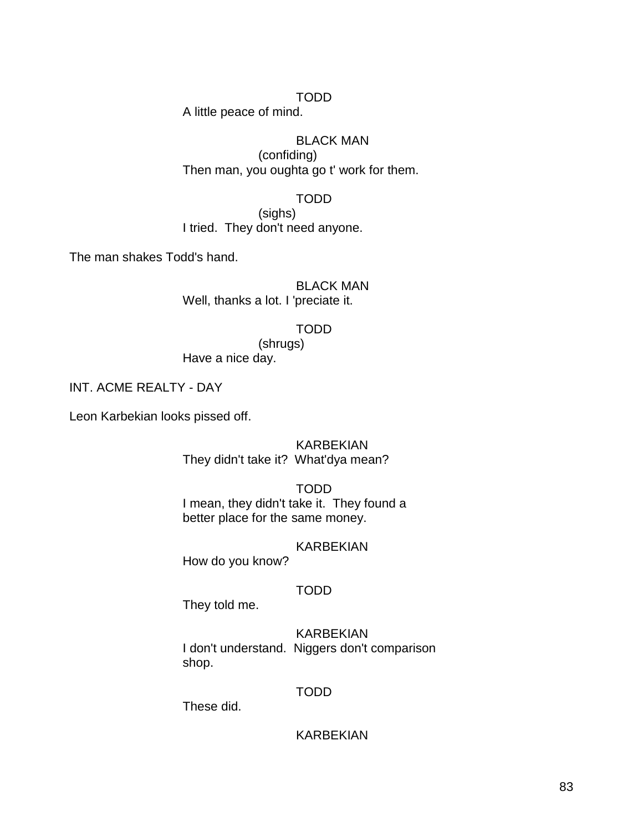# TODD

A little peace of mind.

# BLACK MAN

(confiding) Then man, you oughta go t' work for them.

# TODD

(sighs) I tried. They don't need anyone.

The man shakes Todd's hand.

BLACK MAN Well, thanks a lot. I 'preciate it.

# TODD

(shrugs) Have a nice day.

INT. ACME REALTY - DAY

Leon Karbekian looks pissed off.

# KARBEKIAN They didn't take it? What'dya mean?

TODD I mean, they didn't take it. They found a better place for the same money.

# KARBEKIAN

How do you know?

# TODD

They told me.

KARBEKIAN I don't understand. Niggers don't comparison shop.

# TODD

These did.

**KARBEKIAN**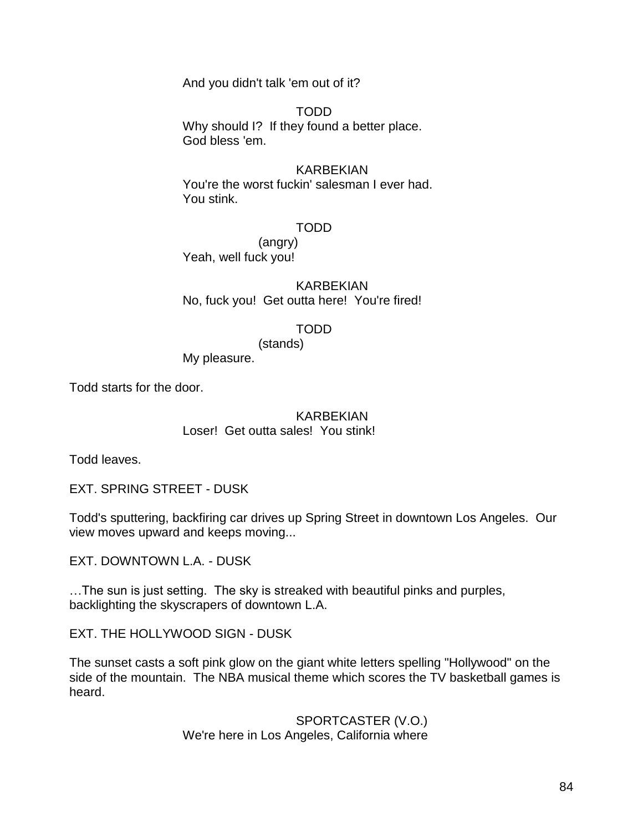And you didn't talk 'em out of it?

TODD

Why should I? If they found a better place. God bless 'em.

### KARBEKIAN

You're the worst fuckin' salesman I ever had. You stink.

### TODD

(angry) Yeah, well fuck you!

KARBEKIAN No, fuck you! Get outta here! You're fired!

### TODD

(stands)

My pleasure.

Todd starts for the door.

### KARBEKIAN Loser! Get outta sales! You stink!

Todd leaves.

EXT. SPRING STREET - DUSK

Todd's sputtering, backfiring car drives up Spring Street in downtown Los Angeles. Our view moves upward and keeps moving...

EXT. DOWNTOWN L.A. - DUSK

…The sun is just setting. The sky is streaked with beautiful pinks and purples, backlighting the skyscrapers of downtown L.A.

EXT. THE HOLLYWOOD SIGN - DUSK

The sunset casts a soft pink glow on the giant white letters spelling "Hollywood" on the side of the mountain. The NBA musical theme which scores the TV basketball games is heard.

> SPORTCASTER (V.O.) We're here in Los Angeles, California where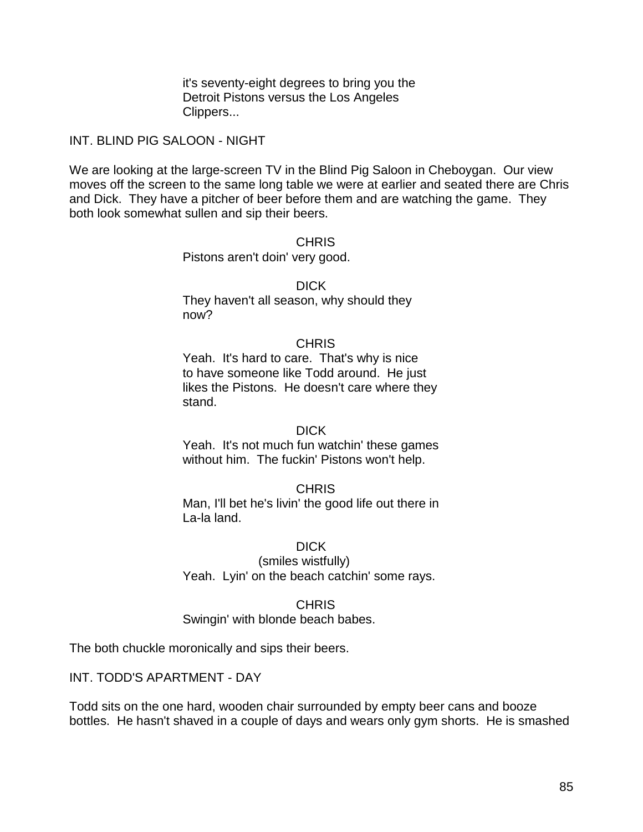it's seventy-eight degrees to bring you the Detroit Pistons versus the Los Angeles Clippers...

#### INT. BLIND PIG SALOON - NIGHT

We are looking at the large-screen TV in the Blind Pig Saloon in Cheboygan. Our view moves off the screen to the same long table we were at earlier and seated there are Chris and Dick. They have a pitcher of beer before them and are watching the game. They both look somewhat sullen and sip their beers.

#### **CHRIS**

Pistons aren't doin' very good.

#### DICK

They haven't all season, why should they now?

#### **CHRIS**

Yeah. It's hard to care. That's why is nice to have someone like Todd around. He just likes the Pistons. He doesn't care where they stand.

#### DICK

Yeah. It's not much fun watchin' these games without him. The fuckin' Pistons won't help.

#### **CHRIS**

Man, I'll bet he's livin' the good life out there in La-la land.

DICK

(smiles wistfully) Yeah. Lyin' on the beach catchin' some rays.

#### **CHRIS**

### Swingin' with blonde beach babes.

The both chuckle moronically and sips their beers.

### INT. TODD'S APARTMENT - DAY

Todd sits on the one hard, wooden chair surrounded by empty beer cans and booze bottles. He hasn't shaved in a couple of days and wears only gym shorts. He is smashed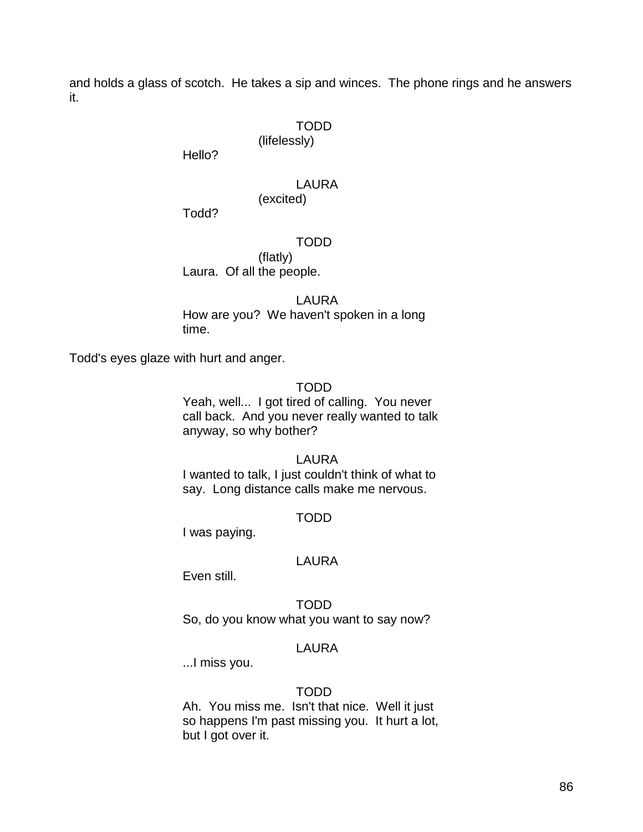and holds a glass of scotch. He takes a sip and winces. The phone rings and he answers it.

### TODD (lifelessly)

Hello?

#### LAURA (excited)

Todd?

# TODD

(flatly) Laura. Of all the people.

### LAURA

How are you? We haven't spoken in a long time.

Todd's eyes glaze with hurt and anger.

# TODD

Yeah, well... I got tired of calling. You never call back. And you never really wanted to talk anyway, so why bother?

### LAURA

I wanted to talk, I just couldn't think of what to say. Long distance calls make me nervous.

# TODD

I was paying.

# LAURA

Even still.

TODD So, do you know what you want to say now?

# LAURA

...I miss you.

# TODD

Ah. You miss me. Isn't that nice. Well it just so happens I'm past missing you. It hurt a lot, but I got over it.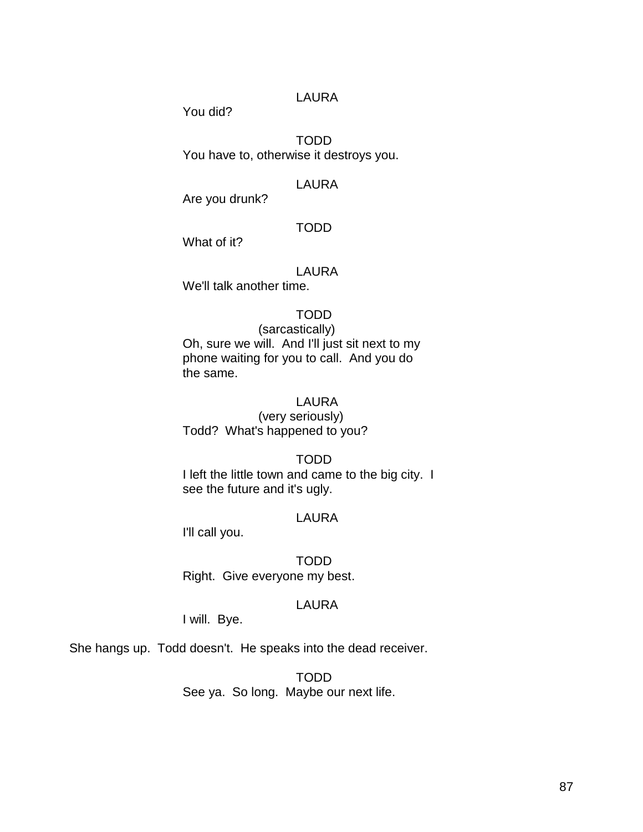### LAURA

You did?

### TODD

You have to, otherwise it destroys you.

### LAURA

Are you drunk?

### TODD

What of it?

#### LAURA

We'll talk another time.

# TODD

(sarcastically) Oh, sure we will. And I'll just sit next to my phone waiting for you to call. And you do the same.

# LAURA

(very seriously) Todd? What's happened to you?

#### TODD

I left the little town and came to the big city. I see the future and it's ugly.

#### LAURA

I'll call you.

TODD Right. Give everyone my best.

### LAURA

I will. Bye.

She hangs up. Todd doesn't. He speaks into the dead receiver.

TODD See ya. So long. Maybe our next life.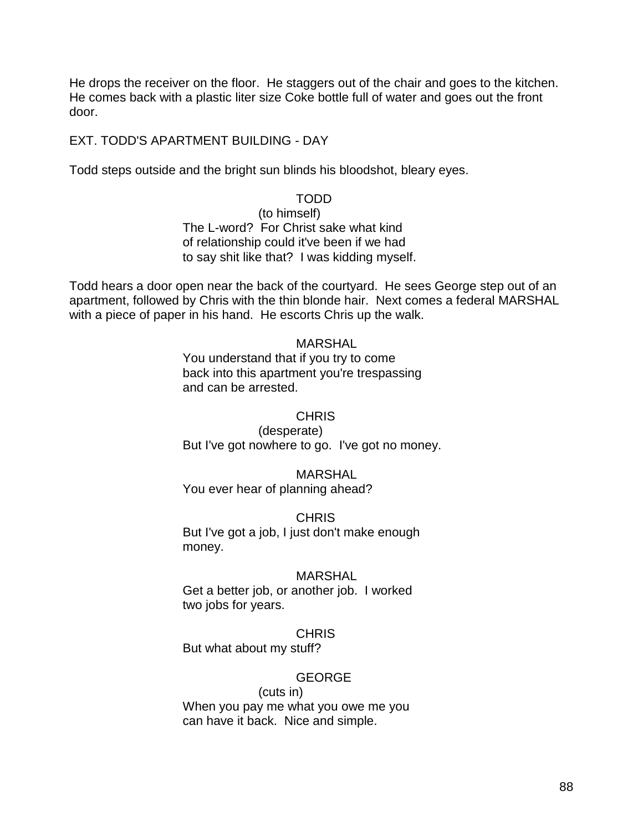He drops the receiver on the floor. He staggers out of the chair and goes to the kitchen. He comes back with a plastic liter size Coke bottle full of water and goes out the front door.

EXT. TODD'S APARTMENT BUILDING - DAY

Todd steps outside and the bright sun blinds his bloodshot, bleary eyes.

### TODD (to himself)

The L-word? For Christ sake what kind of relationship could it've been if we had to say shit like that? I was kidding myself.

Todd hears a door open near the back of the courtyard. He sees George step out of an apartment, followed by Chris with the thin blonde hair. Next comes a federal MARSHAL with a piece of paper in his hand. He escorts Chris up the walk.

### MARSHAL

You understand that if you try to come back into this apartment you're trespassing and can be arrested.

#### **CHRIS**

(desperate) But I've got nowhere to go. I've got no money.

### MARSHAL

You ever hear of planning ahead?

### **CHRIS**

But I've got a job, I just don't make enough money.

#### MARSHAL

Get a better job, or another job. I worked two jobs for years.

### **CHRIS**

But what about my stuff?

### GEORGE

(cuts in) When you pay me what you owe me you can have it back. Nice and simple.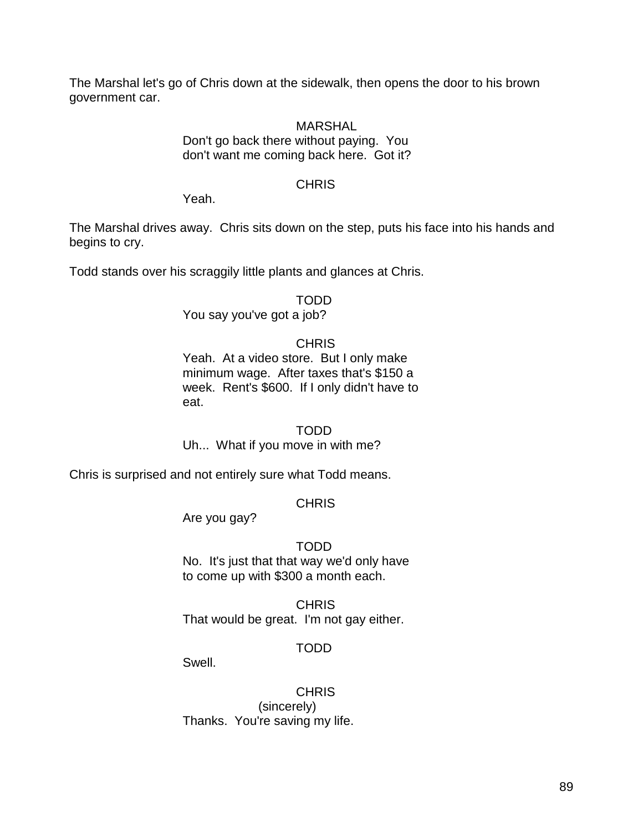The Marshal let's go of Chris down at the sidewalk, then opens the door to his brown government car.

### MARSHAL Don't go back there without paying. You don't want me coming back here. Got it?

### **CHRIS**

Yeah.

The Marshal drives away. Chris sits down on the step, puts his face into his hands and begins to cry.

Todd stands over his scraggily little plants and glances at Chris.

TODD

You say you've got a job?

### **CHRIS**

Yeah. At a video store. But I only make minimum wage. After taxes that's \$150 a week. Rent's \$600. If I only didn't have to eat.

TODD Uh... What if you move in with me?

Chris is surprised and not entirely sure what Todd means.

# **CHRIS**

Are you gay?

### TODD

No. It's just that that way we'd only have to come up with \$300 a month each.

**CHRIS** That would be great. I'm not gay either.

# TODD

Swell.

**CHRIS** (sincerely) Thanks. You're saving my life.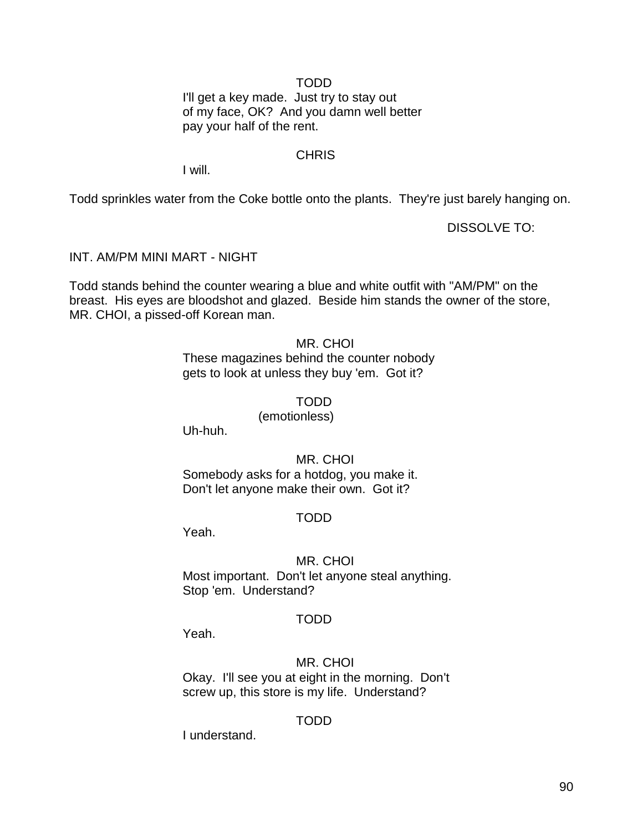### TODD

I'll get a key made. Just try to stay out of my face, OK? And you damn well better pay your half of the rent.

### **CHRIS**

I will.

Todd sprinkles water from the Coke bottle onto the plants. They're just barely hanging on.

DISSOLVE TO:

INT. AM/PM MINI MART - NIGHT

Todd stands behind the counter wearing a blue and white outfit with "AM/PM" on the breast. His eyes are bloodshot and glazed. Beside him stands the owner of the store, MR. CHOI, a pissed-off Korean man.

> MR. CHOI These magazines behind the counter nobody gets to look at unless they buy 'em. Got it?

#### TODD

(emotionless)

Uh-huh.

#### MR. CHOI

Somebody asks for a hotdog, you make it. Don't let anyone make their own. Got it?

#### TODD

Yeah.

#### MR. CHOI

Most important. Don't let anyone steal anything. Stop 'em. Understand?

#### TODD

Yeah.

### MR. CHOI

Okay. I'll see you at eight in the morning. Don't screw up, this store is my life. Understand?

### TODD

I understand.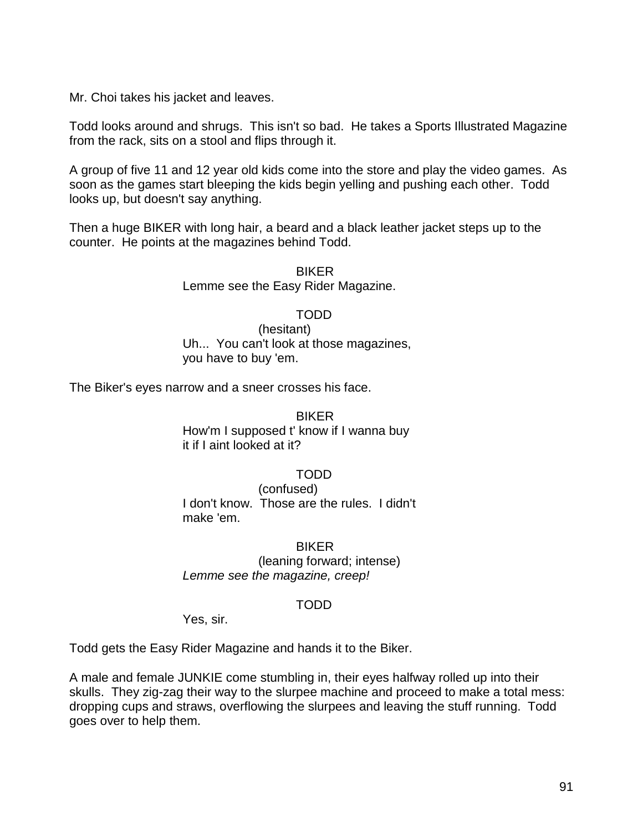Mr. Choi takes his jacket and leaves.

Todd looks around and shrugs. This isn't so bad. He takes a Sports Illustrated Magazine from the rack, sits on a stool and flips through it.

A group of five 11 and 12 year old kids come into the store and play the video games. As soon as the games start bleeping the kids begin yelling and pushing each other. Todd looks up, but doesn't say anything.

Then a huge BIKER with long hair, a beard and a black leather jacket steps up to the counter. He points at the magazines behind Todd.

> BIKER Lemme see the Easy Rider Magazine.

### TODD

(hesitant) Uh... You can't look at those magazines, you have to buy 'em.

The Biker's eyes narrow and a sneer crosses his face.

#### BIKER

How'm I supposed t' know if I wanna buy it if I aint looked at it?

#### TODD

(confused) I don't know. Those are the rules. I didn't make 'em.

BIKER (leaning forward; intense) *Lemme see the magazine, creep!*

### TODD

Yes, sir.

Todd gets the Easy Rider Magazine and hands it to the Biker.

A male and female JUNKIE come stumbling in, their eyes halfway rolled up into their skulls. They zig-zag their way to the slurpee machine and proceed to make a total mess: dropping cups and straws, overflowing the slurpees and leaving the stuff running. Todd goes over to help them.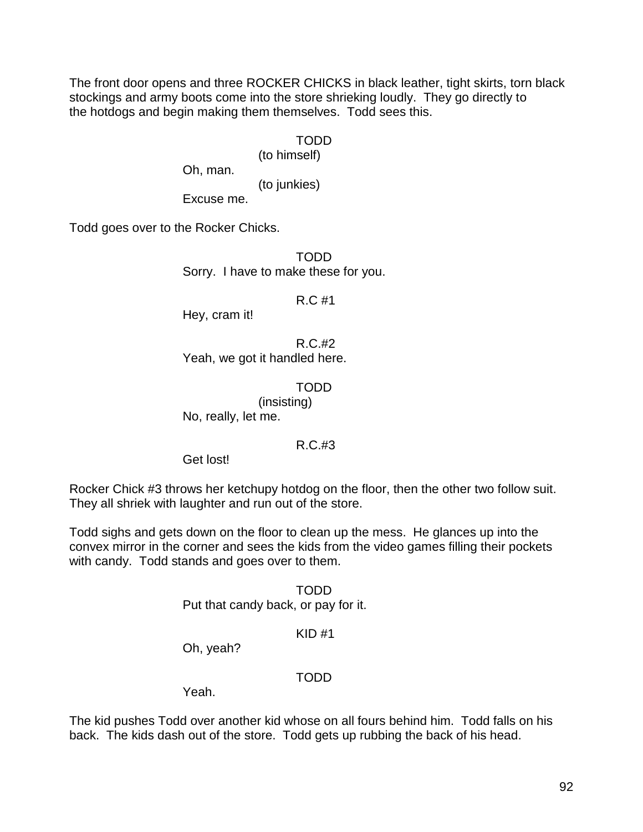The front door opens and three ROCKER CHICKS in black leather, tight skirts, torn black stockings and army boots come into the store shrieking loudly. They go directly to the hotdogs and begin making them themselves. Todd sees this.

# TODD

(to himself)

Oh, man.

(to junkies)

Excuse me.

Todd goes over to the Rocker Chicks.

TODD Sorry. I have to make these for you.

R.C #1

Hey, cram it!

R.C.#2 Yeah, we got it handled here.

TODD

(insisting) No, really, let me.

# R.C.#3

Get lost!

Rocker Chick #3 throws her ketchupy hotdog on the floor, then the other two follow suit. They all shriek with laughter and run out of the store.

Todd sighs and gets down on the floor to clean up the mess. He glances up into the convex mirror in the corner and sees the kids from the video games filling their pockets with candy. Todd stands and goes over to them.

> TODD Put that candy back, or pay for it.

# KID #1

Oh, yeah?

# TODD

Yeah.

The kid pushes Todd over another kid whose on all fours behind him. Todd falls on his back. The kids dash out of the store. Todd gets up rubbing the back of his head.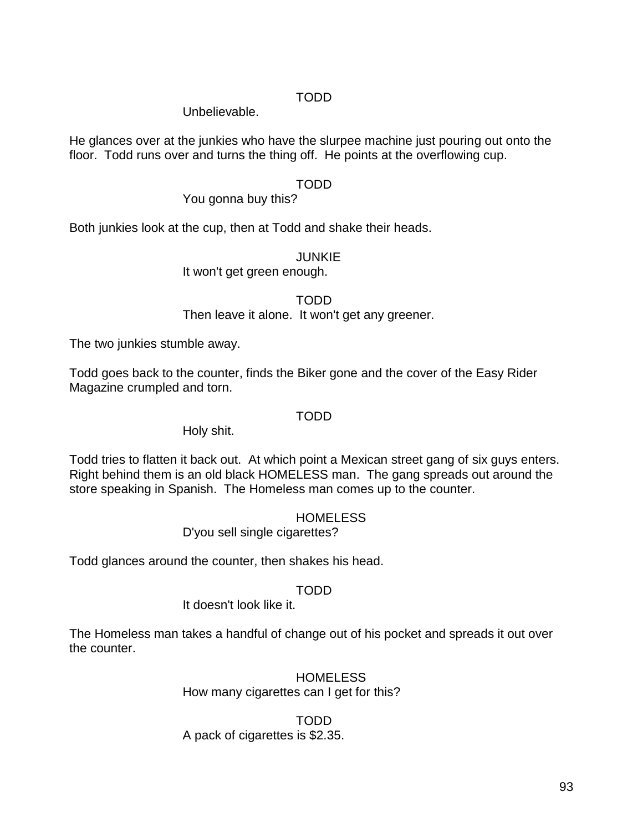# TODD

Unbelievable.

He glances over at the junkies who have the slurpee machine just pouring out onto the floor. Todd runs over and turns the thing off. He points at the overflowing cup.

# TODD

You gonna buy this?

Both junkies look at the cup, then at Todd and shake their heads.

JUNKIE

It won't get green enough.

TODD Then leave it alone. It won't get any greener.

The two junkies stumble away.

Todd goes back to the counter, finds the Biker gone and the cover of the Easy Rider Magazine crumpled and torn.

### TODD

Holy shit.

Todd tries to flatten it back out. At which point a Mexican street gang of six guys enters. Right behind them is an old black HOMELESS man. The gang spreads out around the store speaking in Spanish. The Homeless man comes up to the counter.

**HOMELESS** 

D'you sell single cigarettes?

Todd glances around the counter, then shakes his head.

# TODD

It doesn't look like it.

The Homeless man takes a handful of change out of his pocket and spreads it out over the counter.

> **HOMELESS** How many cigarettes can I get for this?

# TODD A pack of cigarettes is \$2.35.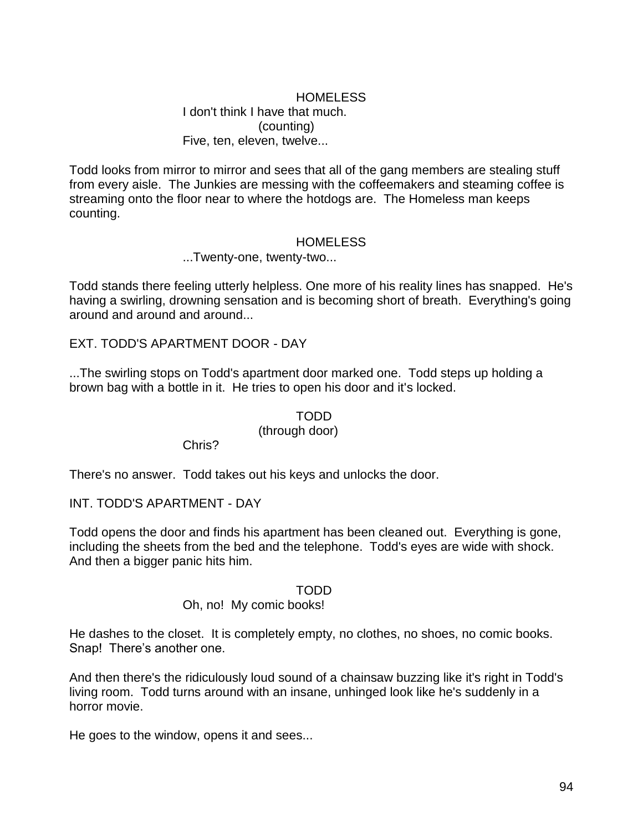### **HOMELESS** I don't think I have that much. (counting) Five, ten, eleven, twelve...

Todd looks from mirror to mirror and sees that all of the gang members are stealing stuff from every aisle. The Junkies are messing with the coffeemakers and steaming coffee is streaming onto the floor near to where the hotdogs are. The Homeless man keeps counting.

#### **HOMELESS**

#### ...Twenty-one, twenty-two...

Todd stands there feeling utterly helpless. One more of his reality lines has snapped. He's having a swirling, drowning sensation and is becoming short of breath. Everything's going around and around and around...

EXT. TODD'S APARTMENT DOOR - DAY

...The swirling stops on Todd's apartment door marked one. Todd steps up holding a brown bag with a bottle in it. He tries to open his door and it's locked.

#### TODD

(through door)

Chris?

There's no answer. Todd takes out his keys and unlocks the door.

INT. TODD'S APARTMENT - DAY

Todd opens the door and finds his apartment has been cleaned out. Everything is gone, including the sheets from the bed and the telephone. Todd's eyes are wide with shock. And then a bigger panic hits him.

### TODD

# Oh, no! My comic books!

He dashes to the closet. It is completely empty, no clothes, no shoes, no comic books. Snap! There's another one.

And then there's the ridiculously loud sound of a chainsaw buzzing like it's right in Todd's living room. Todd turns around with an insane, unhinged look like he's suddenly in a horror movie.

He goes to the window, opens it and sees...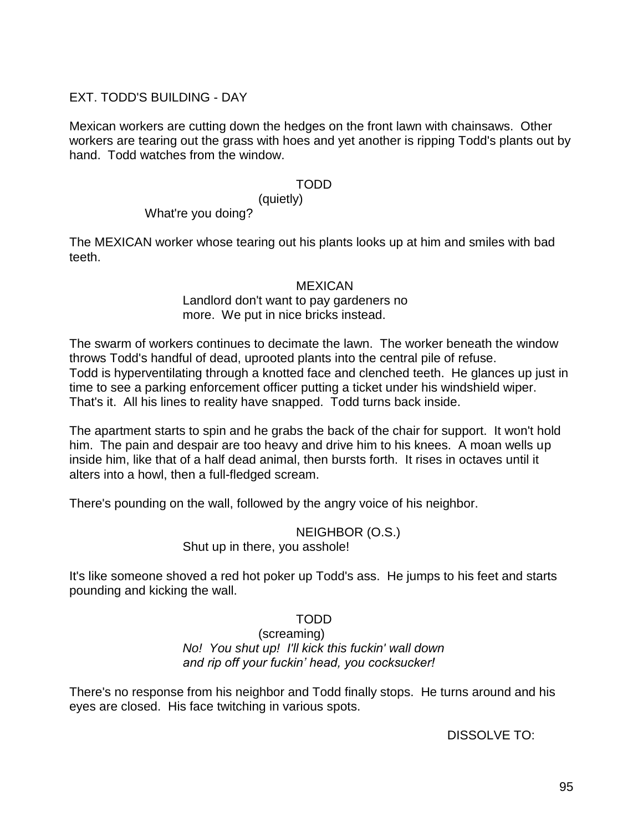# EXT. TODD'S BUILDING - DAY

Mexican workers are cutting down the hedges on the front lawn with chainsaws. Other workers are tearing out the grass with hoes and yet another is ripping Todd's plants out by hand. Todd watches from the window.

### TODD

#### (quietly) What're you doing?

The MEXICAN worker whose tearing out his plants looks up at him and smiles with bad teeth.

### MEXICAN

### Landlord don't want to pay gardeners no more. We put in nice bricks instead.

The swarm of workers continues to decimate the lawn. The worker beneath the window throws Todd's handful of dead, uprooted plants into the central pile of refuse. Todd is hyperventilating through a knotted face and clenched teeth. He glances up just in time to see a parking enforcement officer putting a ticket under his windshield wiper. That's it. All his lines to reality have snapped. Todd turns back inside.

The apartment starts to spin and he grabs the back of the chair for support. It won't hold him. The pain and despair are too heavy and drive him to his knees. A moan wells up inside him, like that of a half dead animal, then bursts forth. It rises in octaves until it alters into a howl, then a full-fledged scream.

There's pounding on the wall, followed by the angry voice of his neighbor.

NEIGHBOR (O.S.) Shut up in there, you asshole!

It's like someone shoved a red hot poker up Todd's ass. He jumps to his feet and starts pounding and kicking the wall.

# TODD

### (screaming) *No! You shut up! I'll kick this fuckin' wall down and rip off your fuckin' head, you cocksucker!*

There's no response from his neighbor and Todd finally stops. He turns around and his eyes are closed. His face twitching in various spots.

DISSOLVE TO: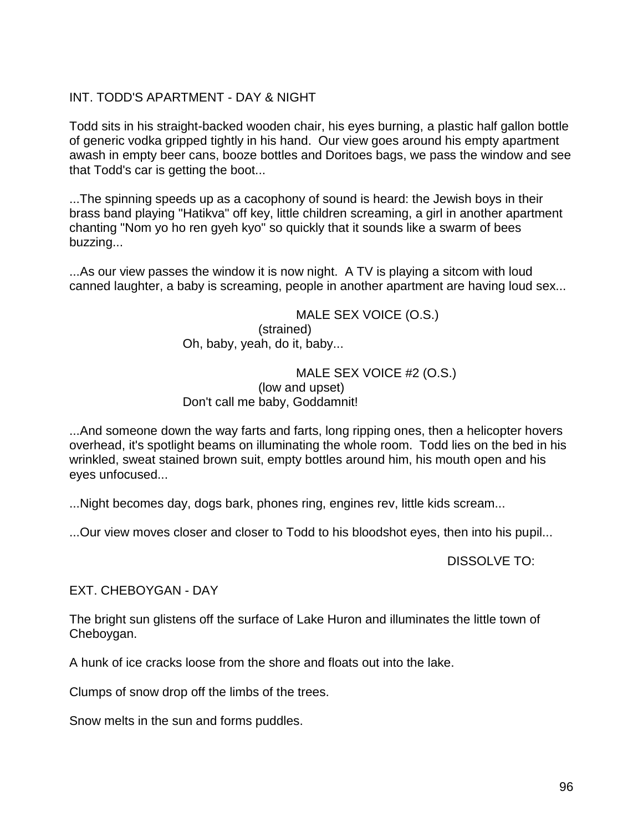# INT. TODD'S APARTMENT - DAY & NIGHT

Todd sits in his straight-backed wooden chair, his eyes burning, a plastic half gallon bottle of generic vodka gripped tightly in his hand. Our view goes around his empty apartment awash in empty beer cans, booze bottles and Doritoes bags, we pass the window and see that Todd's car is getting the boot...

...The spinning speeds up as a cacophony of sound is heard: the Jewish boys in their brass band playing "Hatikva" off key, little children screaming, a girl in another apartment chanting "Nom yo ho ren gyeh kyo" so quickly that it sounds like a swarm of bees buzzing...

...As our view passes the window it is now night. A TV is playing a sitcom with loud canned laughter, a baby is screaming, people in another apartment are having loud sex...

> MALE SEX VOICE (O.S.) (strained) Oh, baby, yeah, do it, baby...

### MALE SEX VOICE #2 (O.S.) (low and upset) Don't call me baby, Goddamnit!

...And someone down the way farts and farts, long ripping ones, then a helicopter hovers overhead, it's spotlight beams on illuminating the whole room. Todd lies on the bed in his wrinkled, sweat stained brown suit, empty bottles around him, his mouth open and his eyes unfocused...

...Night becomes day, dogs bark, phones ring, engines rev, little kids scream...

...Our view moves closer and closer to Todd to his bloodshot eyes, then into his pupil...

DISSOLVE TO:

# EXT. CHEBOYGAN - DAY

The bright sun glistens off the surface of Lake Huron and illuminates the little town of Cheboygan.

A hunk of ice cracks loose from the shore and floats out into the lake.

Clumps of snow drop off the limbs of the trees.

Snow melts in the sun and forms puddles.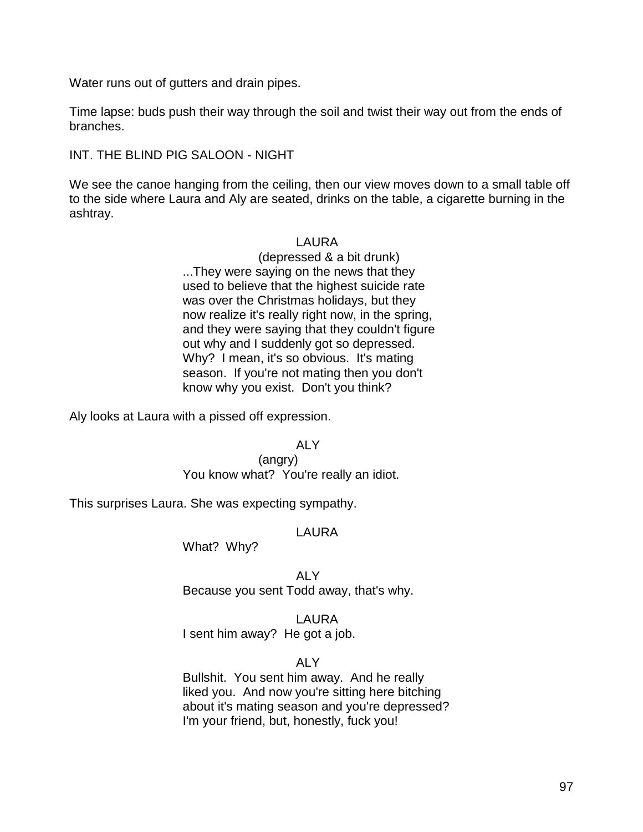Water runs out of gutters and drain pipes.

Time lapse: buds push their way through the soil and twist their way out from the ends of branches.

INT. THE BLIND PIG SALOON - NIGHT

We see the canoe hanging from the ceiling, then our view moves down to a small table off to the side where Laura and Aly are seated, drinks on the table, a cigarette burning in the ashtray.

#### LAURA

(depressed & a bit drunk) ...They were saying on the news that they used to believe that the highest suicide rate was over the Christmas holidays, but they now realize it's really right now, in the spring, and they were saying that they couldn't figure out why and I suddenly got so depressed. Why? I mean, it's so obvious. It's mating season. If you're not mating then you don't know why you exist. Don't you think?

Aly looks at Laura with a pissed off expression.

ALY

(angry) You know what? You're really an idiot.

This surprises Laura. She was expecting sympathy.

#### LAURA

What? Why?

ALY Because you sent Todd away, that's why.

### LAURA

I sent him away? He got a job.

### ALY

Bullshit. You sent him away. And he really liked you. And now you're sitting here bitching about it's mating season and you're depressed? I'm your friend, but, honestly, fuck you!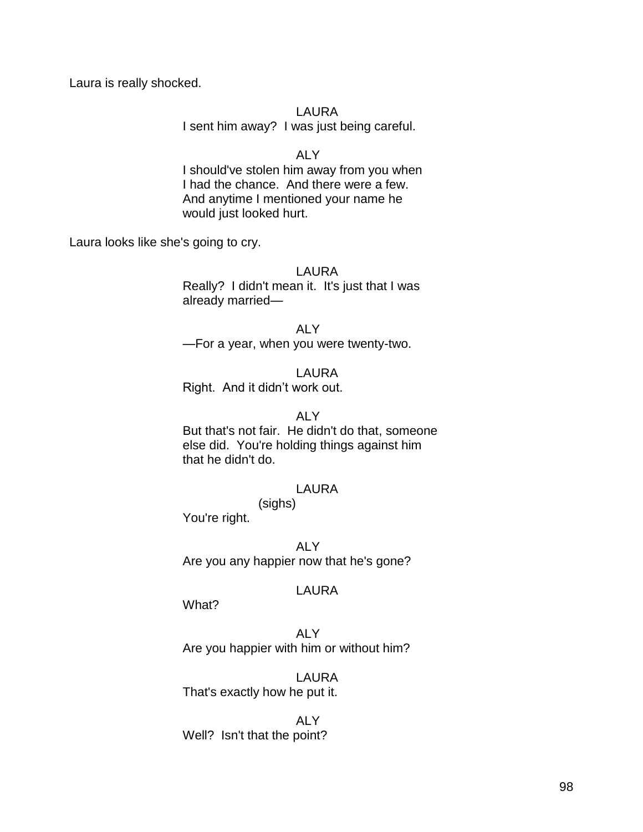Laura is really shocked.

### LAURA

I sent him away? I was just being careful.

#### ALY

I should've stolen him away from you when I had the chance. And there were a few. And anytime I mentioned your name he would just looked hurt.

Laura looks like she's going to cry.

### LAURA

Really? I didn't mean it. It's just that I was already married—

ALY

—For a year, when you were twenty-two.

### LAURA

Right. And it didn't work out.

#### ALY

But that's not fair. He didn't do that, someone else did. You're holding things against him that he didn't do.

### LAURA

(sighs) You're right.

ALY Are you any happier now that he's gone?

# LAURA

What?

ALY Are you happier with him or without him?

LAURA That's exactly how he put it.

ALY Well? Isn't that the point?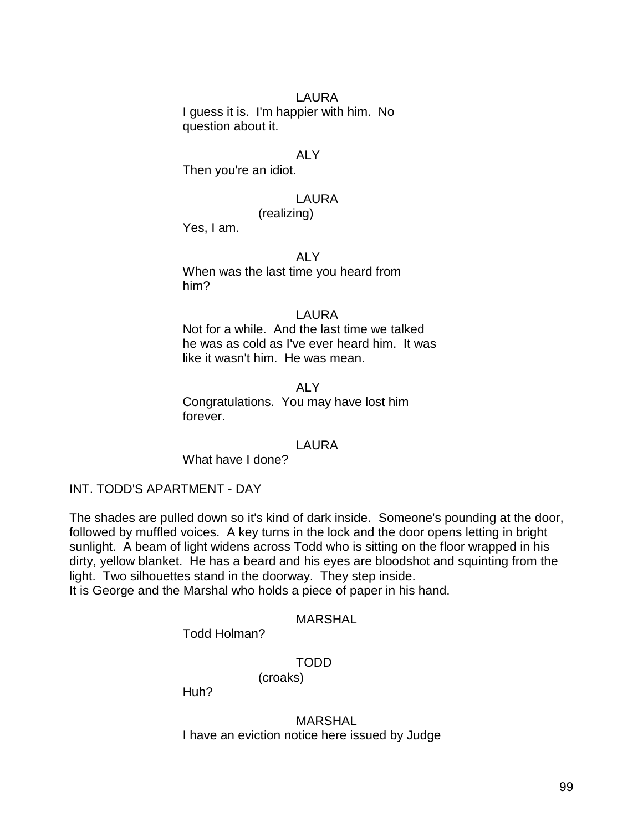# LAURA

I guess it is. I'm happier with him. No question about it.

### ALY

Then you're an idiot.

### LAURA

#### (realizing)

Yes, I am.

#### ALY

When was the last time you heard from him?

### LAURA

Not for a while. And the last time we talked he was as cold as I've ever heard him. It was like it wasn't him. He was mean.

ALY

Congratulations. You may have lost him forever.

### LAURA

What have I done?

# INT. TODD'S APARTMENT - DAY

The shades are pulled down so it's kind of dark inside. Someone's pounding at the door, followed by muffled voices. A key turns in the lock and the door opens letting in bright sunlight. A beam of light widens across Todd who is sitting on the floor wrapped in his dirty, yellow blanket. He has a beard and his eyes are bloodshot and squinting from the light. Two silhouettes stand in the doorway. They step inside.

It is George and the Marshal who holds a piece of paper in his hand.

# MARSHAL

Todd Holman?

# TODD

(croaks)

Huh?

# MARSHAL I have an eviction notice here issued by Judge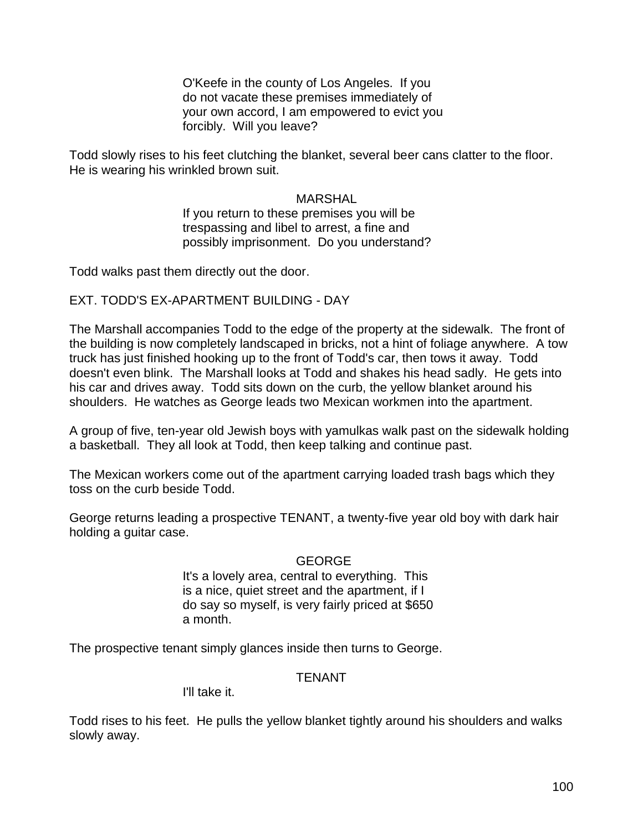O'Keefe in the county of Los Angeles. If you do not vacate these premises immediately of your own accord, I am empowered to evict you forcibly. Will you leave?

Todd slowly rises to his feet clutching the blanket, several beer cans clatter to the floor. He is wearing his wrinkled brown suit.

### MARSHAL If you return to these premises you will be trespassing and libel to arrest, a fine and possibly imprisonment. Do you understand?

Todd walks past them directly out the door.

# EXT. TODD'S EX-APARTMENT BUILDING - DAY

The Marshall accompanies Todd to the edge of the property at the sidewalk. The front of the building is now completely landscaped in bricks, not a hint of foliage anywhere. A tow truck has just finished hooking up to the front of Todd's car, then tows it away. Todd doesn't even blink. The Marshall looks at Todd and shakes his head sadly. He gets into his car and drives away. Todd sits down on the curb, the yellow blanket around his shoulders. He watches as George leads two Mexican workmen into the apartment.

A group of five, ten-year old Jewish boys with yamulkas walk past on the sidewalk holding a basketball. They all look at Todd, then keep talking and continue past.

The Mexican workers come out of the apartment carrying loaded trash bags which they toss on the curb beside Todd.

George returns leading a prospective TENANT, a twenty-five year old boy with dark hair holding a guitar case.

# GEORGE

It's a lovely area, central to everything. This is a nice, quiet street and the apartment, if I do say so myself, is very fairly priced at \$650 a month.

The prospective tenant simply glances inside then turns to George.

### **TFNANT**

I'll take it.

Todd rises to his feet. He pulls the yellow blanket tightly around his shoulders and walks slowly away.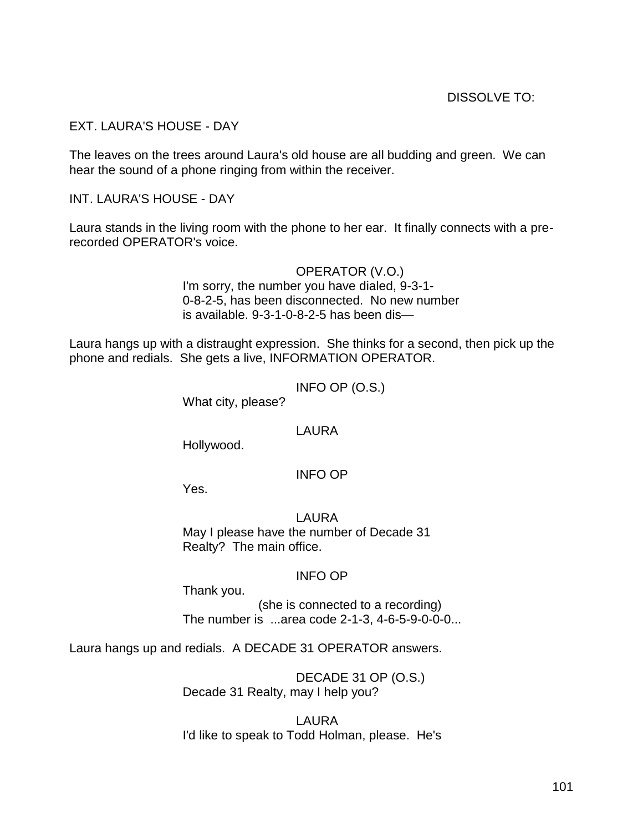EXT. LAURA'S HOUSE - DAY

The leaves on the trees around Laura's old house are all budding and green. We can hear the sound of a phone ringing from within the receiver.

INT. LAURA'S HOUSE - DAY

Laura stands in the living room with the phone to her ear. It finally connects with a prerecorded OPERATOR's voice.

### OPERATOR (V.O.) I'm sorry, the number you have dialed, 9-3-1- 0-8-2-5, has been disconnected. No new number is available. 9-3-1-0-8-2-5 has been dis—

Laura hangs up with a distraught expression. She thinks for a second, then pick up the phone and redials. She gets a live, INFORMATION OPERATOR.

INFO OP (O.S.)

What city, please?

### LAURA

Hollywood.

### INFO OP

Yes.

LAURA May I please have the number of Decade 31 Realty? The main office.

### INFO OP

Thank you.

(she is connected to a recording) The number is ...area code 2-1-3, 4-6-5-9-0-0-0...

Laura hangs up and redials. A DECADE 31 OPERATOR answers.

DECADE 31 OP (O.S.) Decade 31 Realty, may I help you?

### LAURA I'd like to speak to Todd Holman, please. He's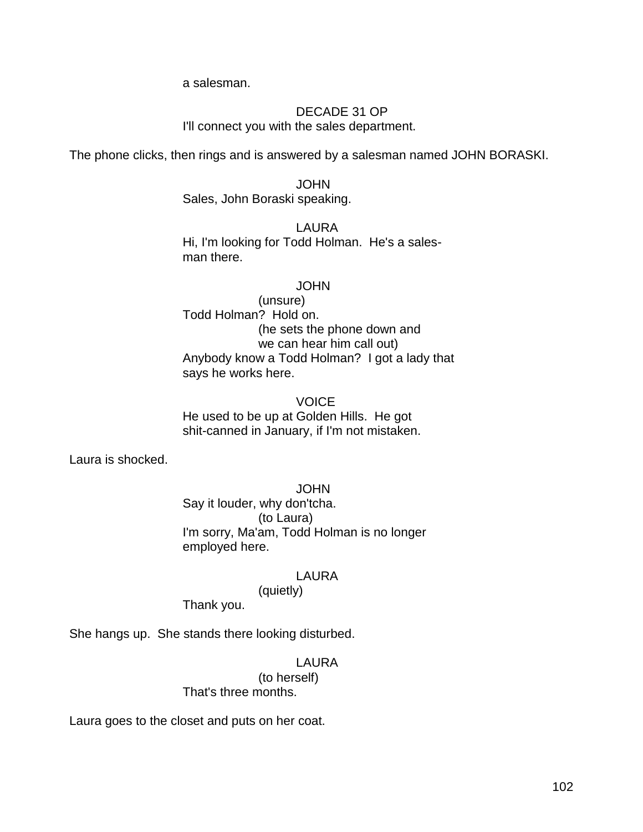a salesman.

# DECADE 31 OP

I'll connect you with the sales department.

The phone clicks, then rings and is answered by a salesman named JOHN BORASKI.

#### **JOHN**

Sales, John Boraski speaking.

LAURA Hi, I'm looking for Todd Holman. He's a salesman there.

### JOHN

(unsure) Todd Holman? Hold on. (he sets the phone down and we can hear him call out) Anybody know a Todd Holman? I got a lady that says he works here.

**VOICE** He used to be up at Golden Hills. He got shit-canned in January, if I'm not mistaken.

Laura is shocked.

JOHN

Say it louder, why don'tcha. (to Laura) I'm sorry, Ma'am, Todd Holman is no longer employed here.

### LAURA

(quietly)

Thank you.

She hangs up. She stands there looking disturbed.

# LAURA

(to herself) That's three months.

Laura goes to the closet and puts on her coat.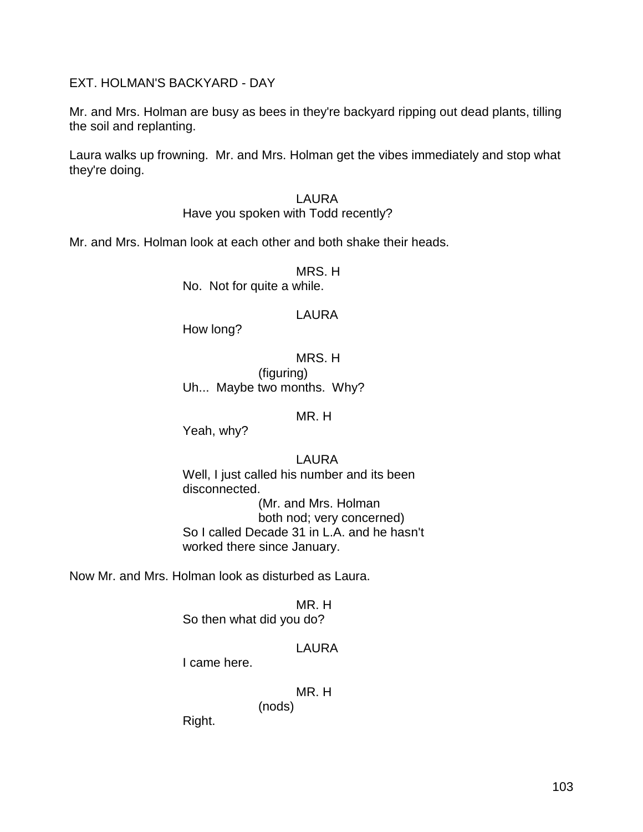EXT. HOLMAN'S BACKYARD - DAY

Mr. and Mrs. Holman are busy as bees in they're backyard ripping out dead plants, tilling the soil and replanting.

Laura walks up frowning. Mr. and Mrs. Holman get the vibes immediately and stop what they're doing.

### LAURA Have you spoken with Todd recently?

Mr. and Mrs. Holman look at each other and both shake their heads.

MRS. H No. Not for quite a while.

### LAURA

How long?

### MRS. H

(figuring) Uh... Maybe two months. Why?

### MR. H

Yeah, why?

# LAURA

Well, I just called his number and its been disconnected. (Mr. and Mrs. Holman both nod; very concerned) So I called Decade 31 in L.A. and he hasn't worked there since January.

Now Mr. and Mrs. Holman look as disturbed as Laura.

### MR. H

So then what did you do?

# LAURA

I came here.

# MR. H

(nods)

Right.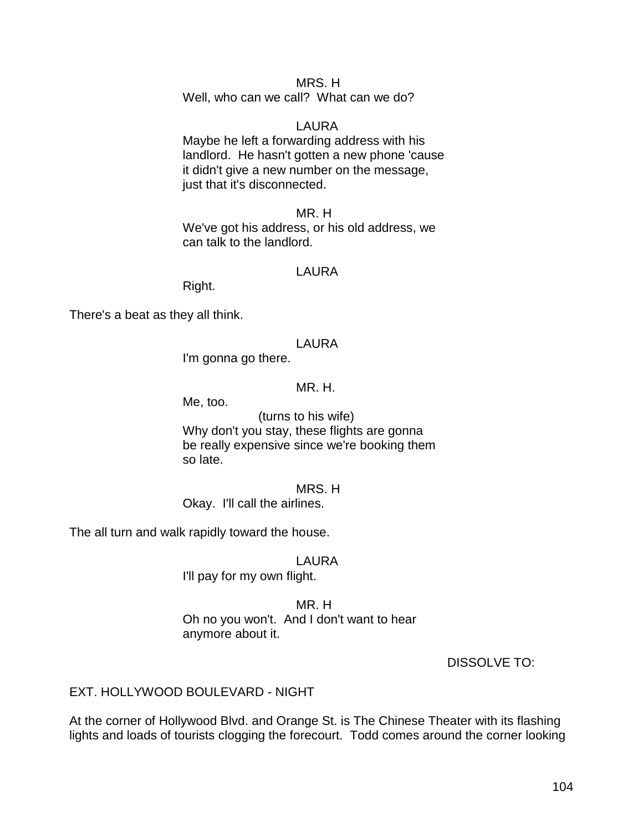### MRS. H

Well, who can we call? What can we do?

# LAURA

Maybe he left a forwarding address with his landlord. He hasn't gotten a new phone 'cause it didn't give a new number on the message, just that it's disconnected.

### MR. H

We've got his address, or his old address, we can talk to the landlord.

### LAURA

Right.

There's a beat as they all think.

#### LAURA

I'm gonna go there.

### MR. H.

Me, too.

(turns to his wife) Why don't you stay, these flights are gonna be really expensive since we're booking them so late.

# MRS. H

Okay. I'll call the airlines.

The all turn and walk rapidly toward the house.

### LAURA

I'll pay for my own flight.

### MR. H

Oh no you won't. And I don't want to hear anymore about it.

# DISSOLVE TO:

# EXT. HOLLYWOOD BOULEVARD - NIGHT

At the corner of Hollywood Blvd. and Orange St. is The Chinese Theater with its flashing lights and loads of tourists clogging the forecourt. Todd comes around the corner looking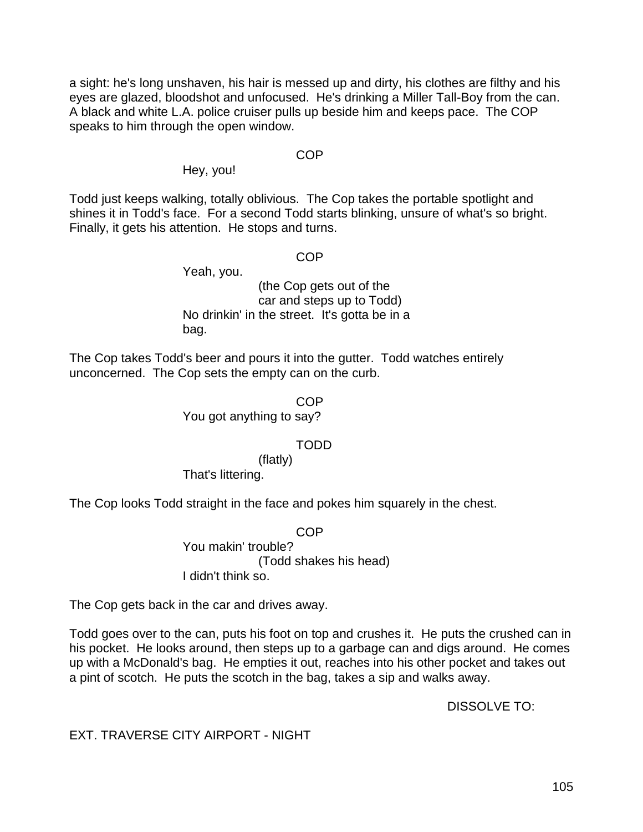a sight: he's long unshaven, his hair is messed up and dirty, his clothes are filthy and his eyes are glazed, bloodshot and unfocused. He's drinking a Miller Tall-Boy from the can. A black and white L.A. police cruiser pulls up beside him and keeps pace. The COP speaks to him through the open window.

#### **COP**

Hey, you!

Todd just keeps walking, totally oblivious. The Cop takes the portable spotlight and shines it in Todd's face. For a second Todd starts blinking, unsure of what's so bright. Finally, it gets his attention. He stops and turns.

**COP** 

Yeah, you.

(the Cop gets out of the car and steps up to Todd) No drinkin' in the street. It's gotta be in a bag.

The Cop takes Todd's beer and pours it into the gutter. Todd watches entirely unconcerned. The Cop sets the empty can on the curb.

> **COP** You got anything to say?

### TODD

(flatly)

That's littering.

The Cop looks Todd straight in the face and pokes him squarely in the chest.

COP

You makin' trouble? (Todd shakes his head) I didn't think so.

The Cop gets back in the car and drives away.

Todd goes over to the can, puts his foot on top and crushes it. He puts the crushed can in his pocket. He looks around, then steps up to a garbage can and digs around. He comes up with a McDonald's bag. He empties it out, reaches into his other pocket and takes out a pint of scotch. He puts the scotch in the bag, takes a sip and walks away.

DISSOLVE TO:

EXT. TRAVERSE CITY AIRPORT - NIGHT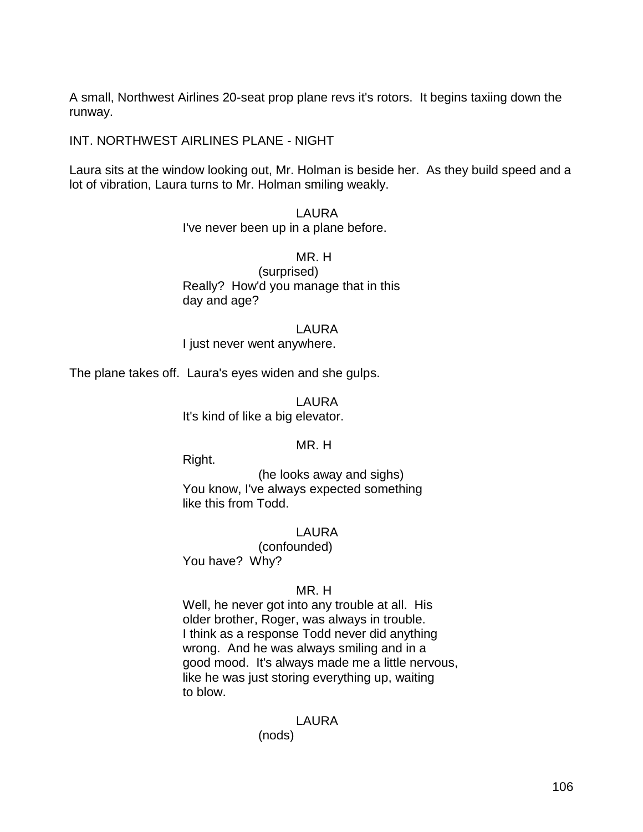A small, Northwest Airlines 20-seat prop plane revs it's rotors. It begins taxiing down the runway.

INT. NORTHWEST AIRLINES PLANE - NIGHT

Laura sits at the window looking out, Mr. Holman is beside her. As they build speed and a lot of vibration, Laura turns to Mr. Holman smiling weakly.

# LAURA

I've never been up in a plane before.

MR. H (surprised) Really? How'd you manage that in this day and age?

#### LAURA

I just never went anywhere.

The plane takes off. Laura's eyes widen and she gulps.

LAURA It's kind of like a big elevator.

### MR. H

Right.

(he looks away and sighs) You know, I've always expected something like this from Todd.

### LAURA

(confounded) You have? Why?

### MR. H

Well, he never got into any trouble at all. His older brother, Roger, was always in trouble. I think as a response Todd never did anything wrong. And he was always smiling and in a good mood. It's always made me a little nervous, like he was just storing everything up, waiting to blow.

# LAURA

(nods)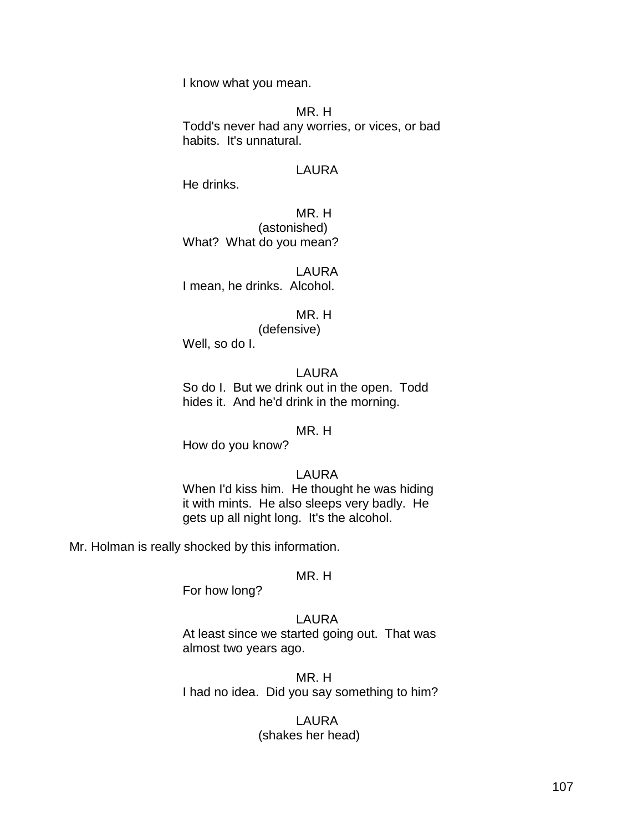I know what you mean.

MR. H Todd's never had any worries, or vices, or bad habits. It's unnatural.

#### LAURA

He drinks.

MR. H (astonished) What? What do you mean?

LAURA I mean, he drinks. Alcohol.

MR. H

(defensive) Well, so do I.

#### LAURA

So do I. But we drink out in the open. Todd hides it. And he'd drink in the morning.

#### MR. H

How do you know?

# LAURA

When I'd kiss him. He thought he was hiding it with mints. He also sleeps very badly. He gets up all night long. It's the alcohol.

Mr. Holman is really shocked by this information.

#### MR. H

For how long?

#### LAURA

At least since we started going out. That was almost two years ago.

# MR. H

I had no idea. Did you say something to him?

### LAURA

### (shakes her head)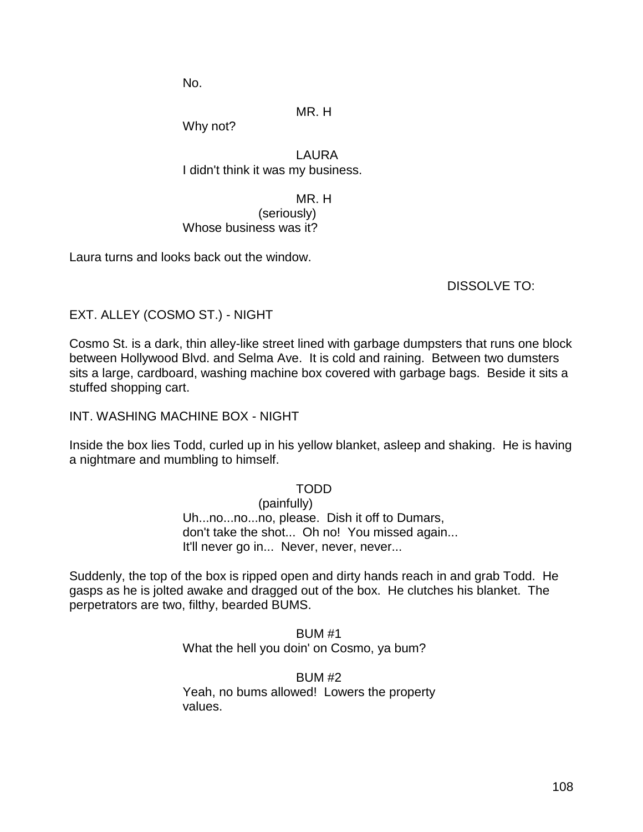No.

MR. H

Why not?

LAURA I didn't think it was my business.

MR. H (seriously) Whose business was it?

Laura turns and looks back out the window.

DISSOLVE TO:

EXT. ALLEY (COSMO ST.) - NIGHT

Cosmo St. is a dark, thin alley-like street lined with garbage dumpsters that runs one block between Hollywood Blvd. and Selma Ave. It is cold and raining. Between two dumsters sits a large, cardboard, washing machine box covered with garbage bags. Beside it sits a stuffed shopping cart.

INT. WASHING MACHINE BOX - NIGHT

Inside the box lies Todd, curled up in his yellow blanket, asleep and shaking. He is having a nightmare and mumbling to himself.

# TODD

(painfully) Uh...no...no...no, please. Dish it off to Dumars, don't take the shot... Oh no! You missed again... It'll never go in... Never, never, never...

Suddenly, the top of the box is ripped open and dirty hands reach in and grab Todd. He gasps as he is jolted awake and dragged out of the box. He clutches his blanket. The perpetrators are two, filthy, bearded BUMS.

> BUM #1 What the hell you doin' on Cosmo, ya bum?

 $BUM #2$ Yeah, no bums allowed! Lowers the property values.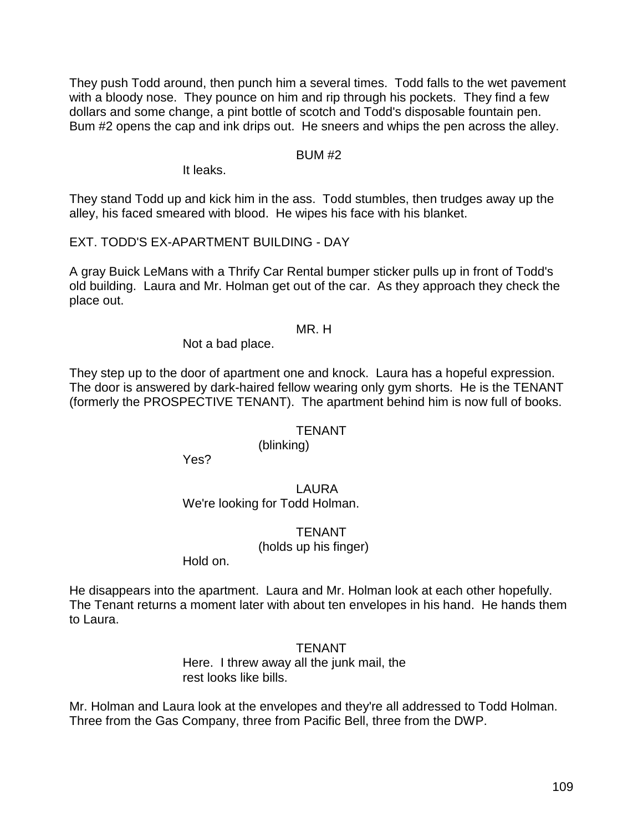They push Todd around, then punch him a several times. Todd falls to the wet pavement with a bloody nose. They pounce on him and rip through his pockets. They find a few dollars and some change, a pint bottle of scotch and Todd's disposable fountain pen. Bum #2 opens the cap and ink drips out. He sneers and whips the pen across the alley.

#### BUM #2

It leaks.

They stand Todd up and kick him in the ass. Todd stumbles, then trudges away up the alley, his faced smeared with blood. He wipes his face with his blanket.

EXT. TODD'S EX-APARTMENT BUILDING - DAY

A gray Buick LeMans with a Thrify Car Rental bumper sticker pulls up in front of Todd's old building. Laura and Mr. Holman get out of the car. As they approach they check the place out.

## MR. H

Not a bad place.

They step up to the door of apartment one and knock. Laura has a hopeful expression. The door is answered by dark-haired fellow wearing only gym shorts. He is the TENANT (formerly the PROSPECTIVE TENANT). The apartment behind him is now full of books.

#### **TFNANT**

(blinking)

Yes?

#### LAURA

We're looking for Todd Holman.

## TENANT

#### (holds up his finger)

Hold on.

He disappears into the apartment. Laura and Mr. Holman look at each other hopefully. The Tenant returns a moment later with about ten envelopes in his hand. He hands them to Laura.

> **TENANT** Here. I threw away all the junk mail, the rest looks like bills.

Mr. Holman and Laura look at the envelopes and they're all addressed to Todd Holman. Three from the Gas Company, three from Pacific Bell, three from the DWP.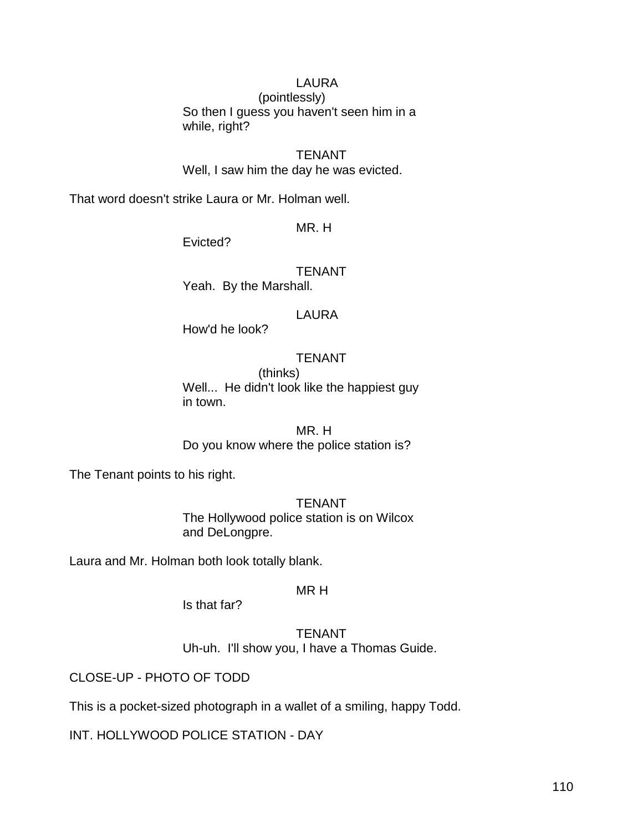# LAURA

(pointlessly) So then I guess you haven't seen him in a while, right?

## TENANT Well, I saw him the day he was evicted.

That word doesn't strike Laura or Mr. Holman well.

## MR. H

Evicted?

# TENANT

Yeah. By the Marshall.

#### LAURA

How'd he look?

#### **TENANT**

(thinks) Well... He didn't look like the happiest guy in town.

## MR. H Do you know where the police station is?

The Tenant points to his right.

### **TENANT**

The Hollywood police station is on Wilcox and DeLongpre.

Laura and Mr. Holman both look totally blank.

## MR H

Is that far?

## TENANT

Uh-uh. I'll show you, I have a Thomas Guide.

CLOSE-UP - PHOTO OF TODD

This is a pocket-sized photograph in a wallet of a smiling, happy Todd.

INT. HOLLYWOOD POLICE STATION - DAY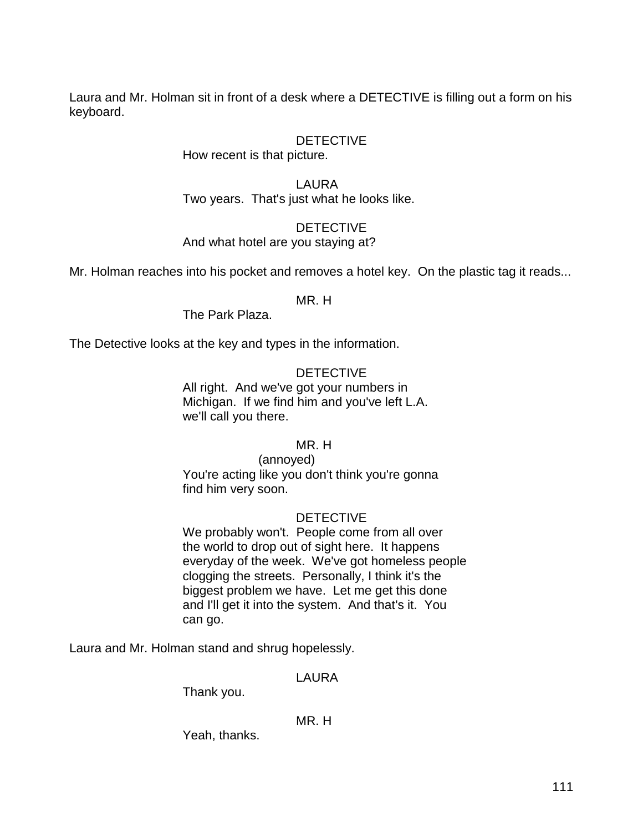Laura and Mr. Holman sit in front of a desk where a DETECTIVE is filling out a form on his keyboard.

## DETECTIVE

How recent is that picture.

LAURA Two years. That's just what he looks like.

**DETECTIVE** And what hotel are you staying at?

Mr. Holman reaches into his pocket and removes a hotel key. On the plastic tag it reads...

MR. H

The Park Plaza.

The Detective looks at the key and types in the information.

#### **DETECTIVE**

All right. And we've got your numbers in Michigan. If we find him and you've left L.A. we'll call you there.

#### MR. H

#### (annoyed)

You're acting like you don't think you're gonna find him very soon.

#### DETECTIVE

We probably won't. People come from all over the world to drop out of sight here. It happens everyday of the week. We've got homeless people clogging the streets. Personally, I think it's the biggest problem we have. Let me get this done and I'll get it into the system. And that's it. You can go.

Laura and Mr. Holman stand and shrug hopelessly.

## LAURA

Thank you.

#### MR. H

Yeah, thanks.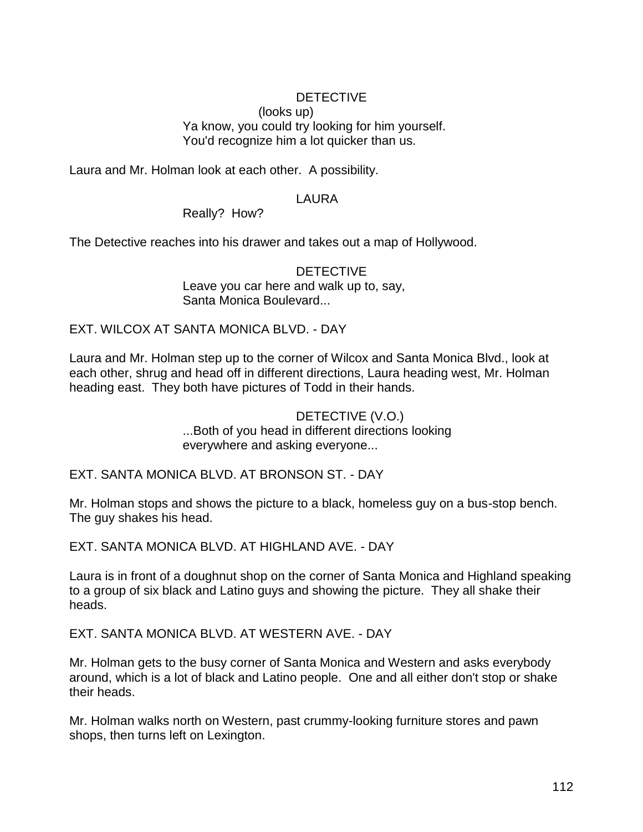## **DETECTIVE** (looks up) Ya know, you could try looking for him yourself. You'd recognize him a lot quicker than us.

Laura and Mr. Holman look at each other. A possibility.

## LAURA

Really? How?

The Detective reaches into his drawer and takes out a map of Hollywood.

DETECTIVE Leave you car here and walk up to, say, Santa Monica Boulevard...

EXT. WILCOX AT SANTA MONICA BLVD. - DAY

Laura and Mr. Holman step up to the corner of Wilcox and Santa Monica Blvd., look at each other, shrug and head off in different directions, Laura heading west, Mr. Holman heading east. They both have pictures of Todd in their hands.

> DETECTIVE (V.O.) ...Both of you head in different directions looking everywhere and asking everyone...

EXT. SANTA MONICA BLVD. AT BRONSON ST. - DAY

Mr. Holman stops and shows the picture to a black, homeless guy on a bus-stop bench. The guy shakes his head.

EXT. SANTA MONICA BLVD. AT HIGHLAND AVE. - DAY

Laura is in front of a doughnut shop on the corner of Santa Monica and Highland speaking to a group of six black and Latino guys and showing the picture. They all shake their heads.

EXT. SANTA MONICA BLVD. AT WESTERN AVE. - DAY

Mr. Holman gets to the busy corner of Santa Monica and Western and asks everybody around, which is a lot of black and Latino people. One and all either don't stop or shake their heads.

Mr. Holman walks north on Western, past crummy-looking furniture stores and pawn shops, then turns left on Lexington.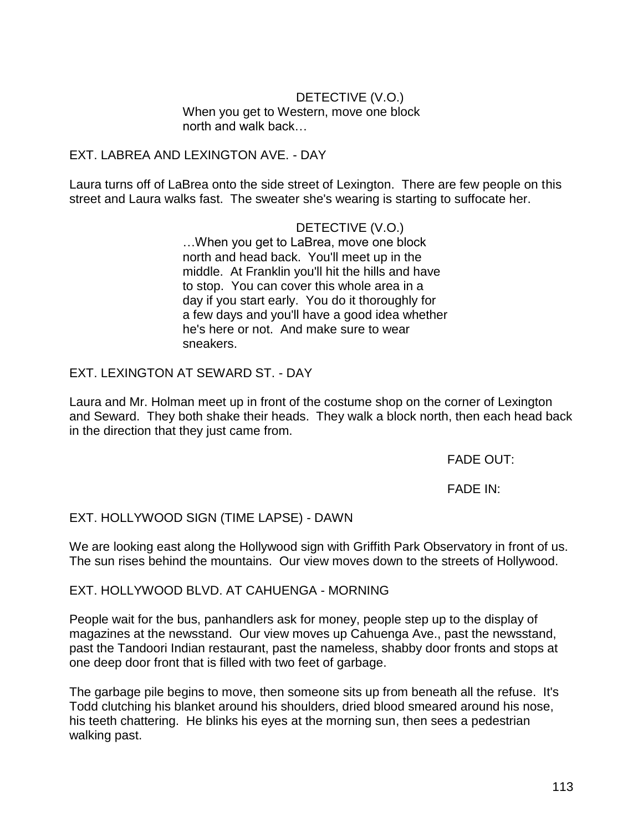# DETECTIVE (V.O.)

When you get to Western, move one block north and walk back…

## EXT. LABREA AND LEXINGTON AVE. - DAY

Laura turns off of LaBrea onto the side street of Lexington. There are few people on this street and Laura walks fast. The sweater she's wearing is starting to suffocate her.

> DETECTIVE (V.O.) …When you get to LaBrea, move one block north and head back. You'll meet up in the middle. At Franklin you'll hit the hills and have to stop. You can cover this whole area in a day if you start early. You do it thoroughly for a few days and you'll have a good idea whether he's here or not. And make sure to wear sneakers.

EXT. LEXINGTON AT SEWARD ST. - DAY

Laura and Mr. Holman meet up in front of the costume shop on the corner of Lexington and Seward. They both shake their heads. They walk a block north, then each head back in the direction that they just came from.

FADE OUT:

FADE IN:

## EXT. HOLLYWOOD SIGN (TIME LAPSE) - DAWN

We are looking east along the Hollywood sign with Griffith Park Observatory in front of us. The sun rises behind the mountains. Our view moves down to the streets of Hollywood.

EXT. HOLLYWOOD BLVD. AT CAHUENGA - MORNING

People wait for the bus, panhandlers ask for money, people step up to the display of magazines at the newsstand. Our view moves up Cahuenga Ave., past the newsstand, past the Tandoori Indian restaurant, past the nameless, shabby door fronts and stops at one deep door front that is filled with two feet of garbage.

The garbage pile begins to move, then someone sits up from beneath all the refuse. It's Todd clutching his blanket around his shoulders, dried blood smeared around his nose, his teeth chattering. He blinks his eyes at the morning sun, then sees a pedestrian walking past.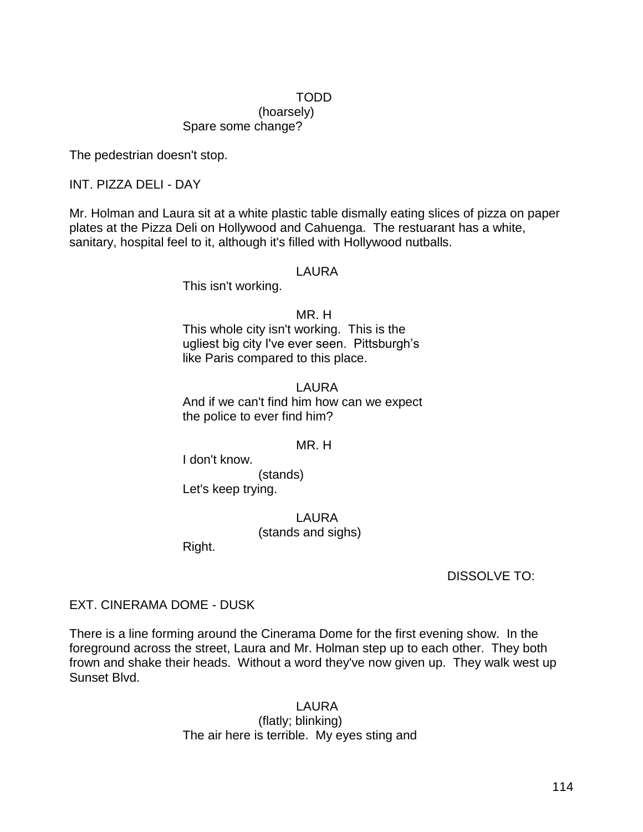## TODD

# (hoarsely)

Spare some change?

The pedestrian doesn't stop.

INT. PIZZA DELI - DAY

Mr. Holman and Laura sit at a white plastic table dismally eating slices of pizza on paper plates at the Pizza Deli on Hollywood and Cahuenga. The restuarant has a white, sanitary, hospital feel to it, although it's filled with Hollywood nutballs.

# LAURA

This isn't working.

## MR. H

This whole city isn't working. This is the ugliest big city I've ever seen. Pittsburgh's like Paris compared to this place.

## LAURA

And if we can't find him how can we expect the police to ever find him?

## MR. H

I don't know.

(stands) Let's keep trying.

> LAURA (stands and sighs)

Right.

# DISSOLVE TO:

# EXT. CINERAMA DOME - DUSK

There is a line forming around the Cinerama Dome for the first evening show. In the foreground across the street, Laura and Mr. Holman step up to each other. They both frown and shake their heads. Without a word they've now given up. They walk west up Sunset Blvd.

## LAURA (flatly; blinking) The air here is terrible. My eyes sting and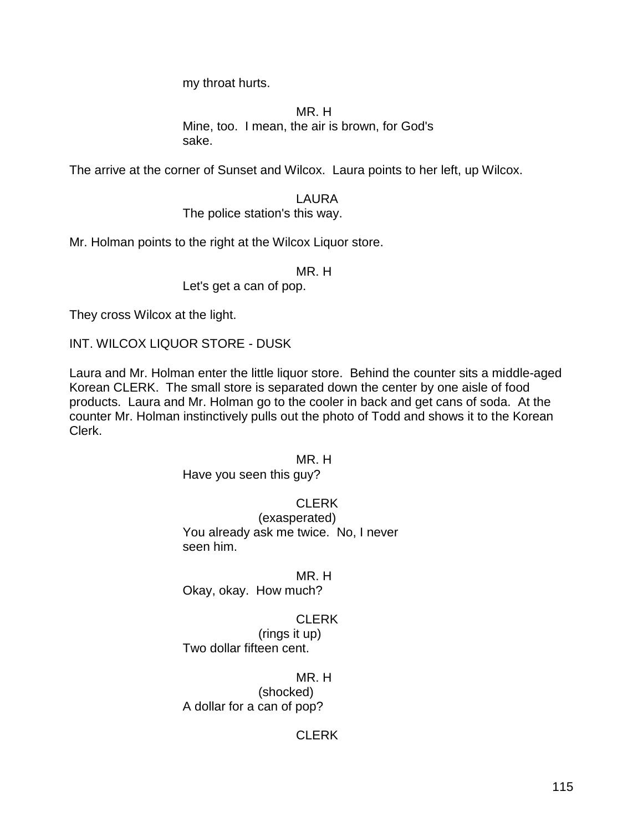my throat hurts.

MR. H Mine, too. I mean, the air is brown, for God's sake.

The arrive at the corner of Sunset and Wilcox. Laura points to her left, up Wilcox.

# LAURA

# The police station's this way.

Mr. Holman points to the right at the Wilcox Liquor store.

MR. H

Let's get a can of pop.

They cross Wilcox at the light.

INT. WILCOX LIQUOR STORE - DUSK

Laura and Mr. Holman enter the little liquor store. Behind the counter sits a middle-aged Korean CLERK. The small store is separated down the center by one aisle of food products. Laura and Mr. Holman go to the cooler in back and get cans of soda. At the counter Mr. Holman instinctively pulls out the photo of Todd and shows it to the Korean Clerk.

#### MR. H

Have you seen this guy?

## CLERK

(exasperated) You already ask me twice. No, I never seen him.

MR. H Okay, okay. How much?

## CLERK

(rings it up) Two dollar fifteen cent.

## MR. H

(shocked) A dollar for a can of pop?

# **CLERK**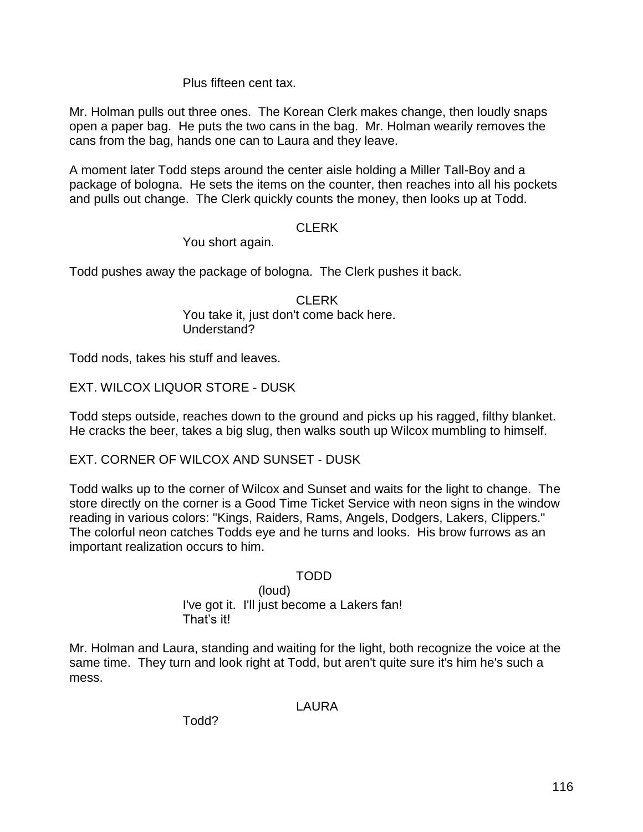Plus fifteen cent tax.

Mr. Holman pulls out three ones. The Korean Clerk makes change, then loudly snaps open a paper bag. He puts the two cans in the bag. Mr. Holman wearily removes the cans from the bag, hands one can to Laura and they leave.

A moment later Todd steps around the center aisle holding a Miller Tall-Boy and a package of bologna. He sets the items on the counter, then reaches into all his pockets and pulls out change. The Clerk quickly counts the money, then looks up at Todd.

# CLERK

You short again.

Todd pushes away the package of bologna. The Clerk pushes it back.

CLERK You take it, just don't come back here. Understand?

Todd nods, takes his stuff and leaves.

EXT. WILCOX LIQUOR STORE - DUSK

Todd steps outside, reaches down to the ground and picks up his ragged, filthy blanket. He cracks the beer, takes a big slug, then walks south up Wilcox mumbling to himself.

EXT. CORNER OF WILCOX AND SUNSET - DUSK

Todd walks up to the corner of Wilcox and Sunset and waits for the light to change. The store directly on the corner is a Good Time Ticket Service with neon signs in the window reading in various colors: "Kings, Raiders, Rams, Angels, Dodgers, Lakers, Clippers." The colorful neon catches Todds eye and he turns and looks. His brow furrows as an important realization occurs to him.

## TODD

(loud) I've got it. I'll just become a Lakers fan! That's it!

Mr. Holman and Laura, standing and waiting for the light, both recognize the voice at the same time. They turn and look right at Todd, but aren't quite sure it's him he's such a mess.

LAURA

Todd?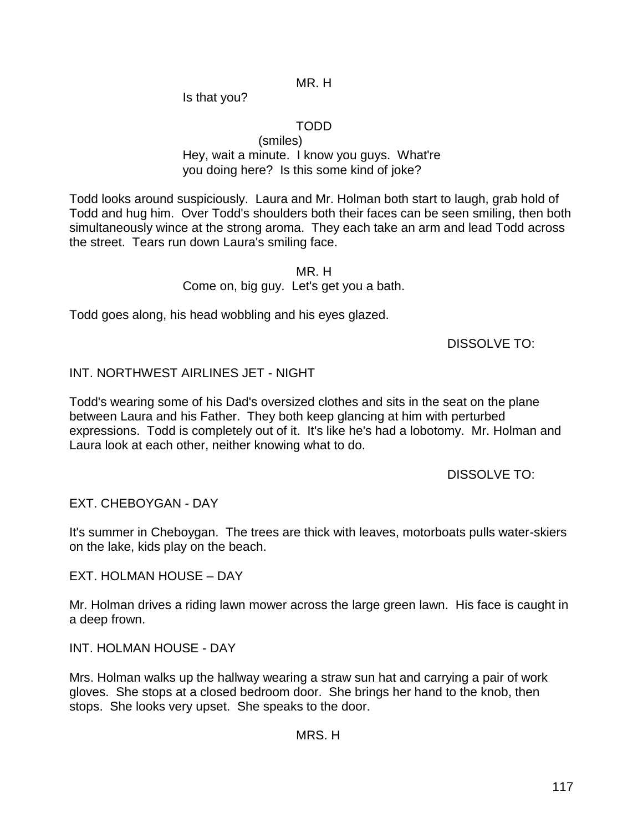## MR. H

Is that you?

# TODD

## (smiles)

# Hey, wait a minute. I know you guys. What're you doing here? Is this some kind of joke?

Todd looks around suspiciously. Laura and Mr. Holman both start to laugh, grab hold of Todd and hug him. Over Todd's shoulders both their faces can be seen smiling, then both simultaneously wince at the strong aroma. They each take an arm and lead Todd across the street. Tears run down Laura's smiling face.

> MR. H Come on, big guy. Let's get you a bath.

Todd goes along, his head wobbling and his eyes glazed.

DISSOLVE TO:

# INT. NORTHWEST AIRLINES JET - NIGHT

Todd's wearing some of his Dad's oversized clothes and sits in the seat on the plane between Laura and his Father. They both keep glancing at him with perturbed expressions. Todd is completely out of it. It's like he's had a lobotomy. Mr. Holman and Laura look at each other, neither knowing what to do.

DISSOLVE TO:

EXT. CHEBOYGAN - DAY

It's summer in Cheboygan. The trees are thick with leaves, motorboats pulls water-skiers on the lake, kids play on the beach.

EXT. HOLMAN HOUSE – DAY

Mr. Holman drives a riding lawn mower across the large green lawn. His face is caught in a deep frown.

INT. HOLMAN HOUSE - DAY

Mrs. Holman walks up the hallway wearing a straw sun hat and carrying a pair of work gloves. She stops at a closed bedroom door. She brings her hand to the knob, then stops. She looks very upset. She speaks to the door.

MRS. H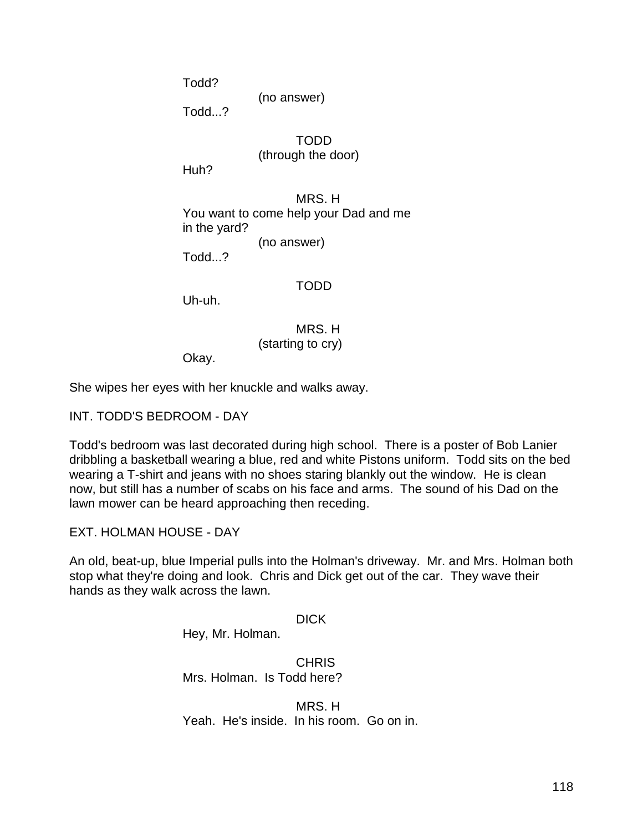Todd?

(no answer)

Todd...?

TODD (through the door)

Huh?

MRS. H You want to come help your Dad and me in the yard? (no answer)

Todd...?

TODD

Uh-uh.

MRS. H (starting to cry)

Okay.

She wipes her eyes with her knuckle and walks away.

INT. TODD'S BEDROOM - DAY

Todd's bedroom was last decorated during high school. There is a poster of Bob Lanier dribbling a basketball wearing a blue, red and white Pistons uniform. Todd sits on the bed wearing a T-shirt and jeans with no shoes staring blankly out the window. He is clean now, but still has a number of scabs on his face and arms. The sound of his Dad on the lawn mower can be heard approaching then receding.

EXT. HOLMAN HOUSE - DAY

An old, beat-up, blue Imperial pulls into the Holman's driveway. Mr. and Mrs. Holman both stop what they're doing and look. Chris and Dick get out of the car. They wave their hands as they walk across the lawn.

DICK

Hey, Mr. Holman.

**CHRIS** Mrs. Holman. Is Todd here?

MRS. H Yeah. He's inside. In his room. Go on in.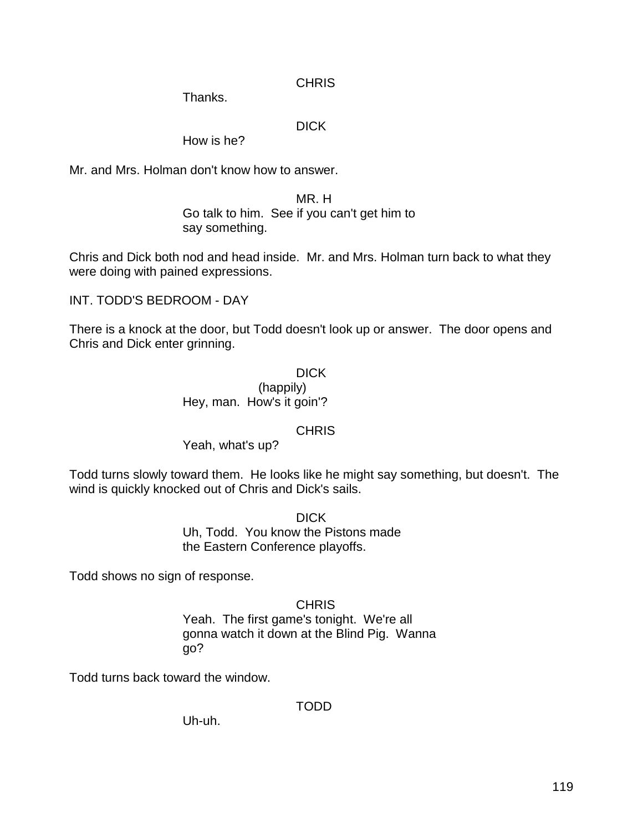**CHRIS** 

Thanks.

DICK

How is he?

Mr. and Mrs. Holman don't know how to answer.

MR. H

Go talk to him. See if you can't get him to say something.

Chris and Dick both nod and head inside. Mr. and Mrs. Holman turn back to what they were doing with pained expressions.

INT. TODD'S BEDROOM - DAY

There is a knock at the door, but Todd doesn't look up or answer. The door opens and Chris and Dick enter grinning.

DICK

(happily)

Hey, man. How's it goin'?

# **CHRIS**

Yeah, what's up?

Todd turns slowly toward them. He looks like he might say something, but doesn't. The wind is quickly knocked out of Chris and Dick's sails.

> DICK Uh, Todd. You know the Pistons made the Eastern Conference playoffs.

Todd shows no sign of response.

# **CHRIS**

Yeah. The first game's tonight. We're all gonna watch it down at the Blind Pig. Wanna go?

Todd turns back toward the window.

TODD

Uh-uh.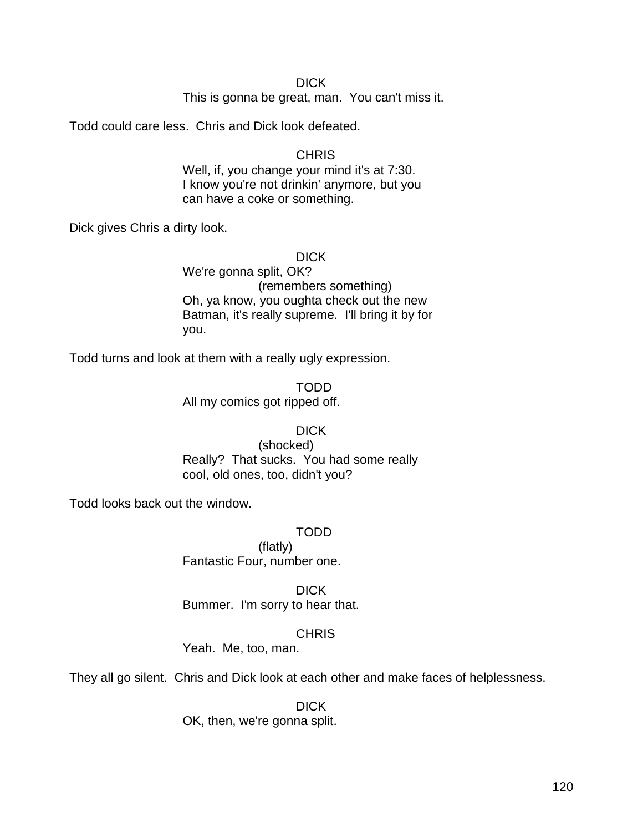## DICK

This is gonna be great, man. You can't miss it.

Todd could care less. Chris and Dick look defeated.

## **CHRIS**

Well, if, you change your mind it's at 7:30. I know you're not drinkin' anymore, but you can have a coke or something.

Dick gives Chris a dirty look.

## DICK

We're gonna split, OK? (remembers something) Oh, ya know, you oughta check out the new Batman, it's really supreme. I'll bring it by for you.

Todd turns and look at them with a really ugly expression.

TODD All my comics got ripped off.

## DICK

(shocked) Really? That sucks. You had some really cool, old ones, too, didn't you?

Todd looks back out the window.

#### TODD

(flatly) Fantastic Four, number one.

DICK Bummer. I'm sorry to hear that.

## **CHRIS**

Yeah. Me, too, man.

They all go silent. Chris and Dick look at each other and make faces of helplessness.

DICK OK, then, we're gonna split.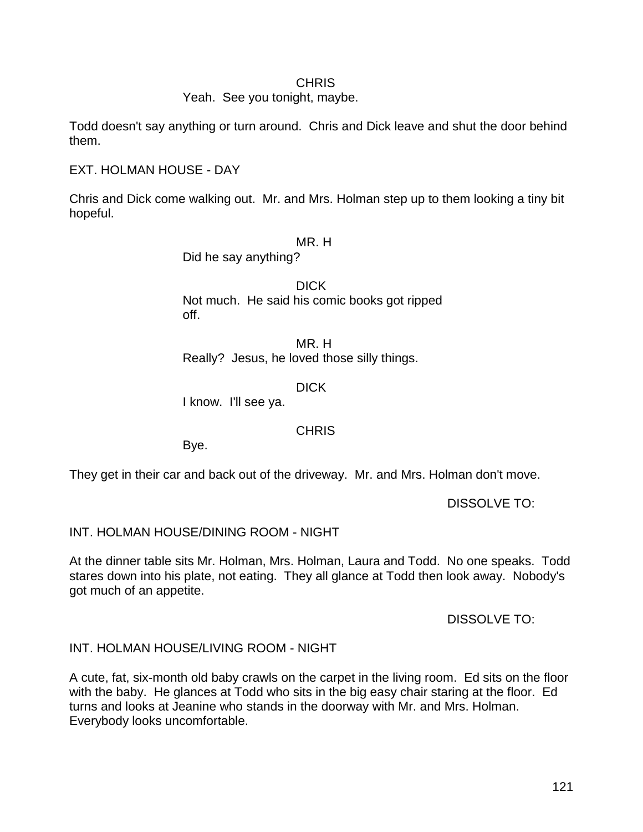## **CHRIS**

## Yeah. See you tonight, maybe.

Todd doesn't say anything or turn around. Chris and Dick leave and shut the door behind them.

## EXT. HOLMAN HOUSE - DAY

Chris and Dick come walking out. Mr. and Mrs. Holman step up to them looking a tiny bit hopeful.

#### MR. H

Did he say anything?

DICK Not much. He said his comic books got ripped off.

MR. H Really? Jesus, he loved those silly things.

DICK

I know. I'll see ya.

## **CHRIS**

Bye.

They get in their car and back out of the driveway. Mr. and Mrs. Holman don't move.

DISSOLVE TO:

## INT. HOLMAN HOUSE/DINING ROOM - NIGHT

At the dinner table sits Mr. Holman, Mrs. Holman, Laura and Todd. No one speaks. Todd stares down into his plate, not eating. They all glance at Todd then look away. Nobody's got much of an appetite.

DISSOLVE TO:

INT. HOLMAN HOUSE/LIVING ROOM - NIGHT

A cute, fat, six-month old baby crawls on the carpet in the living room. Ed sits on the floor with the baby. He glances at Todd who sits in the big easy chair staring at the floor. Ed turns and looks at Jeanine who stands in the doorway with Mr. and Mrs. Holman. Everybody looks uncomfortable.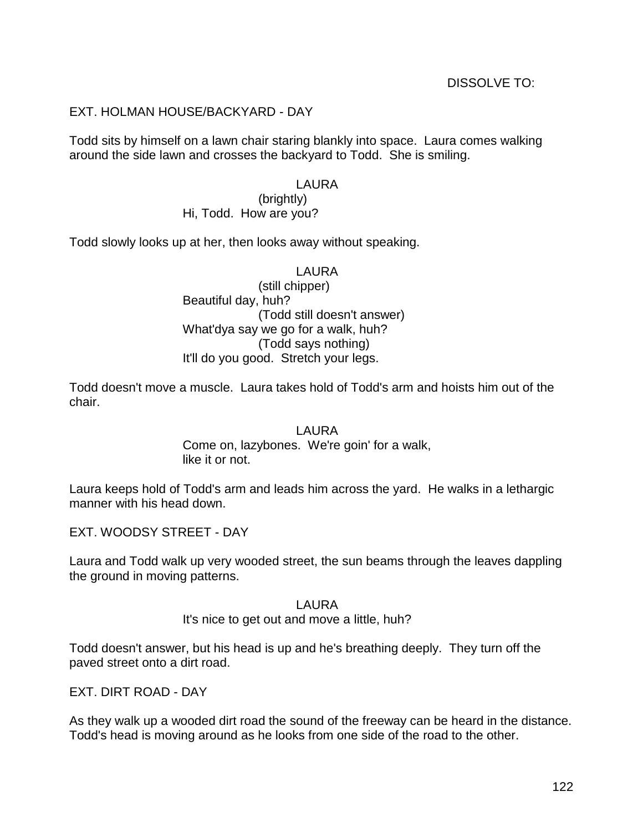# EXT. HOLMAN HOUSE/BACKYARD - DAY

Todd sits by himself on a lawn chair staring blankly into space. Laura comes walking around the side lawn and crosses the backyard to Todd. She is smiling.

## LAURA

### (brightly) Hi, Todd. How are you?

Todd slowly looks up at her, then looks away without speaking.

## LAURA (still chipper) Beautiful day, huh? (Todd still doesn't answer) What'dya say we go for a walk, huh? (Todd says nothing) It'll do you good. Stretch your legs.

Todd doesn't move a muscle. Laura takes hold of Todd's arm and hoists him out of the chair.

#### LAURA

Come on, lazybones. We're goin' for a walk, like it or not.

Laura keeps hold of Todd's arm and leads him across the yard. He walks in a lethargic manner with his head down.

EXT. WOODSY STREET - DAY

Laura and Todd walk up very wooded street, the sun beams through the leaves dappling the ground in moving patterns.

#### LAURA

It's nice to get out and move a little, huh?

Todd doesn't answer, but his head is up and he's breathing deeply. They turn off the paved street onto a dirt road.

EXT. DIRT ROAD - DAY

As they walk up a wooded dirt road the sound of the freeway can be heard in the distance. Todd's head is moving around as he looks from one side of the road to the other.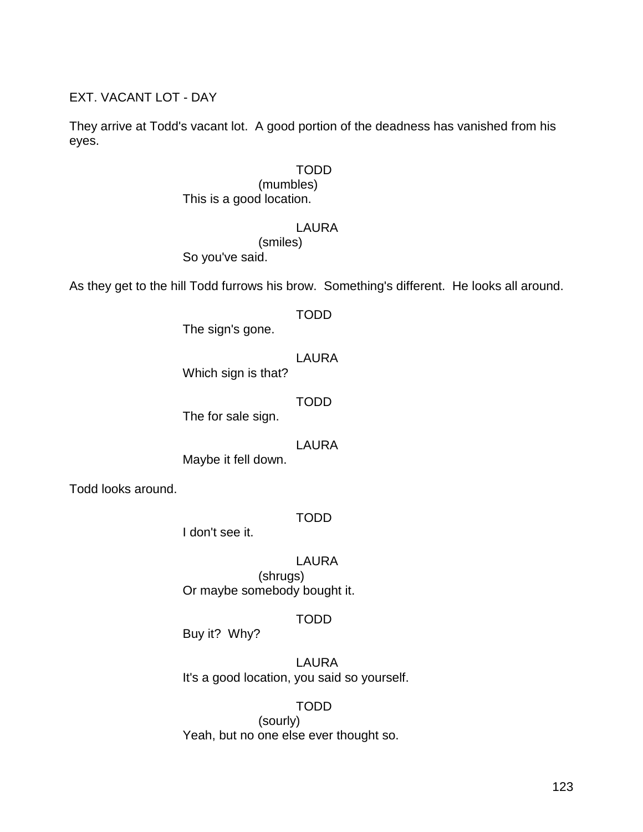EXT. VACANT LOT - DAY

They arrive at Todd's vacant lot. A good portion of the deadness has vanished from his eyes.

#### TODD

(mumbles) This is a good location.

## LAURA

(smiles)

So you've said.

As they get to the hill Todd furrows his brow. Something's different. He looks all around.

#### TODD

The sign's gone.

## LAURA

Which sign is that?

#### TODD

The for sale sign.

#### LAURA

Maybe it fell down.

Todd looks around.

#### TODD

I don't see it.

LAURA (shrugs) Or maybe somebody bought it.

#### TODD

Buy it? Why?

LAURA It's a good location, you said so yourself.

# TODD

(sourly) Yeah, but no one else ever thought so.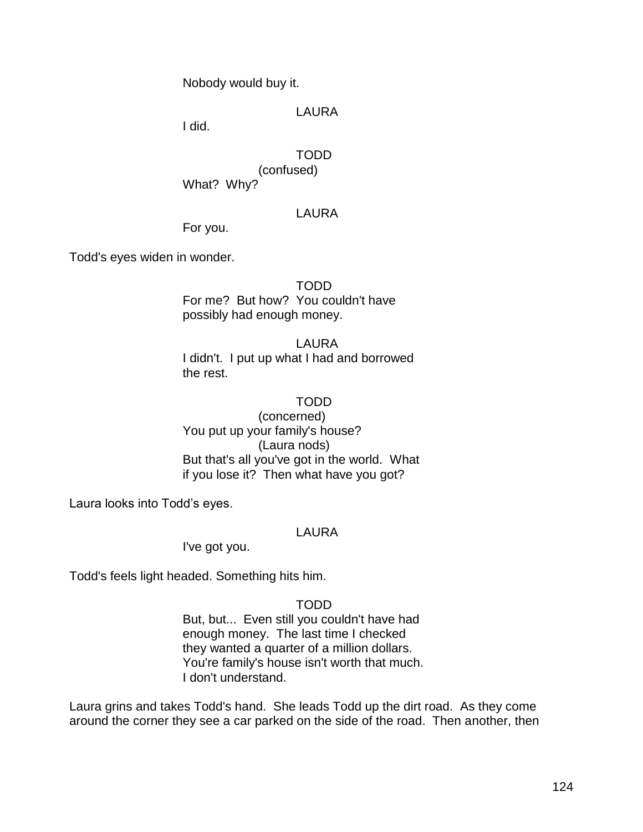Nobody would buy it.

## LAURA

I did.

# TODD

(confused) What? Why?

## LAURA

For you.

Todd's eyes widen in wonder.

#### TODD

For me? But how? You couldn't have possibly had enough money.

LAURA I didn't. I put up what I had and borrowed the rest.

## TODD

(concerned) You put up your family's house? (Laura nods) But that's all you've got in the world. What if you lose it? Then what have you got?

Laura looks into Todd's eyes.

## LAURA

I've got you.

Todd's feels light headed. Something hits him.

# TODD

But, but... Even still you couldn't have had enough money. The last time I checked they wanted a quarter of a million dollars. You're family's house isn't worth that much. I don't understand.

Laura grins and takes Todd's hand. She leads Todd up the dirt road. As they come around the corner they see a car parked on the side of the road. Then another, then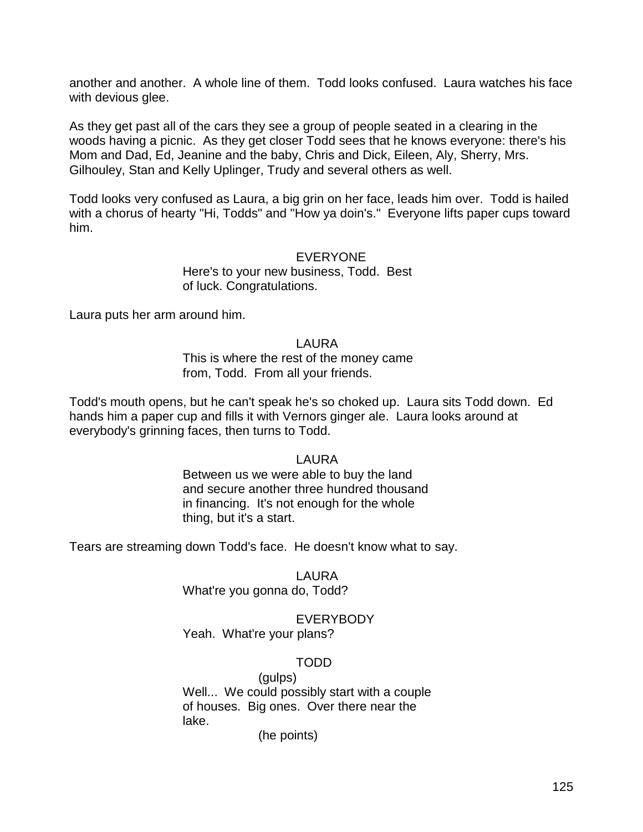another and another. A whole line of them. Todd looks confused. Laura watches his face with devious glee.

As they get past all of the cars they see a group of people seated in a clearing in the woods having a picnic. As they get closer Todd sees that he knows everyone: there's his Mom and Dad, Ed, Jeanine and the baby, Chris and Dick, Eileen, Aly, Sherry, Mrs. Gilhouley, Stan and Kelly Uplinger, Trudy and several others as well.

Todd looks very confused as Laura, a big grin on her face, leads him over. Todd is hailed with a chorus of hearty "Hi, Todds" and "How ya doin's." Everyone lifts paper cups toward him.

#### EVERYONE

Here's to your new business, Todd. Best of luck. Congratulations.

Laura puts her arm around him.

#### LAURA

This is where the rest of the money came from, Todd. From all your friends.

Todd's mouth opens, but he can't speak he's so choked up. Laura sits Todd down. Ed hands him a paper cup and fills it with Vernors ginger ale. Laura looks around at everybody's grinning faces, then turns to Todd.

#### LAURA

Between us we were able to buy the land and secure another three hundred thousand in financing. It's not enough for the whole thing, but it's a start.

Tears are streaming down Todd's face. He doesn't know what to say.

#### LAURA

What're you gonna do, Todd?

#### EVERYBODY

Yeah. What're your plans?

#### TODD

(gulps) Well... We could possibly start with a couple of houses. Big ones. Over there near the lake.

(he points)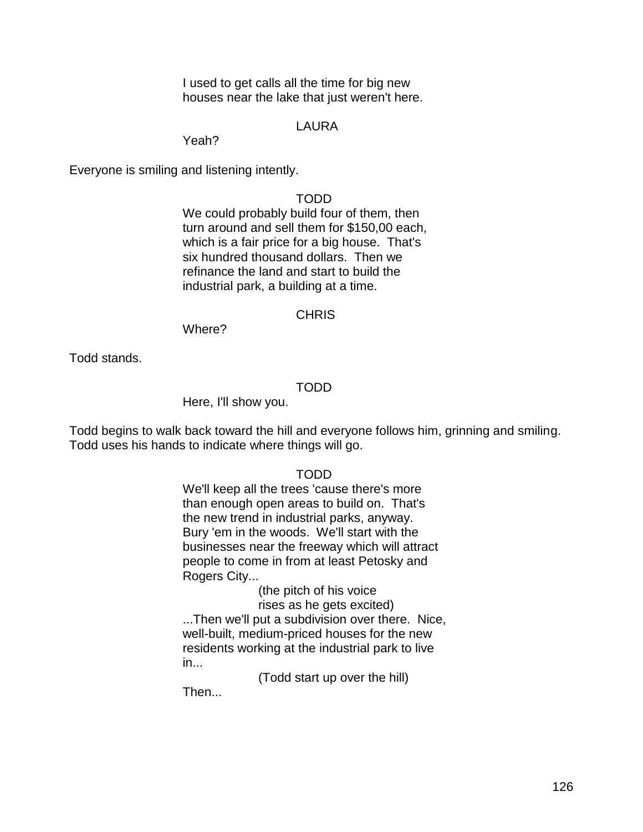I used to get calls all the time for big new houses near the lake that just weren't here.

#### LAURA

Yeah?

Everyone is smiling and listening intently.

#### TODD

We could probably build four of them, then turn around and sell them for \$150,00 each, which is a fair price for a big house. That's six hundred thousand dollars. Then we refinance the land and start to build the industrial park, a building at a time.

#### **CHRIS**

Where?

Todd stands.

## TODD

Here, I'll show you.

Todd begins to walk back toward the hill and everyone follows him, grinning and smiling. Todd uses his hands to indicate where things will go.

#### TODD

We'll keep all the trees 'cause there's more than enough open areas to build on. That's the new trend in industrial parks, anyway. Bury 'em in the woods. We'll start with the businesses near the freeway which will attract people to come in from at least Petosky and Rogers City...

> (the pitch of his voice rises as he gets excited)

...Then we'll put a subdivision over there. Nice, well-built, medium-priced houses for the new residents working at the industrial park to live in...

(Todd start up over the hill)

Then...